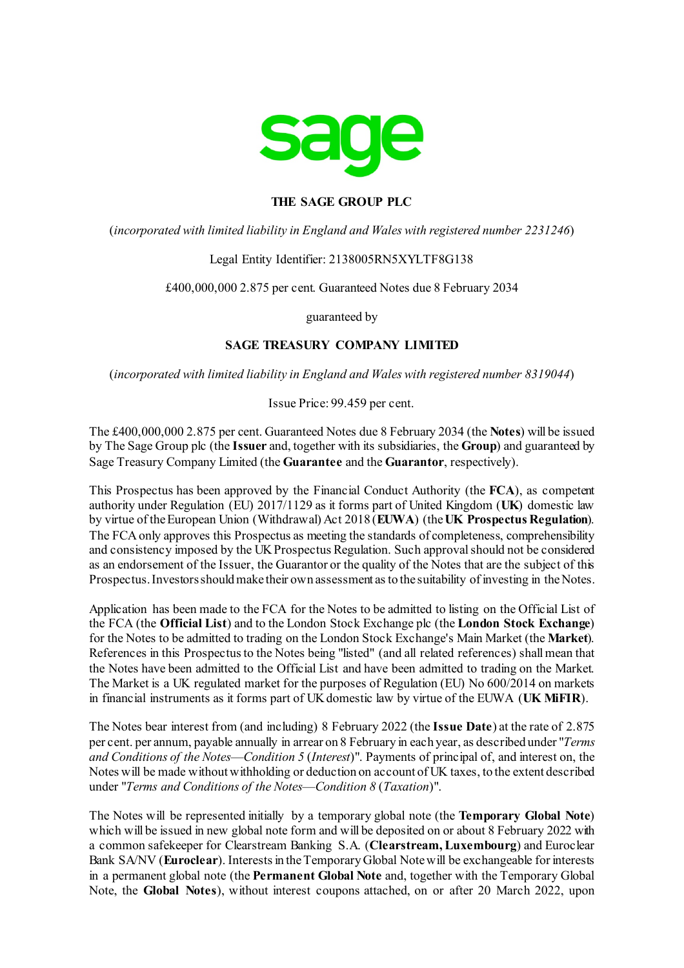

# **THE SAGE GROUP PLC**

(*incorporated with limited liability in England and Wales with registered number 2231246*)

#### Legal Entity Identifier: 2138005RN5XYLTF8G138

£400,000,000 2.875 per cent. Guaranteed Notes due 8 February 2034

guaranteed by

# **SAGE TREASURY COMPANY LIMITED**

(*incorporated with limited liability in England and Wales with registered number 8319044*)

Issue Price: 99.459 per cent.

The £400,000,000 2.875 per cent. Guaranteed Notes due 8 February 2034 (the **Notes**) will be issued by The Sage Group plc (the **Issuer** and, together with its subsidiaries, the **Group**) and guaranteed by Sage Treasury Company Limited (the **Guarantee** and the **Guarantor**, respectively).

This Prospectus has been approved by the Financial Conduct Authority (the **FCA**), as competent authority under Regulation (EU) 2017/1129 as it forms part of United Kingdom (**UK**) domestic law by virtue of the European Union (Withdrawal) Act 2018 (**EUWA**) (the **UK Prospectus Regulation**). The FCA only approves this Prospectus as meeting the standards of completeness, comprehensibility and consistency imposed by the UK Prospectus Regulation. Such approval should not be considered as an endorsement of the Issuer, the Guarantor or the quality of the Notes that are the subject of this Prospectus. Investors should make their own assessment as to the suitability of investing in the Notes.

Application has been made to the FCA for the Notes to be admitted to listing on the Official List of the FCA (the **Official List**) and to the London Stock Exchange plc (the **London Stock Exchange**) for the Notes to be admitted to trading on the London Stock Exchange's Main Market (the **Market**). References in this Prospectus to the Notes being "listed" (and all related references) shall mean that the Notes have been admitted to the Official List and have been admitted to trading on the Market. The Market is a UK regulated market for the purposes of Regulation (EU) No 600/2014 on markets in financial instruments as it forms part of UK domestic law by virtue of the EUWA (**UK MiFIR**).

The Notes bear interest from (and including) 8 February 2022 (the **Issue Date**) at the rate of 2.875 per cent. per annum, payable annually in arrear on 8 February in each year, as described under "*[Terms](#page-34-0)  [and Conditions of the Notes](#page-34-0)*—*Condition [5](#page-37-0)* (*[Interest](#page-37-0)*)". Payments of principal of, and interest on, the Notes will be made without withholding or deduction on account of UK taxes, to the extent described under "*[Terms and Conditions of the Notes](#page-34-0)*—*Conditio[n 8](#page-44-0)* (*[Taxation](#page-44-0)*)".

The Notes will be represented initially by a temporary global note (the **Temporary Global Note**) which will be issued in new global note form and will be deposited on or about 8 February 2022 with a common safekeeper for Clearstream Banking S.A. (**Clearstream, Luxembourg**) and Euroclear Bank SA/NV (**Euroclear**). Interests in the Temporary Global Note will be exchangeable for interests in a permanent global note (the **Permanent Global Note** and, together with the Temporary Global Note, the **Global Notes**), without interest coupons attached, on or after 20 March 2022, upon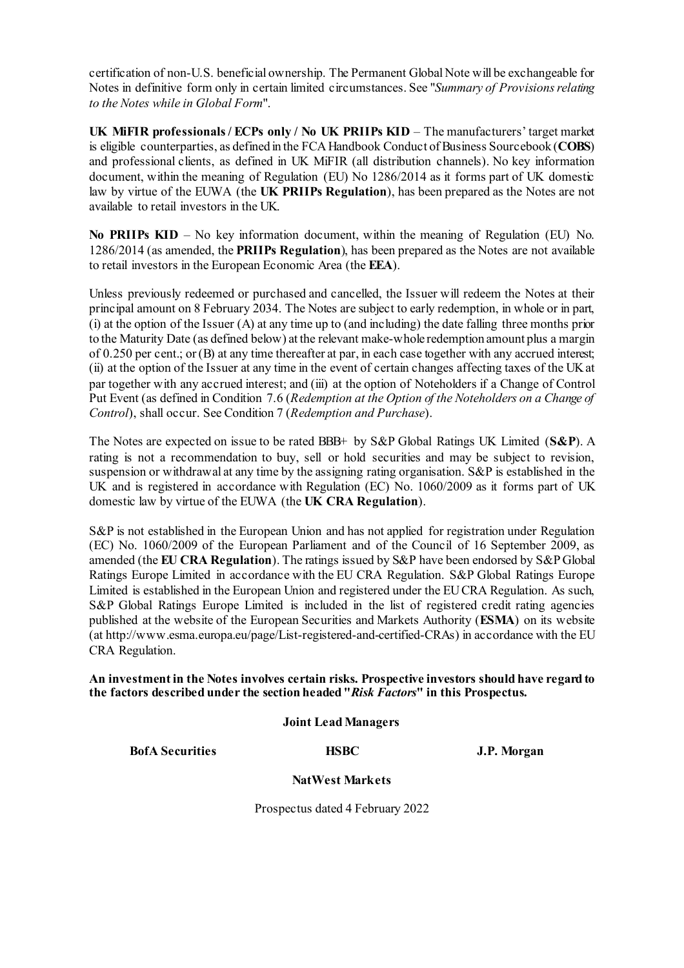certification of non-U.S. beneficial ownership. The Permanent Global Note will be exchangeable for Notes in definitive form only in certain limited circumstances. See "*Summary of Provisions relating to the Notes while in Global Form*".

**UK MiFIR professionals / ECPs only / No UK PRIIPs KID** – The manufacturers' target market is eligible counterparties, as defined in the FCA Handbook Conduct of Business Sourcebook (**COBS**) and professional clients, as defined in UK MiFIR (all distribution channels). No key information document, within the meaning of Regulation (EU) No 1286/2014 as it forms part of UK domestic law by virtue of the EUWA (the **UK PRIIPs Regulation**), has been prepared as the Notes are not available to retail investors in the UK.

**No PRIIPs KID** – No key information document, within the meaning of Regulation (EU) No. 1286/2014 (as amended, the **PRIIPs Regulation**), has been prepared as the Notes are not available to retail investors in the European Economic Area (the **EEA**).

Unless previously redeemed or purchased and cancelled, the Issuer will redeem the Notes at their principal amount on 8 February 2034. The Notes are subject to early redemption, in whole or in part, (i) at the option of the Issuer (A) at any time up to (and including) the date falling three months prior to the Maturity Date (as defined below) at the relevant make-whole redemption amount plus a margin of 0.250 per cent.; or (B) at any time thereafter at par, in each case together with any accrued interest; (ii) at the option of the Issuer at any time in the event of certain changes affecting taxes of the UKat par together with any accrued interest; and (iii) at the option of Noteholders if a Change of Control Put Event (as defined in Condition [7.6](#page-41-0) (*[Redemption at the Option of the Noteholders on a Change of](#page-41-0)  [Control](#page-41-0)*), shall occur. See Conditio[n 7](#page-39-0) (*[Redemption and Purchase](#page-39-0)*).

The Notes are expected on issue to be rated BBB+ by S&P Global Ratings UK Limited (**S&P**). A rating is not a recommendation to buy, sell or hold securities and may be subject to revision, suspension or withdrawal at any time by the assigning rating organisation. S&P is established in the UK and is registered in accordance with Regulation (EC) No. 1060/2009 as it forms part of UK domestic law by virtue of the EUWA (the **UK CRA Regulation**).

S&P is not established in the European Union and has not applied for registration under Regulation (EC) No. 1060/2009 of the European Parliament and of the Council of 16 September 2009, as amended (the **EU CRA Regulation**). The ratings issued by S&P have been endorsed by S&P Global Ratings Europe Limited in accordance with the EU CRA Regulation. S&P Global Ratings Europe Limited is established in the European Union and registered under the EU CRA Regulation. As such, S&P Global Ratings Europe Limited is included in the list of registered credit rating agencies published at the website of the European Securities and Markets Authority (**ESMA**) on its website (at http://www.esma.europa.eu/page/List-registered-and-certified-CRAs) in accordance with the EU CRA Regulation.

**An investment in the Notes involves certain risks. Prospective investors should have regard to the factors described under the section headed "***[Risk Factors](#page-13-0)***" in this Prospectus.**

**Joint Lead Managers**

**BofA Securities HSBC J.P. Morgan** 

**NatWest Markets**

Prospectus dated 4 February 2022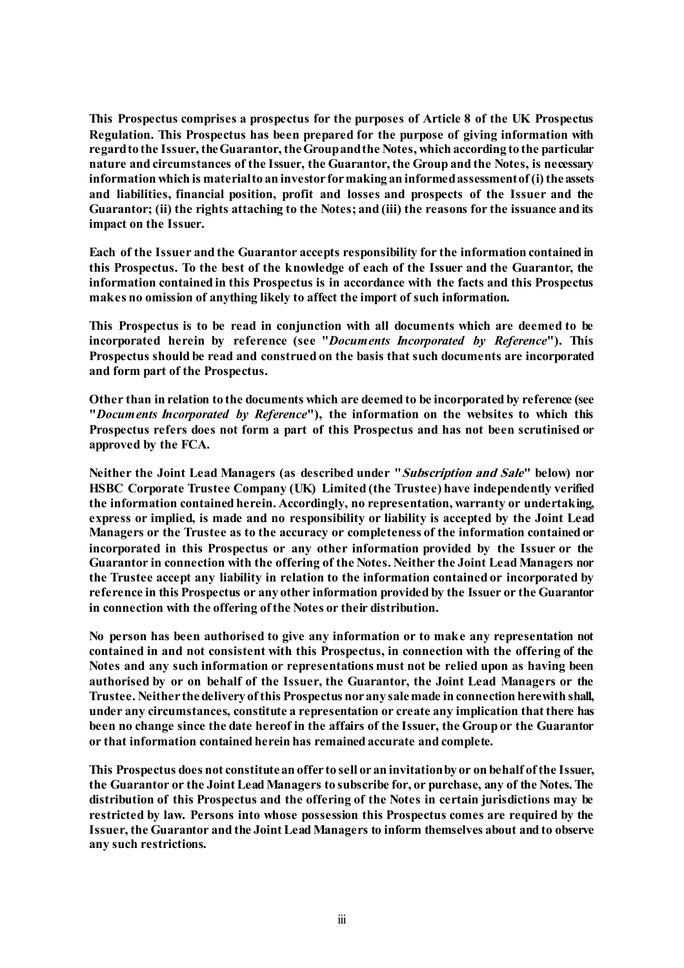**This Prospectus comprises a prospectus for the purposes of Article 8 of the UK Prospectus Regulation. This Prospectus has been prepared for the purpose of giving information with regard to the Issuer, the Guarantor, the Groupand the Notes, which according to the particular nature and circumstances of the Issuer, the Guarantor, the Group and the Notes, is necessary information which is material to an investor formaking an informed assessment of (i) the assets and liabilities, financial position, profit and losses and prospects of the Issuer and the Guarantor; (ii) the rights attaching to the Notes; and (iii) the reasons for the issuance and its impact on the Issuer.** 

**Each of the Issuer and the Guarantor accepts responsibility for the information contained in this Prospectus. To the best of the knowledge of each of the Issuer and the Guarantor, the information contained in this Prospectus is in accordance with the facts and this Prospectus makes no omission of anything likely to affect the import of such information.** 

**This Prospectus is to be read in conjunction with all documents which are deemed to be incorporated herein by reference (see "***[Documents Incorporated by Reference](#page-11-0)***"). This Prospectus should be read and construed on the basis that such documents are incorporated and form part of the Prospectus.**

**Other than in relation to the documents which are deemed to be incorporated by reference (see "***[Documents Incorporated by Reference](#page-11-0)***"), the information on the websites to which this Prospectus refers does not form a part of this Prospectus and has not been scrutinised or approved by the FCA.**

**Neither the Joint Lead Managers (as described under "[Subscription and Sale](#page-76-0)" below) nor HSBC Corporate Trustee Company (UK) Limited (the Trustee) have independently verified the information contained herein. Accordingly, no representation, warranty or undertaking, express or implied, is made and no responsibility or liability is accepted by the Joint Lead Managers or the Trustee as to the accuracy or completeness of the information contained or incorporated in this Prospectus or any other information provided by the Issuer or the Guarantor in connection with the offering of the Notes. Neither the Joint Lead Managers nor the Trustee accept any liability in relation to the information contained or incorporated by reference in this Prospectus or any other information provided by the Issuer or the Guarantor in connection with the offering of the Notes or their distribution.**

**No person has been authorised to give any information or to make any representation not contained in and not consistent with this Prospectus, in connection with the offering of the Notes and any such information or representations must not be relied upon as having been authorised by or on behalf of the Issuer, the Guarantor, the Joint Lead Managers or the Trustee. Neither the delivery of this Prospectus nor any sale made in connection herewith shall, under any circumstances, constitute a representation or create any implication that there has been no change since the date hereof in the affairs of the Issuer, the Group or the Guarantor or that information contained herein has remained accurate and complete.** 

**This Prospectus does not constitute an offer to sell or an invitation by or on behalf of the Issuer, the Guarantor or the Joint Lead Managers to subscribe for, or purchase, any of the Notes. The distribution of this Prospectus and the offering of the Notes in certain jurisdictions may be restricted by law. Persons into whose possession this Prospectus comes are required by the Issuer, the Guarantor and the Joint Lead Managers to inform themselves about and to observe any such restrictions.**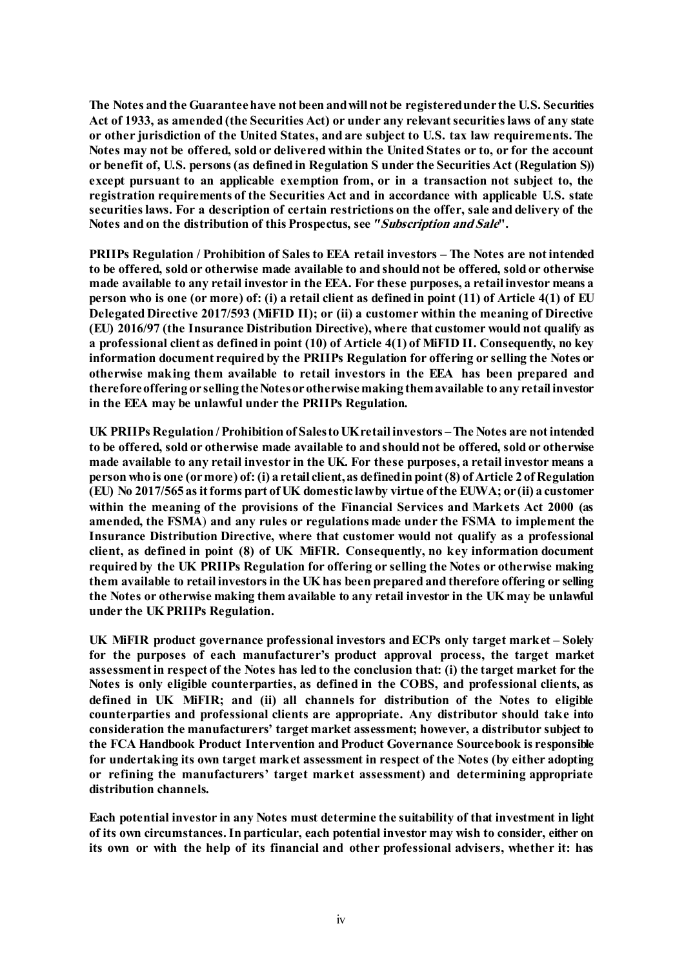**The Notes and the Guarantee have not been and will not be registered under the U.S. Securities Act of 1933, as amended (the Securities Act) or under any relevant securities laws of any state or other jurisdiction of the United States, and are subject to U.S. tax law requirements. The Notes may not be offered, sold or delivered within the United States or to, or for the account or benefit of, U.S. persons (as defined in Regulation S under the Securities Act (Regulation S)) except pursuant to an applicable exemption from, or in a transaction not subject to, the registration requirements of the Securities Act and in accordance with applicable U.S. state securities laws. For a description of certain restrictions on the offer, sale and delivery of the Notes and on the distribution of this Prospectus, see** *"***[Subscription and Sale](#page-76-0)".**

**PRIIPs Regulation / Prohibition of Sales to EEA retail investors – The Notes are not intended to be offered, sold or otherwise made available to and should not be offered, sold or otherwise made available to any retail investor in the EEA. For these purposes, a retail investor means a person who is one (or more) of: (i) a retail client as defined in point (11) of Article 4(1) of EU Delegated Directive 2017/593 (MiFID II); or (ii) a customer within the meaning of Directive (EU) 2016/97 (the Insurance Distribution Directive), where that customer would not qualify as a professional client as defined in point (10) of Article 4(1) of MiFID II. Consequently, no key information document required by the PRIIPs Regulation for offering or selling the Notes or otherwise making them available to retail investors in the EEA has been prepared and therefore offering or selling the Notes or otherwise making them available to any retail investor in the EEA may be unlawful under the PRIIPs Regulation.**

**UK PRIIPs Regulation / Prohibition of Sales to UK retail investors –The Notes are not intended to be offered, sold or otherwise made available to and should not be offered, sold or otherwise made available to any retail investor in the UK. For these purposes, a retail investor means a person who is one (or more) of: (i) a retail client, as defined in point (8) of Article 2 of Regulation (EU) No 2017/565 as it forms part of UK domestic law by virtue of the EUWA; or (ii) a customer within the meaning of the provisions of the Financial Services and Markets Act 2000 (as amended, the FSMA**) **and any rules or regulations made under the FSMA to implement the Insurance Distribution Directive, where that customer would not qualify as a professional client, as defined in point (8) of UK MiFIR. Consequently, no key information document required by the UK PRIIPs Regulation for offering or selling the Notes or otherwise making them available to retail investors in the UK has been prepared and therefore offering or selling the Notes or otherwise making them available to any retail investor in the UK may be unlawful under the UK PRIIPs Regulation.**

**UK MiFIR product governance professional investors and ECPs only target market – Solely for the purposes of each manufacturer's product approval process, the target market assessment in respect of the Notes has led to the conclusion that: (i) the target market for the Notes is only eligible counterparties, as defined in the COBS, and professional clients, as defined in UK MiFIR; and (ii) all channels for distribution of the Notes to eligible counterparties and professional clients are appropriate. Any distributor should take into consideration the manufacturers' target market assessment; however, a distributor subject to the FCA Handbook Product Intervention and Product Governance Sourcebook is responsible for undertaking its own target market assessment in respect of the Notes (by either adopting or refining the manufacturers' target market assessment) and determining appropriate distribution channels.**

**Each potential investor in any Notes must determine the suitability of that investment in light of its own circumstances. In particular, each potential investor may wish to consider, either on its own or with the help of its financial and other professional advisers, whether it: has**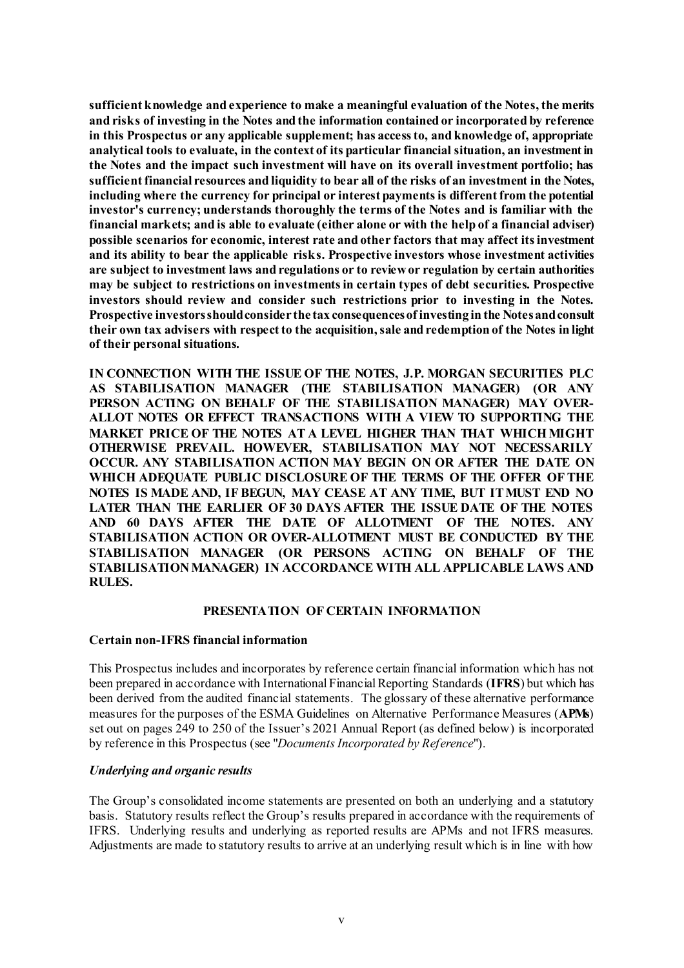**sufficient knowledge and experience to make a meaningful evaluation of the Notes, the merits and risks of investing in the Notes and the information contained or incorporated by reference in this Prospectus or any applicable supplement; has access to, and knowledge of, appropriate analytical tools to evaluate, in the context of its particular financial situation, an investment in the Notes and the impact such investment will have on its overall investment portfolio; has sufficient financial resources and liquidity to bear all of the risks of an investment in the Notes, including where the currency for principal or interest payments is different from the potential investor's currency; understands thoroughly the terms of the Notes and is familiar with the financial markets; and is able to evaluate (either alone or with the help of a financial adviser) possible scenarios for economic, interest rate and other factors that may affect its investment and its ability to bear the applicable risks. Prospective investors whose investment activities are subject to investment laws and regulations or to review or regulation by certain authorities may be subject to restrictions on investments in certain types of debt securities. Prospective investors should review and consider such restrictions prior to investing in the Notes. Prospective investors should consider the tax consequences of investing in the Notes and consult their own tax advisers with respect to the acquisition, sale and redemption of the Notes in light of their personal situations.**

**IN CONNECTION WITH THE ISSUE OF THE NOTES, J.P. MORGAN SECURITIES PLC AS STABILISATION MANAGER (THE STABILISATION MANAGER) (OR ANY PERSON ACTING ON BEHALF OF THE STABILISATION MANAGER) MAY OVER-ALLOT NOTES OR EFFECT TRANSACTIONS WITH A VIEW TO SUPPORTING THE MARKET PRICE OF THE NOTES AT A LEVEL HIGHER THAN THAT WHICH MIGHT OTHERWISE PREVAIL. HOWEVER, STABILISATION MAY NOT NECESSARILY OCCUR. ANY STABILISATION ACTION MAY BEGIN ON OR AFTER THE DATE ON WHICH ADEQUATE PUBLIC DISCLOSURE OF THE TERMS OF THE OFFER OF THE NOTES IS MADE AND, IF BEGUN, MAY CEASE AT ANY TIME, BUT IT MUST END NO LATER THAN THE EARLIER OF 30 DAYS AFTER THE ISSUE DATE OF THE NOTES AND 60 DAYS AFTER THE DATE OF ALLOTMENT OF THE NOTES. ANY STABILISATION ACTION OR OVER-ALLOTMENT MUST BE CONDUCTED BY THE STABILISATION MANAGER (OR PERSONS ACTING ON BEHALF OF THE STABILISATION MANAGER) IN ACCORDANCE WITH ALL APPLICABLE LAWS AND RULES.**

#### **PRESENTATION OF CERTAIN INFORMATION**

#### **Certain non-IFRS financial information**

This Prospectus includes and incorporates by reference certain financial information which has not been prepared in accordance with International Financial Reporting Standards (**IFRS**) but which has been derived from the audited financial statements. The glossary of these alternative performance measures for the purposes of the ESMA Guidelines on Alternative Performance Measures (**APMs**) set out on pages 249 to 250 of the Issuer's 2021 Annual Report (as defined below) is incorporated by reference in this Prospectus (see "*[Documents Incorporated by Reference](#page-11-0)*").

#### *Underlying and organic results*

The Group's consolidated income statements are presented on both an underlying and a statutory basis. Statutory results reflect the Group's results prepared in accordance with the requirements of IFRS. Underlying results and underlying as reported results are APMs and not IFRS measures. Adjustments are made to statutory results to arrive at an underlying result which is in line with how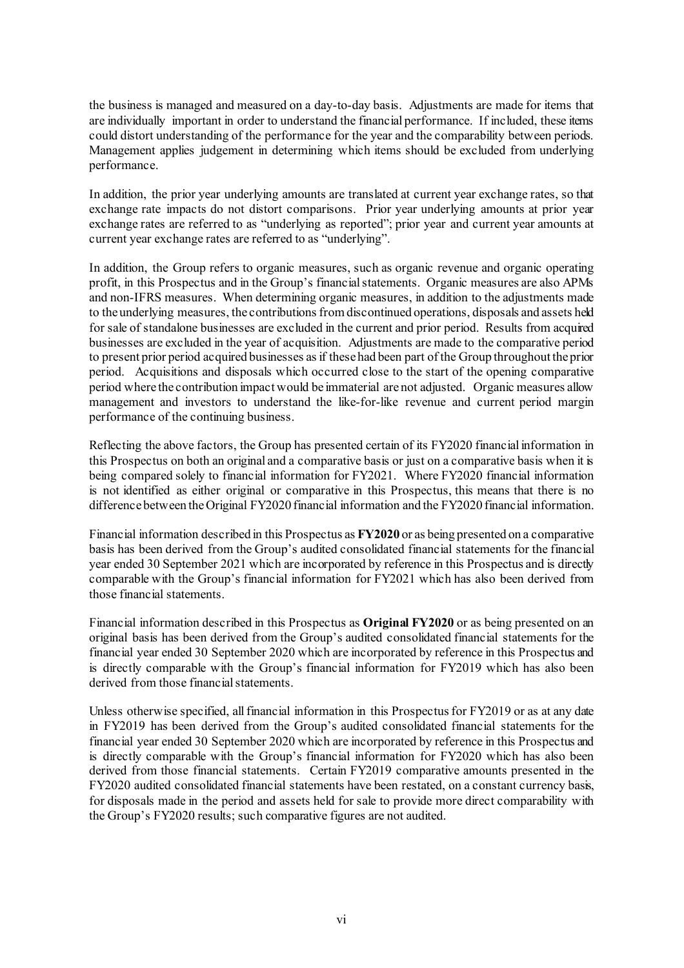the business is managed and measured on a day-to-day basis. Adjustments are made for items that are individually important in order to understand the financial performance. If included, these items could distort understanding of the performance for the year and the comparability between periods. Management applies judgement in determining which items should be excluded from underlying performance.

In addition, the prior year underlying amounts are translated at current year exchange rates, so that exchange rate impacts do not distort comparisons. Prior year underlying amounts at prior year exchange rates are referred to as "underlying as reported"; prior year and current year amounts at current year exchange rates are referred to as "underlying".

In addition, the Group refers to organic measures, such as organic revenue and organic operating profit, in this Prospectus and in the Group's financial statements. Organic measures are also APMs and non-IFRS measures. When determining organic measures, in addition to the adjustments made to the underlying measures, the contributions from discontinued operations, disposals and assets held for sale of standalone businesses are excluded in the current and prior period. Results from acquired businesses are excluded in the year of acquisition. Adjustments are made to the comparative period to present prior period acquired businesses as if these had been part of the Group throughout the prior period. Acquisitions and disposals which occurred close to the start of the opening comparative period where the contribution impact would be immaterial are not adjusted. Organic measures allow management and investors to understand the like-for-like revenue and current period margin performance of the continuing business.

Reflecting the above factors, the Group has presented certain of its FY2020 financial information in this Prospectus on both an original and a comparative basis or just on a comparative basis when it is being compared solely to financial information for FY2021. Where FY2020 financial information is not identified as either original or comparative in this Prospectus, this means that there is no difference between the Original FY2020 financial information and the FY2020 financial information.

Financial information described in this Prospectus as **FY2020** or as being presented on a comparative basis has been derived from the Group's audited consolidated financial statements for the financial year ended 30 September 2021 which are incorporated by reference in this Prospectus and is directly comparable with the Group's financial information for FY2021 which has also been derived from those financial statements.

Financial information described in this Prospectus as **Original FY2020** or as being presented on an original basis has been derived from the Group's audited consolidated financial statements for the financial year ended 30 September 2020 which are incorporated by reference in this Prospectus and is directly comparable with the Group's financial information for FY2019 which has also been derived from those financial statements.

Unless otherwise specified, all financial information in this Prospectus for FY2019 or as at any date in FY2019 has been derived from the Group's audited consolidated financial statements for the financial year ended 30 September 2020 which are incorporated by reference in this Prospectus and is directly comparable with the Group's financial information for FY2020 which has also been derived from those financial statements. Certain FY2019 comparative amounts presented in the FY2020 audited consolidated financial statements have been restated, on a constant currency basis, for disposals made in the period and assets held for sale to provide more direct comparability with the Group's FY2020 results; such comparative figures are not audited.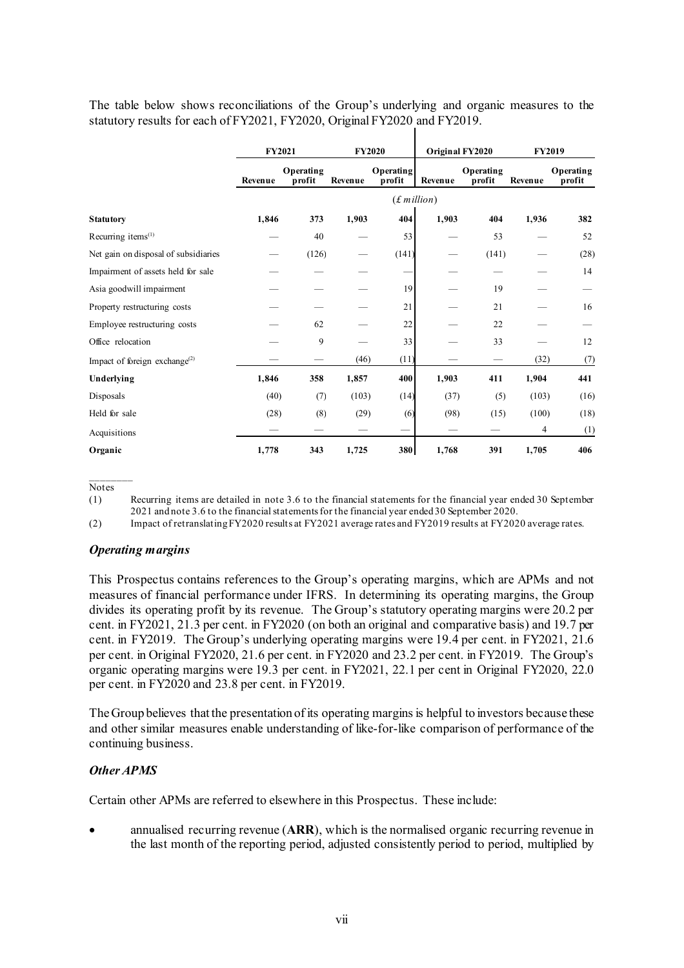The table below shows reconciliations of the Group's underlying and organic measures to the statutory results for each of FY2021, FY2020, Original FY2020 and FY2019.

|                                                        | FY2021  |                     |         | <b>FY2020</b>       |              | Original FY2020     |         | <b>FY2019</b>       |
|--------------------------------------------------------|---------|---------------------|---------|---------------------|--------------|---------------------|---------|---------------------|
|                                                        | Revenue | Operating<br>profit | Revenue | Operating<br>profit | Revenue      | Operating<br>profit | Revenue | Operating<br>profit |
|                                                        |         |                     |         |                     | (f. million) |                     |         |                     |
| <b>Statutory</b>                                       | 1,846   | 373                 | 1,903   | 404                 | 1,903        | 404                 | 1,936   | 382                 |
| Recurring items <sup>(1)</sup>                         |         | 40                  |         | 53                  |              | 53                  |         | 52                  |
| Net gain on disposal of subsidiaries                   |         | (126)               |         | (141)               |              | (141)               |         | (28)                |
| Impairment of assets held for sale                     |         |                     |         |                     |              |                     |         | 14                  |
| Asia goodwill impairment                               |         |                     |         | 19                  |              | 19                  |         |                     |
| Property restructuring costs                           |         |                     |         | 21                  |              | 21                  |         | 16                  |
| Employee restructuring costs                           |         | 62                  |         | 22                  |              | 22                  |         |                     |
| Office relocation                                      |         | 9                   |         | 33                  |              | 33                  |         | 12                  |
| Impact of foreign exchange <sup><math>(2)</math></sup> |         |                     | (46)    | (11)                |              |                     | (32)    | (7)                 |
| Underlying                                             | 1,846   | 358                 | 1,857   | 400                 | 1,903        | 411                 | 1,904   | 441                 |
| Disposals                                              | (40)    | (7)                 | (103)   | (14)                | (37)         | (5)                 | (103)   | (16)                |
| Held for sale                                          | (28)    | (8)                 | (29)    | (6)                 | (98)         | (15)                | (100)   | (18)                |
| Acquisitions                                           |         |                     |         | -                   |              |                     | 4       | (1)                 |
| Organic                                                | 1,778   | 343                 | 1,725   | 380                 | 1,768        | 391                 | 1,705   | 406                 |

Notes

 $\frac{1}{2}$ 

(1) Recurring items are detailed in note 3.6 to the financial statements for the financial year ended 30 September 2021 and note 3.6 to the financial statements for the financial year ended 30 September 2020.

(2) Impact of retranslating FY2020 results at FY2021 average rates and FY2019 results at FY2020 average rates.

#### *Operating margins*

This Prospectus contains references to the Group's operating margins, which are APMs and not measures of financial performance under IFRS. In determining its operating margins, the Group divides its operating profit by its revenue. The Group's statutory operating margins were 20.2 per cent. in FY2021, 21.3 per cent. in FY2020 (on both an original and comparative basis) and 19.7 per cent. in FY2019. The Group's underlying operating margins were 19.4 per cent. in FY2021, 21.6 per cent. in Original FY2020, 21.6 per cent. in FY2020 and 23.2 per cent. in FY2019. The Group's organic operating margins were 19.3 per cent. in FY2021, 22.1 per cent in Original FY2020, 22.0 per cent. in FY2020 and 23.8 per cent. in FY2019.

The Group believes that the presentation of its operating margins is helpful to investors because these and other similar measures enable understanding of like-for-like comparison of performance of the continuing business.

#### *Other APMS*

Certain other APMs are referred to elsewhere in this Prospectus. These include:

• annualised recurring revenue (**ARR**), which is the normalised organic recurring revenue in the last month of the reporting period, adjusted consistently period to period, multiplied by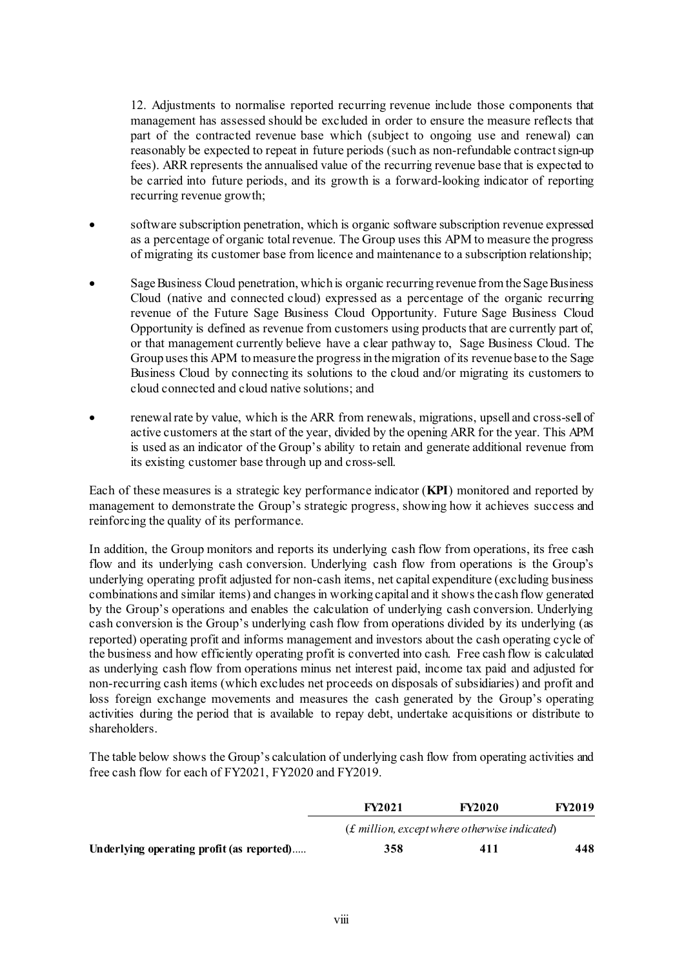12. Adjustments to normalise reported recurring revenue include those components that management has assessed should be excluded in order to ensure the measure reflects that part of the contracted revenue base which (subject to ongoing use and renewal) can reasonably be expected to repeat in future periods (such as non-refundable contract sign-up fees). ARR represents the annualised value of the recurring revenue base that is expected to be carried into future periods, and its growth is a forward-looking indicator of reporting recurring revenue growth;

- software subscription penetration, which is organic software subscription revenue expressed as a percentage of organic total revenue. The Group uses this APM to measure the progress of migrating its customer base from licence and maintenance to a subscription relationship;
- Sage Business Cloud penetration, which is organic recurring revenue from the Sage Business Cloud (native and connected cloud) expressed as a percentage of the organic recurring revenue of the Future Sage Business Cloud Opportunity. Future Sage Business Cloud Opportunity is defined as revenue from customers using products that are currently part of, or that management currently believe have a clear pathway to, Sage Business Cloud. The Group uses this APM to measure the progress in the migration of its revenue base to the Sage Business Cloud by connecting its solutions to the cloud and/or migrating its customers to cloud connected and cloud native solutions; and
- renewalrate by value, which is the ARR from renewals, migrations, upsell and cross-sell of active customers at the start of the year, divided by the opening ARR for the year. This APM is used as an indicator of the Group's ability to retain and generate additional revenue from its existing customer base through up and cross-sell.

Each of these measures is a strategic key performance indicator (**KPI**) monitored and reported by management to demonstrate the Group's strategic progress, showing how it achieves success and reinforcing the quality of its performance.

In addition, the Group monitors and reports its underlying cash flow from operations, its free cash flow and its underlying cash conversion. Underlying cash flow from operations is the Group's underlying operating profit adjusted for non-cash items, net capital expenditure (excluding business combinations and similar items) and changes in working capital and it shows the cash flow generated by the Group's operations and enables the calculation of underlying cash conversion. Underlying cash conversion is the Group's underlying cash flow from operations divided by its underlying (as reported) operating profit and informs management and investors about the cash operating cycle of the business and how efficiently operating profit is converted into cash. Free cash flow is calculated as underlying cash flow from operations minus net interest paid, income tax paid and adjusted for non-recurring cash items (which excludes net proceeds on disposals of subsidiaries) and profit and loss foreign exchange movements and measures the cash generated by the Group's operating activities during the period that is available to repay debt, undertake acquisitions or distribute to shareholders.

The table below shows the Group's calculation of underlying cash flow from operating activities and free cash flow for each of FY2021, FY2020 and FY2019.

|                                           | <b>FY2021</b> | <b>FY2020</b>                                    | <b>FY2019</b> |  |
|-------------------------------------------|---------------|--------------------------------------------------|---------------|--|
|                                           |               | $(f.$ million, except where otherwise indicated) |               |  |
| Underlying operating profit (as reported) | 358           | 411                                              | 448           |  |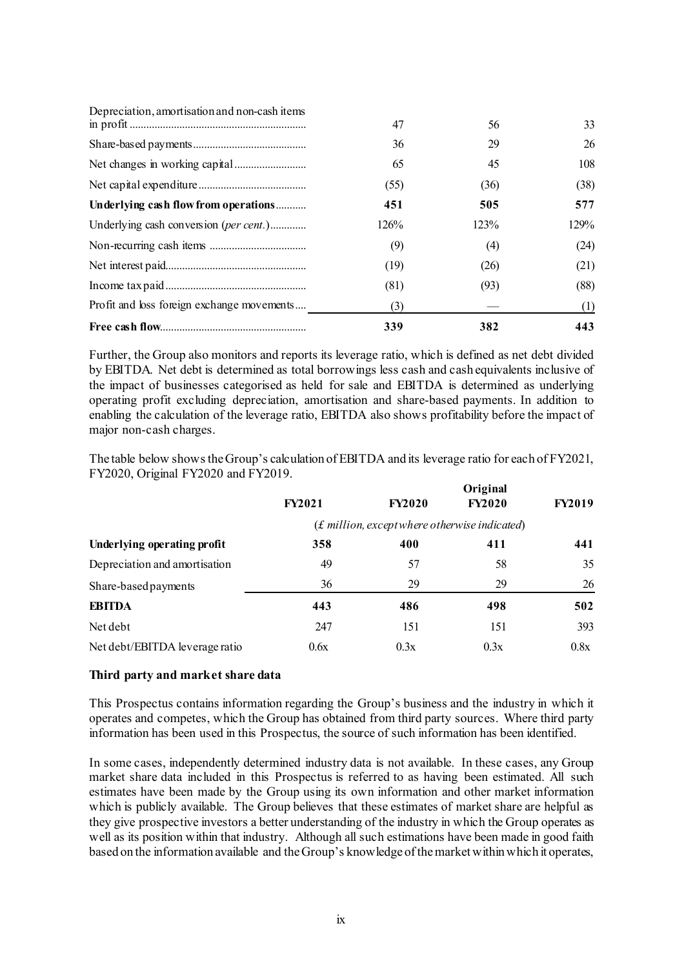| Depreciation, amortisation and non-cash items |      |      |      |
|-----------------------------------------------|------|------|------|
|                                               | 47   | 56   | 33   |
|                                               | 36   | 29   | 26   |
|                                               | 65   | 45   | 108  |
|                                               | (55) | (36) | (38) |
| Underlying cash flow from operations          | 451  | 505  | 577  |
| Underlying cash conversion (per cent.)        | 126% | 123% | 129% |
|                                               | (9)  | (4)  | (24) |
|                                               | (19) | (26) | (21) |
|                                               | (81) | (93) | (88) |
| Profit and loss foreign exchange movements    | (3)  |      | (1)  |
|                                               | 339  | 382  | 443  |

Further, the Group also monitors and reports its leverage ratio, which is defined as net debt divided by EBITDA. Net debt is determined as total borrowings less cash and cash equivalents inclusive of the impact of businesses categorised as held for sale and EBITDA is determined as underlying operating profit excluding depreciation, amortisation and share-based payments. In addition to enabling the calculation of the leverage ratio, EBITDA also shows profitability before the impact of major non-cash charges.

The table below shows the Group's calculation of EBITDA and its leverage ratio for each of FY2021, FY2020, Original FY2020 and FY2019.

|                                | Original      |                                                  |               |               |
|--------------------------------|---------------|--------------------------------------------------|---------------|---------------|
|                                | <b>FY2021</b> | <b>FY2020</b>                                    | <b>FY2020</b> | <b>FY2019</b> |
|                                |               | $(f.$ million, except where otherwise indicated) |               |               |
| Underlying operating profit    | 358           | 400                                              | 411           | 441           |
| Depreciation and amortisation  | 49            | 57                                               | 58            | 35            |
| Share-based payments           | 36            | 29                                               | 29            | 26            |
| <b>EBITDA</b>                  | 443           | 486                                              | 498           | 502           |
| Net debt                       | 247           | 151                                              | 151           | 393           |
| Net debt/EBITDA leverage ratio | 0.6x          | 0.3x                                             | 0.3x          | 0.8x          |

#### **Third party and market share data**

This Prospectus contains information regarding the Group's business and the industry in which it operates and competes, which the Group has obtained from third party sources. Where third party information has been used in this Prospectus, the source of such information has been identified.

In some cases, independently determined industry data is not available. In these cases, any Group market share data included in this Prospectus is referred to as having been estimated. All such estimates have been made by the Group using its own information and other market information which is publicly available. The Group believes that these estimates of market share are helpful as they give prospective investors a better understanding of the industry in which the Group operates as well as its position within that industry. Although all such estimations have been made in good faith based on the information available and the Group's knowledge of the market within which it operates,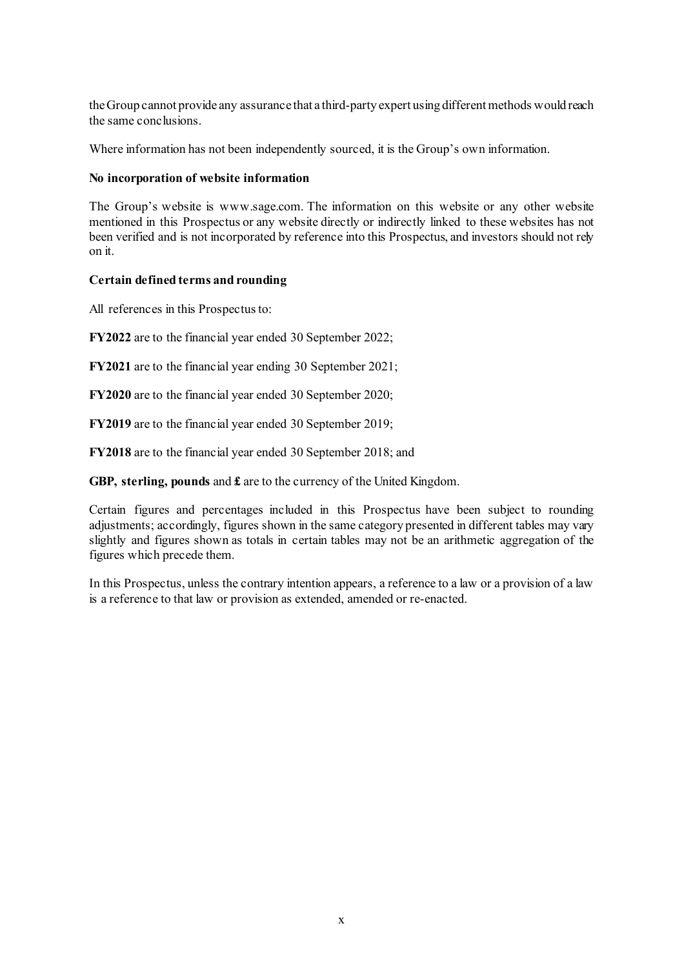the Group cannot provide any assurance that a third-party expert using different methods would reach the same conclusions.

Where information has not been independently sourced, it is the Group's own information.

### **No incorporation of website information**

The Group's website is www.sage.com. The information on this website or any other website mentioned in this Prospectus or any website directly or indirectly linked to these websites has not been verified and is not incorporated by reference into this Prospectus, and investors should not rely on it.

# **Certain defined terms and rounding**

All references in this Prospectus to:

**FY2022** are to the financial year ended 30 September 2022;

**FY2021** are to the financial year ending 30 September 2021;

**FY2020** are to the financial year ended 30 September 2020;

**FY2019** are to the financial year ended 30 September 2019;

**FY2018** are to the financial year ended 30 September 2018; and

**GBP, sterling, pounds** and **£** are to the currency of the United Kingdom.

Certain figures and percentages included in this Prospectus have been subject to rounding adjustments; accordingly, figures shown in the same category presented in different tables may vary slightly and figures shown as totals in certain tables may not be an arithmetic aggregation of the figures which precede them.

In this Prospectus, unless the contrary intention appears, a reference to a law or a provision of a law is a reference to that law or provision as extended, amended or re-enacted.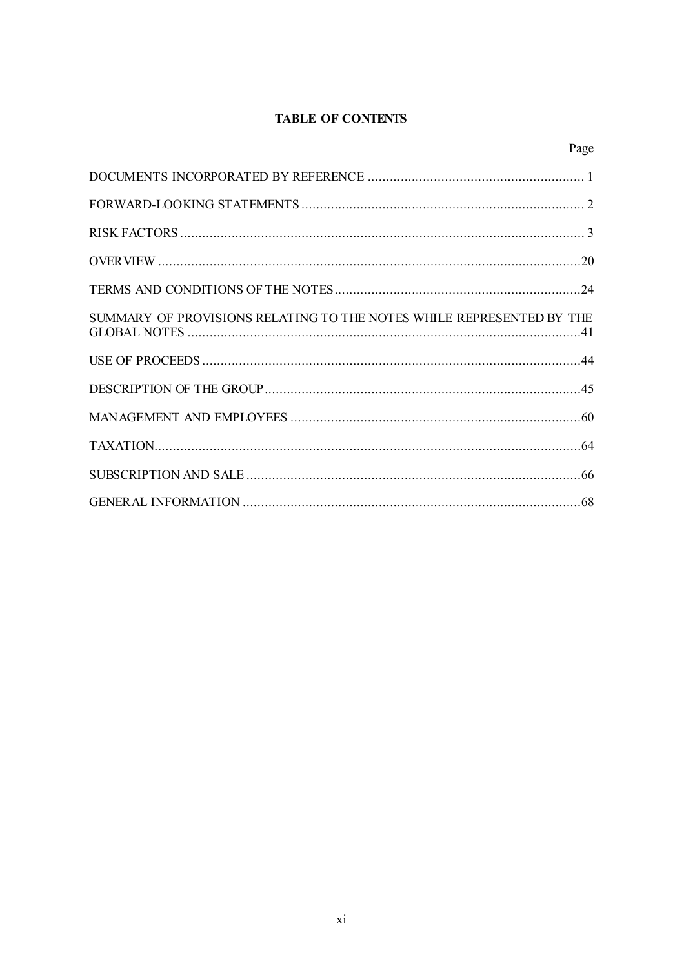# **TABLE OF CONTENTS**

Page

| SUMMARY OF PROVISIONS RELATING TO THE NOTES WHILE REPRESENTED BY THE |  |
|----------------------------------------------------------------------|--|
|                                                                      |  |
|                                                                      |  |
|                                                                      |  |
|                                                                      |  |
|                                                                      |  |
|                                                                      |  |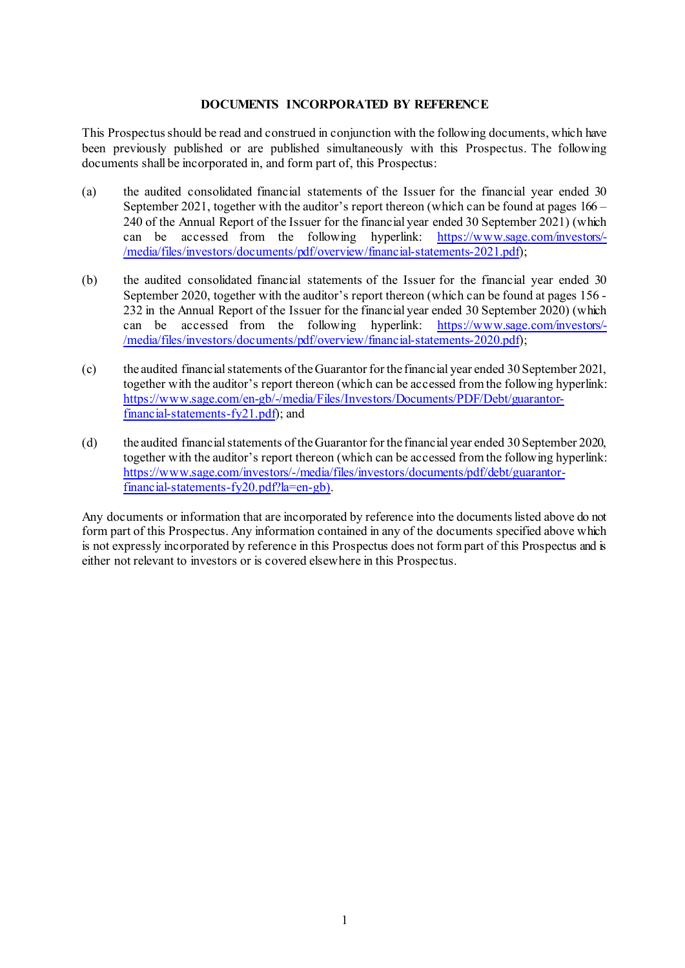### **DOCUMENTS INCORPORATED BY REFERENCE**

<span id="page-11-0"></span>This Prospectus should be read and construed in conjunction with the following documents, which have been previously published or are published simultaneously with this Prospectus. The following documents shall be incorporated in, and form part of, this Prospectus:

- (a) the audited consolidated financial statements of the Issuer for the financial year ended 30 September 2021, together with the auditor's report thereon (which can be found at pages 166 – 240 of the Annual Report of the Issuer for the financial year ended 30 September 2021) (which can be accessed from the following hyperlink: https://www.sage.com/investors/can be accessed from the following [/media/files/investors/documents/pdf/overview/financial-statements-2021.pdf](https://www.sage.com/investors/-/media/files/investors/documents/pdf/overview/financial-statements-2021.pdf));
- (b) the audited consolidated financial statements of the Issuer for the financial year ended 30 September 2020, together with the auditor's report thereon (which can be found at pages 156 - 232 in the Annual Report of the Issuer for the financial year ended 30 September 2020) (which can be accessed from the following hyperlink: [https://www.sage.com/investors/-](https://www.sage.com/investors/-/media/files/investors/documents/pdf/overview/financial-statements-2020.pdf) [/media/files/investors/documents/pdf/overview/financial-statements-2020.pdf](https://www.sage.com/investors/-/media/files/investors/documents/pdf/overview/financial-statements-2020.pdf));
- (c) the audited financial statements of the Guarantor for the financial year ended 30 September 2021, together with the auditor's report thereon (which can be accessed from the following hyperlink: [https://www.sage.com/en-gb/-/media/Files/Investors/Documents/PDF/Debt/guarantor](https://www.sage.com/en-gb/-/media/Files/Investors/Documents/PDF/Debt/guarantor-financial-statements-fy21.pdf)[financial-statements-fy21.pdf](https://www.sage.com/en-gb/-/media/Files/Investors/Documents/PDF/Debt/guarantor-financial-statements-fy21.pdf)); and
- (d) the audited financial statements of the Guarantor for the financial year ended 30 September 2020, together with the auditor's report thereon (which can be accessed from the following hyperlink: [https://www.sage.com/investors/-/media/files/investors/documents/pdf/debt/guarantor](https://www.sage.com/investors/-/media/files/investors/documents/pdf/debt/guarantor-financial-statements-fy20.pdf?la=en-gb)[financial-statements-fy20.pdf?la=en-gb](https://www.sage.com/investors/-/media/files/investors/documents/pdf/debt/guarantor-financial-statements-fy20.pdf?la=en-gb)).

Any documents or information that are incorporated by reference into the documents listed above do not form part of this Prospectus. Any information contained in any of the documents specified above which is not expressly incorporated by reference in this Prospectus does not form part of this Prospectus and is either not relevant to investors or is covered elsewhere in this Prospectus.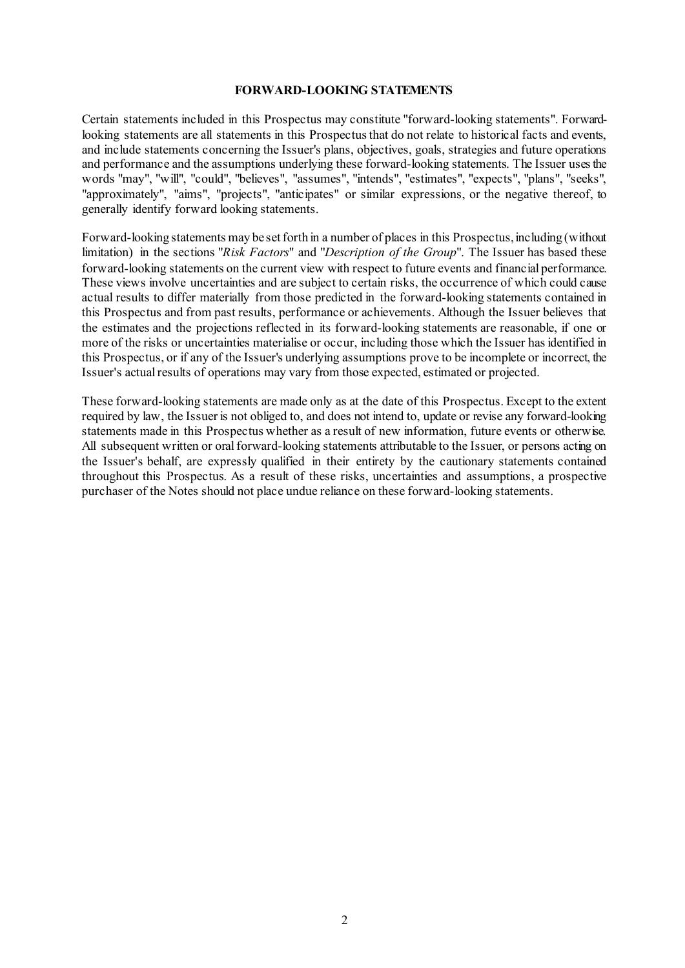#### **FORWARD-LOOKING STATEMENTS**

Certain statements included in this Prospectus may constitute "forward-looking statements". Forwardlooking statements are all statements in this Prospectus that do not relate to historical facts and events, and include statements concerning the Issuer's plans, objectives, goals, strategies and future operations and performance and the assumptions underlying these forward-looking statements. The Issuer uses the words "may", "will", "could", "believes", "assumes", "intends", "estimates", "expects", "plans", "seeks", "approximately", "aims", "projects", "anticipates" or similar expressions, or the negative thereof, to generally identify forward looking statements.

Forward-looking statements may be set forth in a number of places in this Prospectus, including (without limitation) in the sections "*[Risk Factors](#page-13-1)*" and "*[Description of the Group](#page-55-0)*". The Issuer has based these forward-looking statements on the current view with respect to future events and financial performance. These views involve uncertainties and are subject to certain risks, the occurrence of which could cause actual results to differ materially from those predicted in the forward-looking statements contained in this Prospectus and from past results, performance or achievements. Although the Issuer believes that the estimates and the projections reflected in its forward-looking statements are reasonable, if one or more of the risks or uncertainties materialise or occur, including those which the Issuer has identified in this Prospectus, or if any of the Issuer's underlying assumptions prove to be incomplete or incorrect, the Issuer's actual results of operations may vary from those expected, estimated or projected.

These forward-looking statements are made only as at the date of this Prospectus. Except to the extent required by law, the Issuer is not obliged to, and does not intend to, update or revise any forward-looking statements made in this Prospectus whether as a result of new information, future events or otherwise. All subsequent written or oral forward-looking statements attributable to the Issuer, or persons acting on the Issuer's behalf, are expressly qualified in their entirety by the cautionary statements contained throughout this Prospectus. As a result of these risks, uncertainties and assumptions, a prospective purchaser of the Notes should not place undue reliance on these forward-looking statements.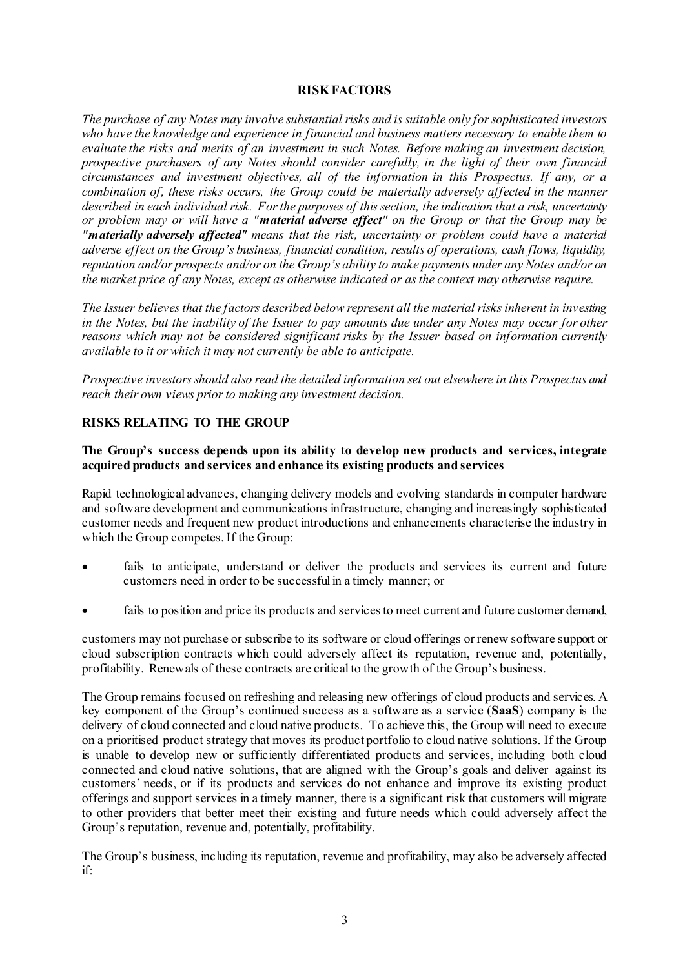### **RISK FACTORS**

<span id="page-13-1"></span><span id="page-13-0"></span>*The purchase of any Notes may involve substantial risks and is suitable only for sophisticated investors who have the knowledge and experience in financial and business matters necessary to enable them to evaluate the risks and merits of an investment in such Notes. Before making an investment decision, prospective purchasers of any Notes should consider carefully, in the light of their own financial circumstances and investment objectives, all of the information in this Prospectus. If any, or a combination of, these risks occurs, the Group could be materially adversely affected in the manner described in each individual risk. For the purposes of this section, the indication that a risk, uncertainty or problem may or will have a "material adverse effect" on the Group or that the Group may be "materially adversely affected" means that the risk, uncertainty or problem could have a material adverse effect on the Group's business, financial condition, results of operations, cash flows, liquidity, reputation and/or prospects and/or on the Group's ability to make payments under any Notes and/or on the market price of any Notes, except as otherwise indicated or as the context may otherwise require.*

*The Issuer believes that the factors described below represent all the material risks inherent in investing in the Notes, but the inability of the Issuer to pay amounts due under any Notes may occur for other reasons which may not be considered significant risks by the Issuer based on information currently available to it or which it may not currently be able to anticipate.*

*Prospective investors should also read the detailed information set out elsewhere in this Prospectus and reach their own views prior to making any investment decision.*

### **RISKS RELATING TO THE GROUP**

### **The Group's success depends upon its ability to develop new products and services, integrate acquired products and services and enhance its existing products and services**

Rapid technological advances, changing delivery models and evolving standards in computer hardware and software development and communications infrastructure, changing and increasingly sophisticated customer needs and frequent new product introductions and enhancements characterise the industry in which the Group competes. If the Group:

- fails to anticipate, understand or deliver the products and services its current and future customers need in order to be successful in a timely manner; or
- fails to position and price its products and services to meet current and future customer demand,

customers may not purchase or subscribe to its software or cloud offerings or renew software support or cloud subscription contracts which could adversely affect its reputation, revenue and, potentially, profitability. Renewals of these contracts are critical to the growth of the Group's business.

The Group remains focused on refreshing and releasing new offerings of cloud products and services. A key component of the Group's continued success as a software as a service (**SaaS**) company is the delivery of cloud connected and cloud native products. To achieve this, the Group will need to execute on a prioritised product strategy that moves its product portfolio to cloud native solutions. If the Group is unable to develop new or sufficiently differentiated products and services, including both cloud connected and cloud native solutions, that are aligned with the Group's goals and deliver against its customers' needs, or if its products and services do not enhance and improve its existing product offerings and support services in a timely manner, there is a significant risk that customers will migrate to other providers that better meet their existing and future needs which could adversely affect the Group's reputation, revenue and, potentially, profitability.

The Group's business, including its reputation, revenue and profitability, may also be adversely affected if: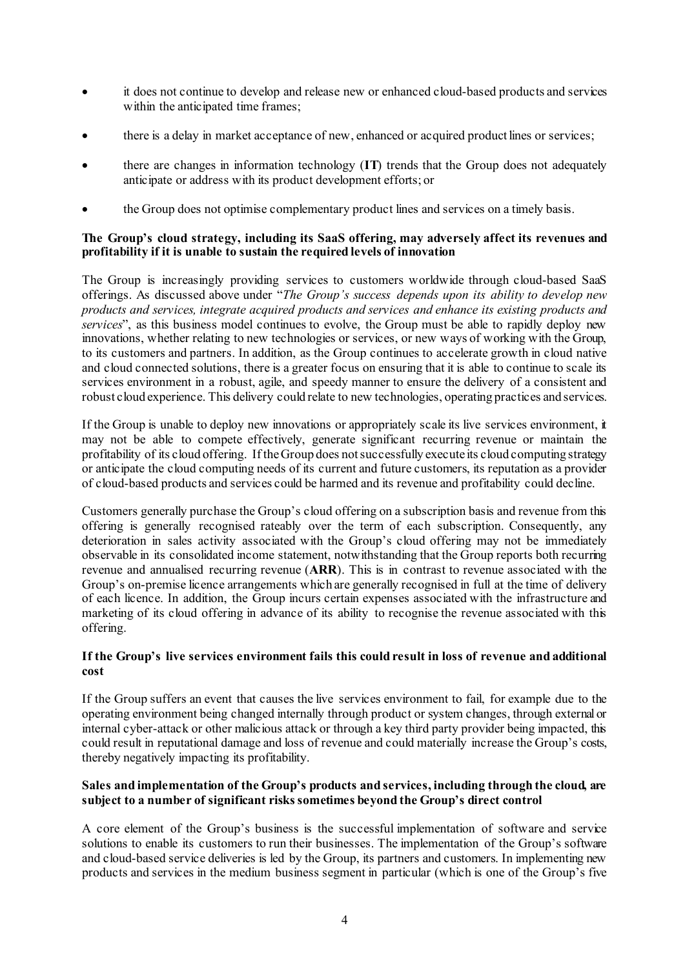- it does not continue to develop and release new or enhanced cloud-based products and services within the anticipated time frames;
- there is a delay in market acceptance of new, enhanced or acquired product lines or services;
- there are changes in information technology (**IT**) trends that the Group does not adequately anticipate or address with its product development efforts; or
- the Group does not optimise complementary product lines and services on a timely basis.

### **The Group's cloud strategy, including its SaaS offering, may adversely affect its revenues and profitability if it is unable to sustain the required levels of innovation**

The Group is increasingly providing services to customers worldwide through cloud-based SaaS offerings. As discussed above under "*The Group's success depends upon its ability to develop new products and services, integrate acquired products and services and enhance its existing products and services*", as this business model continues to evolve, the Group must be able to rapidly deploy new innovations, whether relating to new technologies or services, or new ways of working with the Group, to its customers and partners. In addition, as the Group continues to accelerate growth in cloud native and cloud connected solutions, there is a greater focus on ensuring that it is able to continue to scale its services environment in a robust, agile, and speedy manner to ensure the delivery of a consistent and robust cloud experience. This delivery could relate to new technologies, operating practices and services.

If the Group is unable to deploy new innovations or appropriately scale its live services environment, it may not be able to compete effectively, generate significant recurring revenue or maintain the profitability of its cloud offering. If the Group does not successfully execute its cloud computing strategy or anticipate the cloud computing needs of its current and future customers, its reputation as a provider of cloud-based products and services could be harmed and its revenue and profitability could decline.

Customers generally purchase the Group's cloud offering on a subscription basis and revenue from this offering is generally recognised rateably over the term of each subscription. Consequently, any deterioration in sales activity associated with the Group's cloud offering may not be immediately observable in its consolidated income statement, notwithstanding that the Group reports both recurring revenue and annualised recurring revenue (**ARR**). This is in contrast to revenue associated with the Group's on-premise licence arrangements which are generally recognised in full at the time of delivery of each licence. In addition, the Group incurs certain expenses associated with the infrastructure and marketing of its cloud offering in advance of its ability to recognise the revenue associated with this offering.

# **If the Group's live services environment fails this could result in loss of revenue and additional cost**

If the Group suffers an event that causes the live services environment to fail, for example due to the operating environment being changed internally through product or system changes, through external or internal cyber-attack or other malicious attack or through a key third party provider being impacted, this could result in reputational damage and loss of revenue and could materially increase the Group's costs, thereby negatively impacting its profitability.

### **Sales and implementation of the Group's products and services, including through the cloud, are subject to a number of significant risks sometimes beyond the Group's direct control**

A core element of the Group's business is the successful implementation of software and service solutions to enable its customers to run their businesses. The implementation of the Group's software and cloud-based service deliveries is led by the Group, its partners and customers. In implementing new products and services in the medium business segment in particular (which is one of the Group's five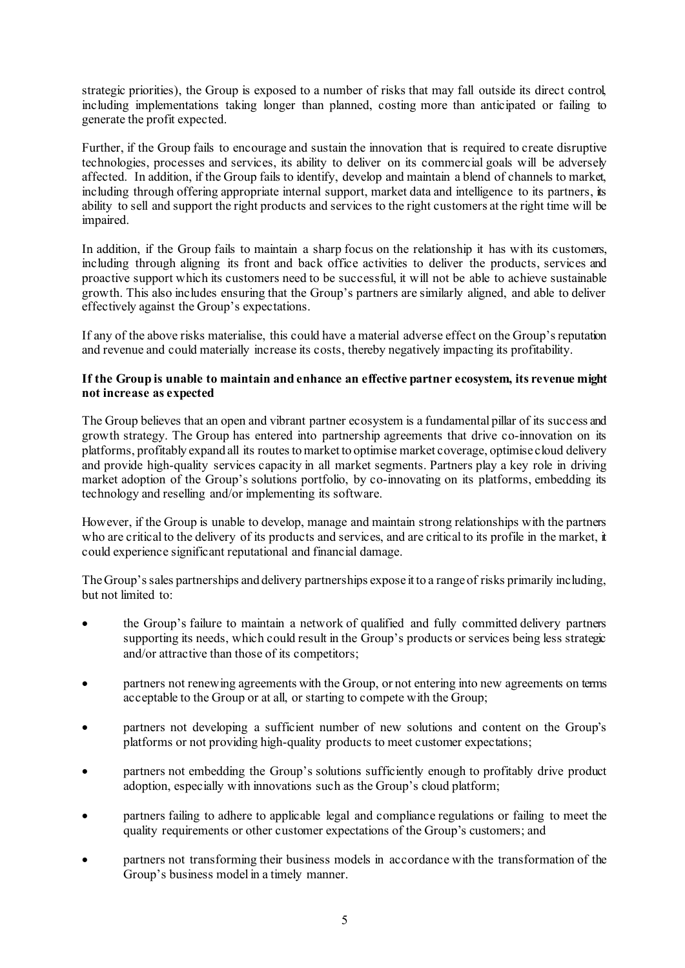strategic priorities), the Group is exposed to a number of risks that may fall outside its direct control, including implementations taking longer than planned, costing more than anticipated or failing to generate the profit expected.

Further, if the Group fails to encourage and sustain the innovation that is required to create disruptive technologies, processes and services, its ability to deliver on its commercial goals will be adversely affected. In addition, if the Group fails to identify, develop and maintain a blend of channels to market, including through offering appropriate internal support, market data and intelligence to its partners, its ability to sell and support the right products and services to the right customers at the right time will be impaired.

In addition, if the Group fails to maintain a sharp focus on the relationship it has with its customers, including through aligning its front and back office activities to deliver the products, services and proactive support which its customers need to be successful, it will not be able to achieve sustainable growth. This also includes ensuring that the Group's partners are similarly aligned, and able to deliver effectively against the Group's expectations.

If any of the above risks materialise, this could have a material adverse effect on the Group's reputation and revenue and could materially increase its costs, thereby negatively impacting its profitability.

### **If the Group is unable to maintain and enhance an effective partner ecosystem, its revenue might not increase as expected**

The Group believes that an open and vibrant partner ecosystem is a fundamental pillar of its success and growth strategy. The Group has entered into partnership agreements that drive co-innovation on its platforms, profitably expand all its routes to market to optimise market coverage, optimise cloud delivery and provide high-quality services capacity in all market segments. Partners play a key role in driving market adoption of the Group's solutions portfolio, by co-innovating on its platforms, embedding its technology and reselling and/or implementing its software.

However, if the Group is unable to develop, manage and maintain strong relationships with the partners who are critical to the delivery of its products and services, and are critical to its profile in the market, it could experience significant reputational and financial damage.

The Group's sales partnerships and delivery partnerships expose it to a range of risks primarily including, but not limited to:

- the Group's failure to maintain a network of qualified and fully committed delivery partners supporting its needs, which could result in the Group's products or services being less strategic and/or attractive than those of its competitors;
- partners not renewing agreements with the Group, or not entering into new agreements on terms acceptable to the Group or at all, or starting to compete with the Group;
- partners not developing a sufficient number of new solutions and content on the Group's platforms or not providing high-quality products to meet customer expectations;
- partners not embedding the Group's solutions sufficiently enough to profitably drive product adoption, especially with innovations such as the Group's cloud platform;
- partners failing to adhere to applicable legal and compliance regulations or failing to meet the quality requirements or other customer expectations of the Group's customers; and
- partners not transforming their business models in accordance with the transformation of the Group's business model in a timely manner.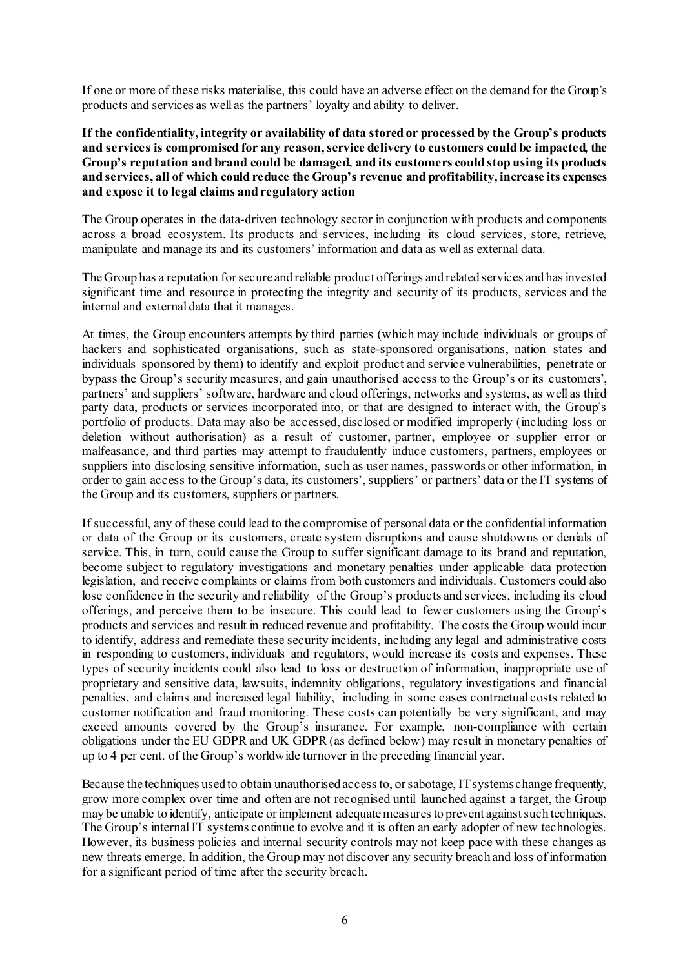If one or more of these risks materialise, this could have an adverse effect on the demand for the Group's products and services as well as the partners' loyalty and ability to deliver.

**If the confidentiality, integrity or availability of data stored or processed by the Group's products and services is compromised for any reason, service delivery to customers could be impacted, the Group's reputation and brand could be damaged, and its customers could stop using its products and services, all of which could reduce the Group's revenue and profitability, increase its expenses and expose it to legal claims and regulatory action**

The Group operates in the data-driven technology sector in conjunction with products and components across a broad ecosystem. Its products and services, including its cloud services, store, retrieve, manipulate and manage its and its customers' information and data as well as external data.

The Group has a reputation for secure and reliable product offerings and related services and has invested significant time and resource in protecting the integrity and security of its products, services and the internal and external data that it manages.

At times, the Group encounters attempts by third parties (which may include individuals or groups of hackers and sophisticated organisations, such as state-sponsored organisations, nation states and individuals sponsored by them) to identify and exploit product and service vulnerabilities, penetrate or bypass the Group's security measures, and gain unauthorised access to the Group's or its customers', partners' and suppliers' software, hardware and cloud offerings, networks and systems, as well as third party data, products or services incorporated into, or that are designed to interact with, the Group's portfolio of products. Data may also be accessed, disclosed or modified improperly (including loss or deletion without authorisation) as a result of customer, partner, employee or supplier error or malfeasance, and third parties may attempt to fraudulently induce customers, partners, employees or suppliers into disclosing sensitive information, such as user names, passwords or other information, in order to gain access to the Group's data, its customers', suppliers' or partners' data or the IT systems of the Group and its customers, suppliers or partners.

If successful, any of these could lead to the compromise of personal data or the confidential information or data of the Group or its customers, create system disruptions and cause shutdowns or denials of service. This, in turn, could cause the Group to suffer significant damage to its brand and reputation, become subject to regulatory investigations and monetary penalties under applicable data protection legislation, and receive complaints or claims from both customers and individuals. Customers could also lose confidence in the security and reliability of the Group's products and services, including its cloud offerings, and perceive them to be insecure. This could lead to fewer customers using the Group's products and services and result in reduced revenue and profitability. The costs the Group would incur to identify, address and remediate these security incidents, including any legal and administrative costs in responding to customers, individuals and regulators, would increase its costs and expenses. These types of security incidents could also lead to loss or destruction of information, inappropriate use of proprietary and sensitive data, lawsuits, indemnity obligations, regulatory investigations and financial penalties, and claims and increased legal liability, including in some cases contractual costs related to customer notification and fraud monitoring. These costs can potentially be very significant, and may exceed amounts covered by the Group's insurance. For example, non-compliance with certain obligations under the EU GDPR and UK GDPR (as defined below) may result in monetary penalties of up to 4 per cent. of the Group's worldwide turnover in the preceding financial year.

Because the techniques used to obtain unauthorised access to, or sabotage, IT systems change frequently, grow more complex over time and often are not recognised until launched against a target, the Group may be unable to identify, anticipate or implement adequate measures to prevent against such techniques. The Group's internal IT systems continue to evolve and it is often an early adopter of new technologies. However, its business policies and internal security controls may not keep pace with these changes as new threats emerge. In addition, the Group may not discover any security breach and loss of information for a significant period of time after the security breach.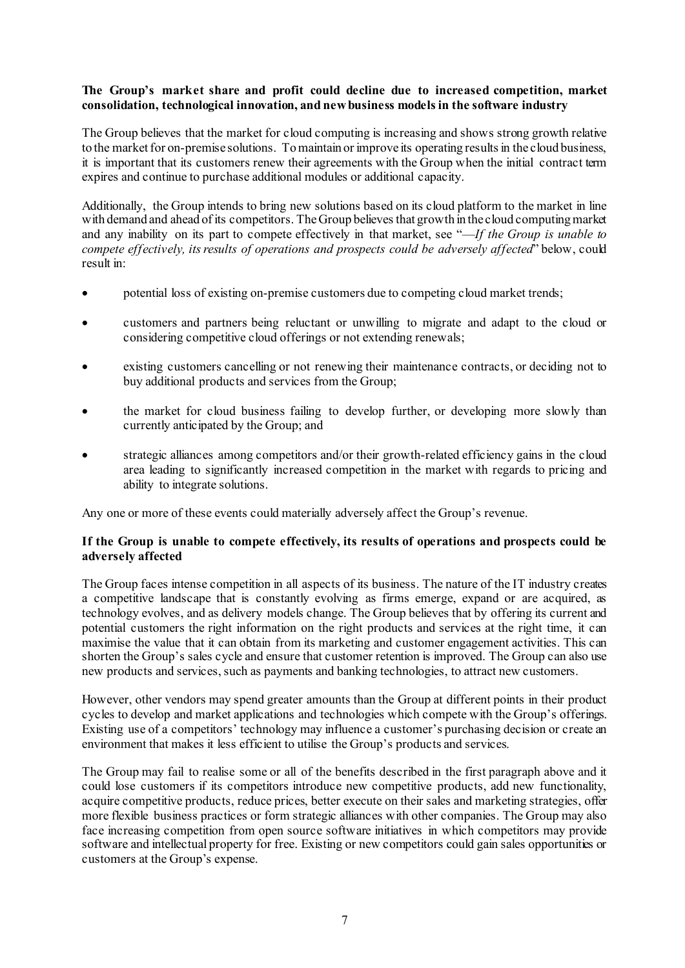### **The Group's market share and profit could decline due to increased competition, market consolidation, technological innovation, and new business models in the software industry**

The Group believes that the market for cloud computing is increasing and shows strong growth relative to the market for on-premise solutions. To maintain or improve its operating results in the cloud business, it is important that its customers renew their agreements with the Group when the initial contract term expires and continue to purchase additional modules or additional capacity.

Additionally, the Group intends to bring new solutions based on its cloud platform to the market in line with demand and ahead of its competitors. The Group believes that growth in the cloud computing market and any inability on its part to compete effectively in that market, see "—*If the Group is unable to compete effectively, its results of operations and prospects could be adversely affected*" below, could result in:

- potential loss of existing on-premise customers due to competing cloud market trends;
- customers and partners being reluctant or unwilling to migrate and adapt to the cloud or considering competitive cloud offerings or not extending renewals;
- existing customers cancelling or not renewing their maintenance contracts, or deciding not to buy additional products and services from the Group;
- the market for cloud business failing to develop further, or developing more slowly than currently anticipated by the Group; and
- strategic alliances among competitors and/or their growth-related efficiency gains in the cloud area leading to significantly increased competition in the market with regards to pricing and ability to integrate solutions.

Any one or more of these events could materially adversely affect the Group's revenue.

### **If the Group is unable to compete effectively, its results of operations and prospects could be adversely affected**

The Group faces intense competition in all aspects of its business. The nature of the IT industry creates a competitive landscape that is constantly evolving as firms emerge, expand or are acquired, as technology evolves, and as delivery models change. The Group believes that by offering its current and potential customers the right information on the right products and services at the right time, it can maximise the value that it can obtain from its marketing and customer engagement activities. This can shorten the Group's sales cycle and ensure that customer retention is improved. The Group can also use new products and services, such as payments and banking technologies, to attract new customers.

However, other vendors may spend greater amounts than the Group at different points in their product cycles to develop and market applications and technologies which compete with the Group's offerings. Existing use of a competitors' technology may influence a customer's purchasing decision or create an environment that makes it less efficient to utilise the Group's products and services.

The Group may fail to realise some or all of the benefits described in the first paragraph above and it could lose customers if its competitors introduce new competitive products, add new functionality, acquire competitive products, reduce prices, better execute on their sales and marketing strategies, offer more flexible business practices or form strategic alliances with other companies. The Group may also face increasing competition from open source software initiatives in which competitors may provide software and intellectual property for free. Existing or new competitors could gain sales opportunities or customers at the Group's expense.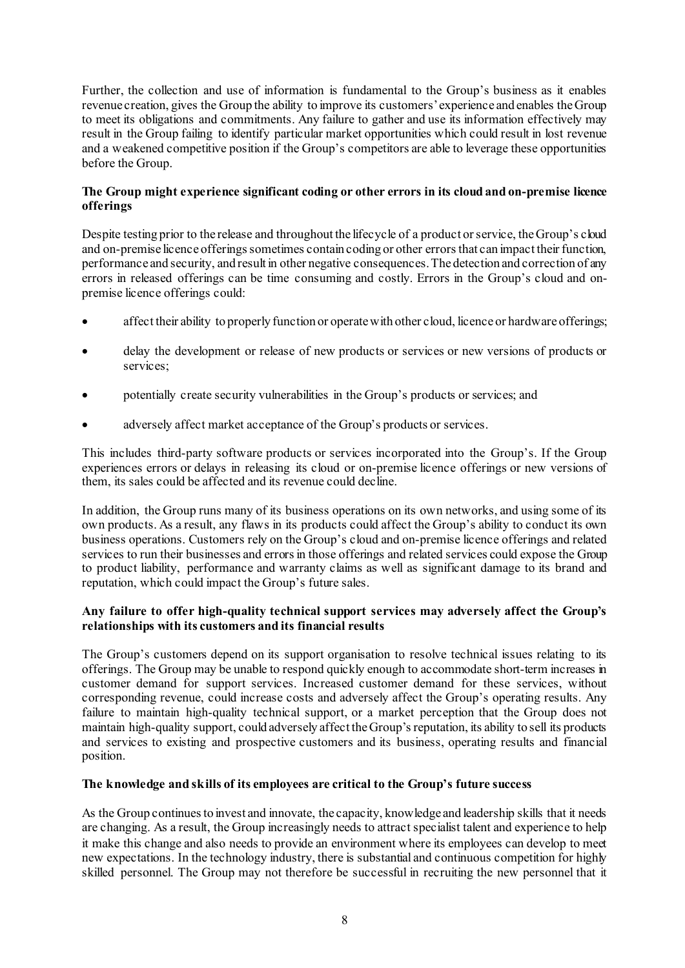Further, the collection and use of information is fundamental to the Group's business as it enables revenue creation, gives the Group the ability to improve its customers' experience and enables the Group to meet its obligations and commitments. Any failure to gather and use its information effectively may result in the Group failing to identify particular market opportunities which could result in lost revenue and a weakened competitive position if the Group's competitors are able to leverage these opportunities before the Group.

### **The Group might experience significant coding or other errors in its cloud and on-premise licence offerings**

Despite testing prior to the release and throughout the lifecycle of a product or service, the Group's cloud and on-premise licence offerings sometimes contain coding or other errors that can impact their function, performance and security, and result in other negative consequences. The detection and correction of any errors in released offerings can be time consuming and costly. Errors in the Group's cloud and onpremise licence offerings could:

- affect their ability to properly function or operate with other cloud, licence or hardware offerings;
- delay the development or release of new products or services or new versions of products or services;
- potentially create security vulnerabilities in the Group's products or services; and
- adversely affect market acceptance of the Group's products or services.

This includes third-party software products or services incorporated into the Group's. If the Group experiences errors or delays in releasing its cloud or on-premise licence offerings or new versions of them, its sales could be affected and its revenue could decline.

In addition, the Group runs many of its business operations on its own networks, and using some of its own products. As a result, any flaws in its products could affect the Group's ability to conduct its own business operations. Customers rely on the Group's cloud and on-premise licence offerings and related services to run their businesses and errors in those offerings and related services could expose the Group to product liability, performance and warranty claims as well as significant damage to its brand and reputation, which could impact the Group's future sales.

# **Any failure to offer high-quality technical support services may adversely affect the Group's relationships with its customers and its financial results**

The Group's customers depend on its support organisation to resolve technical issues relating to its offerings. The Group may be unable to respond quickly enough to accommodate short-term increases in customer demand for support services. Increased customer demand for these services, without corresponding revenue, could increase costs and adversely affect the Group's operating results. Any failure to maintain high-quality technical support, or a market perception that the Group does not maintain high-quality support, could adversely affect the Group's reputation, its ability to sell its products and services to existing and prospective customers and its business, operating results and financial position.

# **The knowledge and skills of its employees are critical to the Group's future success**

As the Group continues to invest and innovate, the capacity, knowledge and leadership skills that it needs are changing. As a result, the Group increasingly needs to attract specialist talent and experience to help it make this change and also needs to provide an environment where its employees can develop to meet new expectations. In the technology industry, there is substantial and continuous competition for highly skilled personnel. The Group may not therefore be successful in recruiting the new personnel that it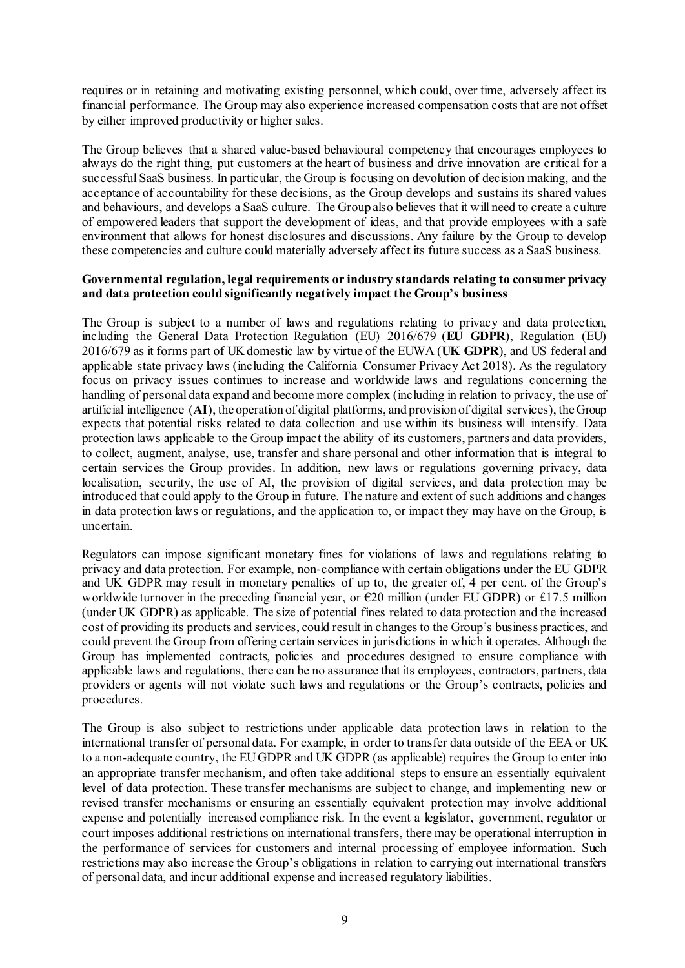requires or in retaining and motivating existing personnel, which could, over time, adversely affect its financial performance. The Group may also experience increased compensation costs that are not offset by either improved productivity or higher sales.

The Group believes that a shared value-based behavioural competency that encourages employees to always do the right thing, put customers at the heart of business and drive innovation are critical for a successful SaaS business. In particular, the Group is focusing on devolution of decision making, and the acceptance of accountability for these decisions, as the Group develops and sustains its shared values and behaviours, and develops a SaaS culture. The Group also believes that it will need to create a culture of empowered leaders that support the development of ideas, and that provide employees with a safe environment that allows for honest disclosures and discussions. Any failure by the Group to develop these competencies and culture could materially adversely affect its future success as a SaaS business.

#### **Governmental regulation, legal requirements or industry standards relating to consumer privacy and data protection could significantly negatively impact the Group's business**

The Group is subject to a number of laws and regulations relating to privacy and data protection, including the General Data Protection Regulation (EU) 2016/679 (**EU GDPR**), Regulation (EU) 2016/679 as it forms part of UK domestic law by virtue of the EUWA (**UK GDPR**), and US federal and applicable state privacy laws (including the California Consumer Privacy Act 2018). As the regulatory focus on privacy issues continues to increase and worldwide laws and regulations concerning the handling of personal data expand and become more complex (including in relation to privacy, the use of artificial intelligence (**AI**), the operation of digital platforms, and provision of digital services), the Group expects that potential risks related to data collection and use within its business will intensify. Data protection laws applicable to the Group impact the ability of its customers, partners and data providers, to collect, augment, analyse, use, transfer and share personal and other information that is integral to certain services the Group provides. In addition, new laws or regulations governing privacy, data localisation, security, the use of AI, the provision of digital services, and data protection may be introduced that could apply to the Group in future. The nature and extent of such additions and changes in data protection laws or regulations, and the application to, or impact they may have on the Group, is uncertain.

Regulators can impose significant monetary fines for violations of laws and regulations relating to privacy and data protection. For example, non-compliance with certain obligations under the EU GDPR and UK GDPR may result in monetary penalties of up to, the greater of, 4 per cent. of the Group's worldwide turnover in the preceding financial year, or  $\epsilon$ 20 million (under EU GDPR) or £17.5 million (under UK GDPR) as applicable. The size of potential fines related to data protection and the increased cost of providing its products and services, could result in changes to the Group's business practices, and could prevent the Group from offering certain services in jurisdictions in which it operates. Although the Group has implemented contracts, policies and procedures designed to ensure compliance with applicable laws and regulations, there can be no assurance that its employees, contractors, partners, data providers or agents will not violate such laws and regulations or the Group's contracts, policies and procedures.

The Group is also subject to restrictions under applicable data protection laws in relation to the international transfer of personal data. For example, in order to transfer data outside of the EEA or UK to a non-adequate country, the EU GDPR and UK GDPR (as applicable) requires the Group to enter into an appropriate transfer mechanism, and often take additional steps to ensure an essentially equivalent level of data protection. These transfer mechanisms are subject to change, and implementing new or revised transfer mechanisms or ensuring an essentially equivalent protection may involve additional expense and potentially increased compliance risk. In the event a legislator, government, regulator or court imposes additional restrictions on international transfers, there may be operational interruption in the performance of services for customers and internal processing of employee information. Such restrictions may also increase the Group's obligations in relation to carrying out international transfers of personal data, and incur additional expense and increased regulatory liabilities.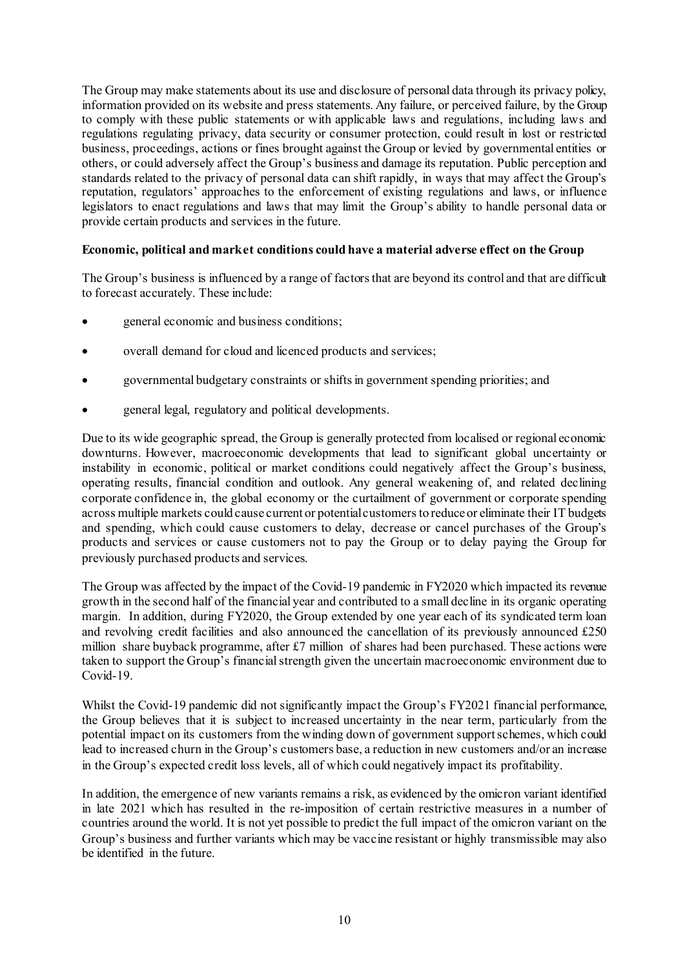The Group may make statements about its use and disclosure of personal data through its privacy policy, information provided on its website and press statements. Any failure, or perceived failure, by the Group to comply with these public statements or with applicable laws and regulations, including laws and regulations regulating privacy, data security or consumer protection, could result in lost or restricted business, proceedings, actions or fines brought against the Group or levied by governmental entities or others, or could adversely affect the Group's business and damage its reputation. Public perception and standards related to the privacy of personal data can shift rapidly, in ways that may affect the Group's reputation, regulators' approaches to the enforcement of existing regulations and laws, or influence legislators to enact regulations and laws that may limit the Group's ability to handle personal data or provide certain products and services in the future.

### **Economic, political and market conditions could have a material adverse effect on the Group**

The Group's business is influenced by a range of factors that are beyond its control and that are difficult to forecast accurately. These include:

- general economic and business conditions;
- overall demand for cloud and licenced products and services;
- governmental budgetary constraints or shifts in government spending priorities; and
- general legal, regulatory and political developments.

Due to its wide geographic spread, the Group is generally protected from localised or regional economic downturns. However, macroeconomic developments that lead to significant global uncertainty or instability in economic, political or market conditions could negatively affect the Group's business, operating results, financial condition and outlook. Any general weakening of, and related declining corporate confidence in, the global economy or the curtailment of government or corporate spending across multiple markets could cause current or potential customers to reduce or eliminate their IT budgets and spending, which could cause customers to delay, decrease or cancel purchases of the Group's products and services or cause customers not to pay the Group or to delay paying the Group for previously purchased products and services.

The Group was affected by the impact of the Covid-19 pandemic in FY2020 which impacted its revenue growth in the second half of the financial year and contributed to a small decline in its organic operating margin. In addition, during FY2020, the Group extended by one year each of its syndicated term loan and revolving credit facilities and also announced the cancellation of its previously announced £250 million share buyback programme, after £7 million of shares had been purchased. These actions were taken to support the Group's financial strength given the uncertain macroeconomic environment due to Covid-19.

Whilst the Covid-19 pandemic did not significantly impact the Group's FY2021 financial performance, the Group believes that it is subject to increased uncertainty in the near term, particularly from the potential impact on its customers from the winding down of government support schemes, which could lead to increased churn in the Group's customers base, a reduction in new customers and/or an increase in the Group's expected credit loss levels, all of which could negatively impact its profitability.

In addition, the emergence of new variants remains a risk, as evidenced by the omicron variant identified in late 2021 which has resulted in the re-imposition of certain restrictive measures in a number of countries around the world. It is not yet possible to predict the full impact of the omicron variant on the Group's business and further variants which may be vaccine resistant or highly transmissible may also be identified in the future.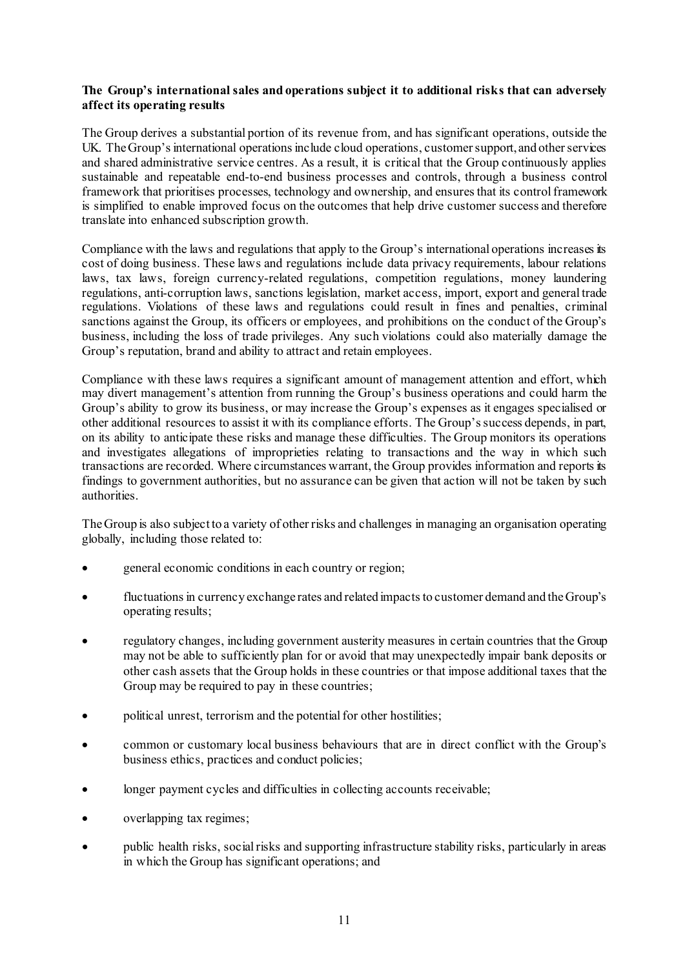### **The Group's international sales and operations subject it to additional risks that can adversely affect its operating results**

The Group derives a substantial portion of its revenue from, and has significant operations, outside the UK. The Group's international operations include cloud operations, customer support, and other services and shared administrative service centres. As a result, it is critical that the Group continuously applies sustainable and repeatable end-to-end business processes and controls, through a business control framework that prioritises processes, technology and ownership, and ensures that its control framework is simplified to enable improved focus on the outcomes that help drive customer success and therefore translate into enhanced subscription growth.

Compliance with the laws and regulations that apply to the Group's international operations increases its cost of doing business. These laws and regulations include data privacy requirements, labour relations laws, tax laws, foreign currency-related regulations, competition regulations, money laundering regulations, anti-corruption laws, sanctions legislation, market access, import, export and general trade regulations. Violations of these laws and regulations could result in fines and penalties, criminal sanctions against the Group, its officers or employees, and prohibitions on the conduct of the Group's business, including the loss of trade privileges. Any such violations could also materially damage the Group's reputation, brand and ability to attract and retain employees.

Compliance with these laws requires a significant amount of management attention and effort, which may divert management's attention from running the Group's business operations and could harm the Group's ability to grow its business, or may increase the Group's expenses as it engages specialised or other additional resources to assist it with its compliance efforts. The Group's success depends, in part, on its ability to anticipate these risks and manage these difficulties. The Group monitors its operations and investigates allegations of improprieties relating to transactions and the way in which such transactions are recorded. Where circumstances warrant, the Group provides information and reports its findings to government authorities, but no assurance can be given that action will not be taken by such authorities.

The Group is also subject to a variety of other risks and challenges in managing an organisation operating globally, including those related to:

- general economic conditions in each country or region;
- fluctuations in currency exchange rates and related impacts to customer demand and the Group's operating results;
- regulatory changes, including government austerity measures in certain countries that the Group may not be able to sufficiently plan for or avoid that may unexpectedly impair bank deposits or other cash assets that the Group holds in these countries or that impose additional taxes that the Group may be required to pay in these countries;
- political unrest, terrorism and the potential for other hostilities;
- common or customary local business behaviours that are in direct conflict with the Group's business ethics, practices and conduct policies;
- longer payment cycles and difficulties in collecting accounts receivable;
- overlapping tax regimes;
- public health risks, social risks and supporting infrastructure stability risks, particularly in areas in which the Group has significant operations; and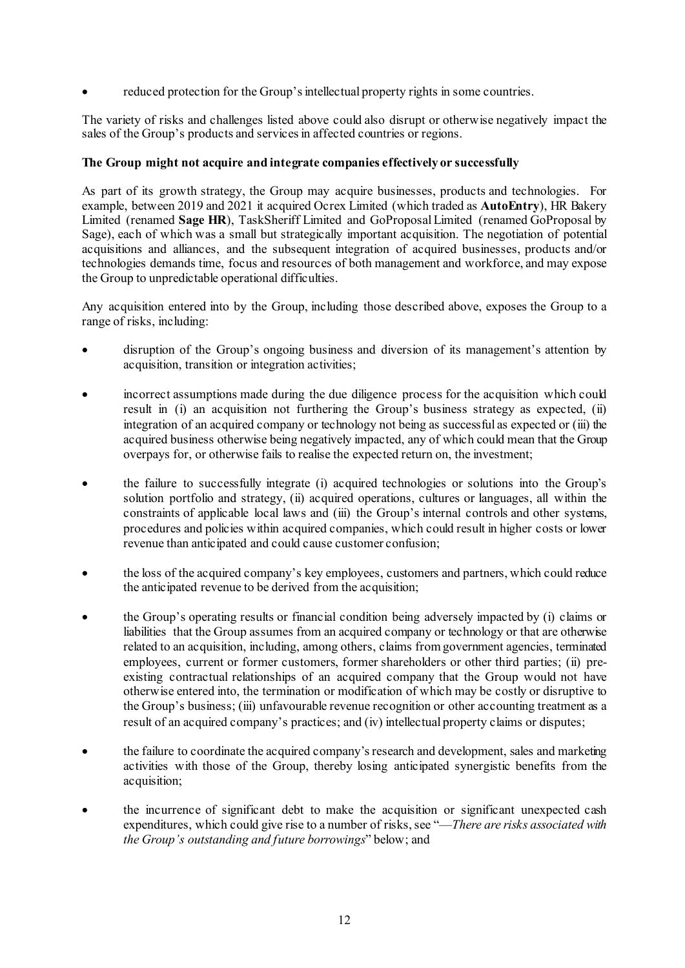reduced protection for the Group's intellectual property rights in some countries.

The variety of risks and challenges listed above could also disrupt or otherwise negatively impact the sales of the Group's products and services in affected countries or regions.

# **The Group might not acquire and integrate companies effectively or successfully**

As part of its growth strategy, the Group may acquire businesses, products and technologies. For example, between 2019 and 2021 it acquired Ocrex Limited (which traded as **AutoEntry**), HR Bakery Limited (renamed **Sage HR**), TaskSheriff Limited and GoProposal Limited (renamed GoProposal by Sage), each of which was a small but strategically important acquisition. The negotiation of potential acquisitions and alliances, and the subsequent integration of acquired businesses, products and/or technologies demands time, focus and resources of both management and workforce, and may expose the Group to unpredictable operational difficulties.

Any acquisition entered into by the Group, including those described above, exposes the Group to a range of risks, including:

- disruption of the Group's ongoing business and diversion of its management's attention by acquisition, transition or integration activities;
- incorrect assumptions made during the due diligence process for the acquisition which could result in (i) an acquisition not furthering the Group's business strategy as expected, (ii) integration of an acquired company or technology not being as successful as expected or (iii) the acquired business otherwise being negatively impacted, any of which could mean that the Group overpays for, or otherwise fails to realise the expected return on, the investment;
- the failure to successfully integrate (i) acquired technologies or solutions into the Group's solution portfolio and strategy, (ii) acquired operations, cultures or languages, all within the constraints of applicable local laws and (iii) the Group's internal controls and other systems, procedures and policies within acquired companies, which could result in higher costs or lower revenue than anticipated and could cause customer confusion;
- the loss of the acquired company's key employees, customers and partners, which could reduce the anticipated revenue to be derived from the acquisition;
- the Group's operating results or financial condition being adversely impacted by (i) claims or liabilities that the Group assumes from an acquired company or technology or that are otherwise related to an acquisition, including, among others, claims from government agencies, terminated employees, current or former customers, former shareholders or other third parties; (ii) preexisting contractual relationships of an acquired company that the Group would not have otherwise entered into, the termination or modification of which may be costly or disruptive to the Group's business; (iii) unfavourable revenue recognition or other accounting treatment as a result of an acquired company's practices; and (iv) intellectual property claims or disputes;
- the failure to coordinate the acquired company's research and development, sales and marketing activities with those of the Group, thereby losing anticipated synergistic benefits from the acquisition;
- the incurrence of significant debt to make the acquisition or significant unexpected cash expenditures, which could give rise to a number of risks, see "—*There are risks associated with the Group's outstanding and future borrowings*" below; and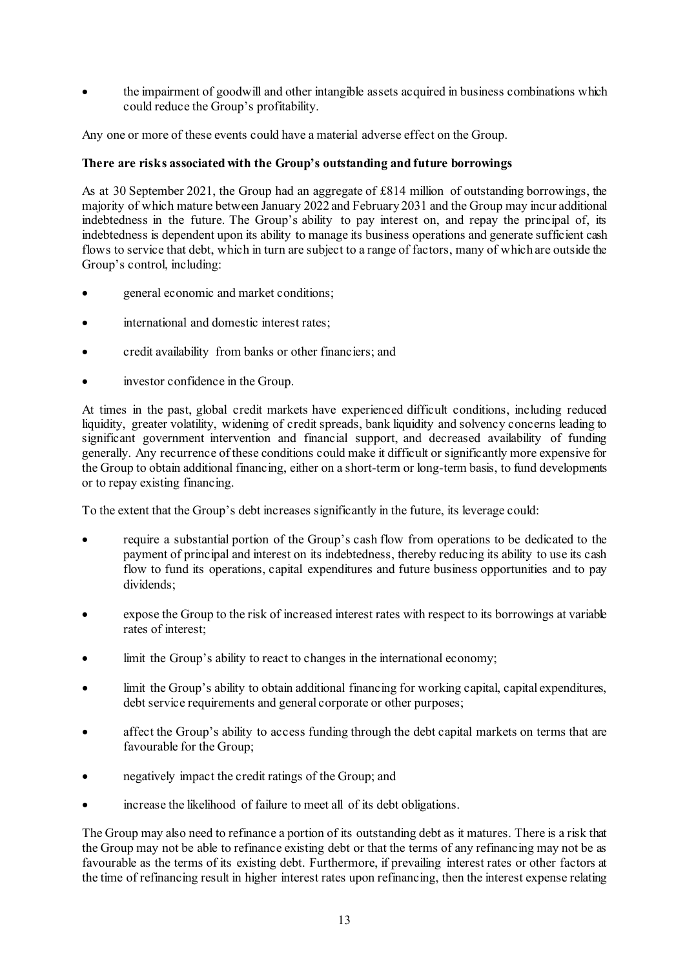• the impairment of goodwill and other intangible assets acquired in business combinations which could reduce the Group's profitability.

Any one or more of these events could have a material adverse effect on the Group.

# **There are risks associated with the Group's outstanding and future borrowings**

As at 30 September 2021, the Group had an aggregate of £814 million of outstanding borrowings, the majority of which mature between January 2022 and February 2031 and the Group may incur additional indebtedness in the future. The Group's ability to pay interest on, and repay the principal of, its indebtedness is dependent upon its ability to manage its business operations and generate sufficient cash flows to service that debt, which in turn are subject to a range of factors, many of which are outside the Group's control, including:

- general economic and market conditions;
- international and domestic interest rates:
- credit availability from banks or other financiers; and
- investor confidence in the Group.

At times in the past, global credit markets have experienced difficult conditions, including reduced liquidity, greater volatility, widening of credit spreads, bank liquidity and solvency concerns leading to significant government intervention and financial support, and decreased availability of funding generally. Any recurrence of these conditions could make it difficult or significantly more expensive for the Group to obtain additional financing, either on a short-term or long-term basis, to fund developments or to repay existing financing.

To the extent that the Group's debt increases significantly in the future, its leverage could:

- require a substantial portion of the Group's cash flow from operations to be dedicated to the payment of principal and interest on its indebtedness, thereby reducing its ability to use its cash flow to fund its operations, capital expenditures and future business opportunities and to pay dividends;
- expose the Group to the risk of increased interest rates with respect to its borrowings at variable rates of interest;
- limit the Group's ability to react to changes in the international economy;
- limit the Group's ability to obtain additional financing for working capital, capital expenditures, debt service requirements and general corporate or other purposes;
- affect the Group's ability to access funding through the debt capital markets on terms that are favourable for the Group;
- negatively impact the credit ratings of the Group; and
- increase the likelihood of failure to meet all of its debt obligations.

The Group may also need to refinance a portion of its outstanding debt as it matures. There is a risk that the Group may not be able to refinance existing debt or that the terms of any refinancing may not be as favourable as the terms of its existing debt. Furthermore, if prevailing interest rates or other factors at the time of refinancing result in higher interest rates upon refinancing, then the interest expense relating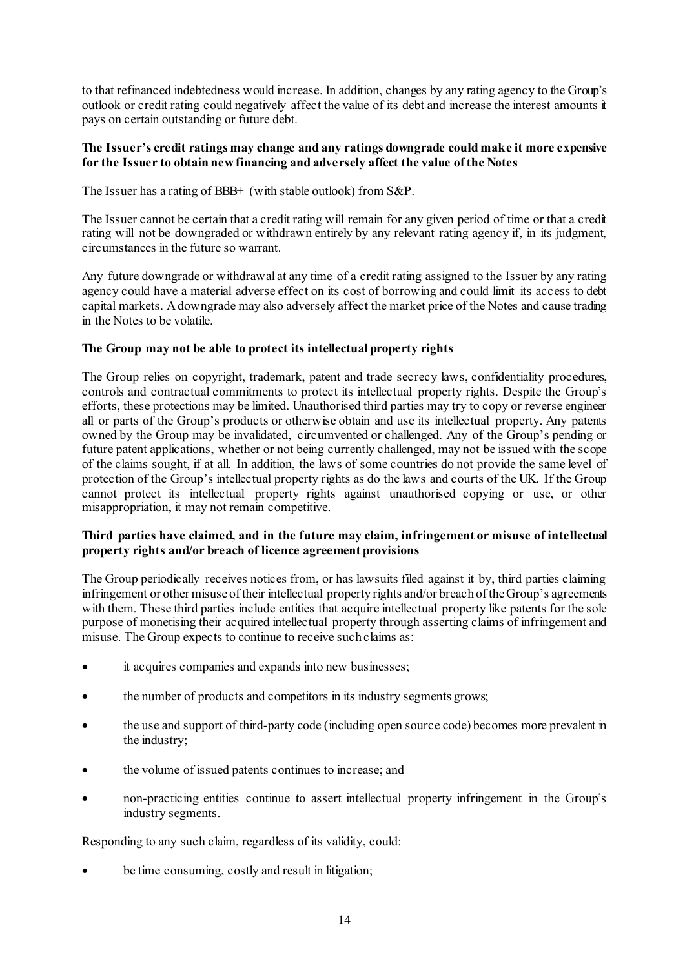to that refinanced indebtedness would increase. In addition, changes by any rating agency to the Group's outlook or credit rating could negatively affect the value of its debt and increase the interest amounts it pays on certain outstanding or future debt.

### **The Issuer's credit ratings may change and any ratings downgrade could make it more expensive for the Issuer to obtain new financing and adversely affect the value of the Notes**

The Issuer has a rating of BBB+ (with stable outlook) from S&P.

The Issuer cannot be certain that a credit rating will remain for any given period of time or that a credit rating will not be downgraded or withdrawn entirely by any relevant rating agency if, in its judgment, circumstances in the future so warrant.

Any future downgrade or withdrawal at any time of a credit rating assigned to the Issuer by any rating agency could have a material adverse effect on its cost of borrowing and could limit its access to debt capital markets. A downgrade may also adversely affect the market price of the Notes and cause trading in the Notes to be volatile.

# **The Group may not be able to protect its intellectual property rights**

The Group relies on copyright, trademark, patent and trade secrecy laws, confidentiality procedures, controls and contractual commitments to protect its intellectual property rights. Despite the Group's efforts, these protections may be limited. Unauthorised third parties may try to copy or reverse engineer all or parts of the Group's products or otherwise obtain and use its intellectual property. Any patents owned by the Group may be invalidated, circumvented or challenged. Any of the Group's pending or future patent applications, whether or not being currently challenged, may not be issued with the scope of the claims sought, if at all. In addition, the laws of some countries do not provide the same level of protection of the Group's intellectual property rights as do the laws and courts of the UK. If the Group cannot protect its intellectual property rights against unauthorised copying or use, or other misappropriation, it may not remain competitive.

### **Third parties have claimed, and in the future may claim, infringement or misuse of intellectual property rights and/or breach of licence agreement provisions**

The Group periodically receives notices from, or has lawsuits filed against it by, third parties claiming infringement or other misuse of their intellectual property rights and/or breach of the Group's agreements with them. These third parties include entities that acquire intellectual property like patents for the sole purpose of monetising their acquired intellectual property through asserting claims of infringement and misuse. The Group expects to continue to receive such claims as:

- it acquires companies and expands into new businesses;
- the number of products and competitors in its industry segments grows;
- the use and support of third-party code (including open source code) becomes more prevalent in the industry;
- the volume of issued patents continues to increase; and
- non-practicing entities continue to assert intellectual property infringement in the Group's industry segments.

Responding to any such claim, regardless of its validity, could:

be time consuming, costly and result in litigation;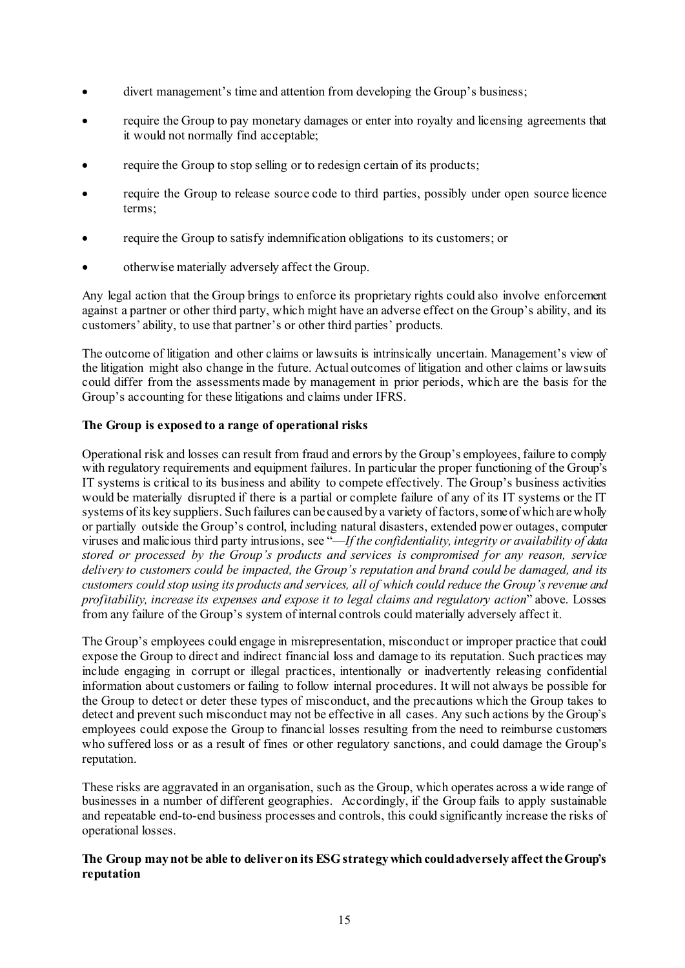- divert management's time and attention from developing the Group's business;
- require the Group to pay monetary damages or enter into royalty and licensing agreements that it would not normally find acceptable;
- require the Group to stop selling or to redesign certain of its products;
- require the Group to release source code to third parties, possibly under open source licence terms;
- require the Group to satisfy indemnification obligations to its customers; or
- otherwise materially adversely affect the Group.

Any legal action that the Group brings to enforce its proprietary rights could also involve enforcement against a partner or other third party, which might have an adverse effect on the Group's ability, and its customers' ability, to use that partner's or other third parties' products.

The outcome of litigation and other claims or lawsuits is intrinsically uncertain. Management's view of the litigation might also change in the future. Actual outcomes of litigation and other claims or lawsuits could differ from the assessments made by management in prior periods, which are the basis for the Group's accounting for these litigations and claims under IFRS.

# **The Group is exposed to a range of operational risks**

Operational risk and losses can result from fraud and errors by the Group's employees, failure to comply with regulatory requirements and equipment failures. In particular the proper functioning of the Group's IT systems is critical to its business and ability to compete effectively. The Group's business activities would be materially disrupted if there is a partial or complete failure of any of its IT systems or the IT systems of its key suppliers. Such failures can be caused by a variety of factors, some of which are wholly or partially outside the Group's control, including natural disasters, extended power outages, computer viruses and malicious third party intrusions, see "—*If the confidentiality, integrity or availability of data stored or processed by the Group's products and services is compromised for any reason, service delivery to customers could be impacted, the Group's reputation and brand could be damaged, and its customers could stop using its products and services, all of which could reduce the Group's revenue and profitability, increase its expenses and expose it to legal claims and regulatory action*" above. Losses from any failure of the Group's system of internal controls could materially adversely affect it.

The Group's employees could engage in misrepresentation, misconduct or improper practice that could expose the Group to direct and indirect financial loss and damage to its reputation. Such practices may include engaging in corrupt or illegal practices, intentionally or inadvertently releasing confidential information about customers or failing to follow internal procedures. It will not always be possible for the Group to detect or deter these types of misconduct, and the precautions which the Group takes to detect and prevent such misconduct may not be effective in all cases. Any such actions by the Group's employees could expose the Group to financial losses resulting from the need to reimburse customers who suffered loss or as a result of fines or other regulatory sanctions, and could damage the Group's reputation.

These risks are aggravated in an organisation, such as the Group, which operates across a wide range of businesses in a number of different geographies. Accordingly, if the Group fails to apply sustainable and repeatable end-to-end business processes and controls, this could significantly increase the risks of operational losses.

### **The Group may not be able to deliver on its ESG strategy which could adversely affect the Group's reputation**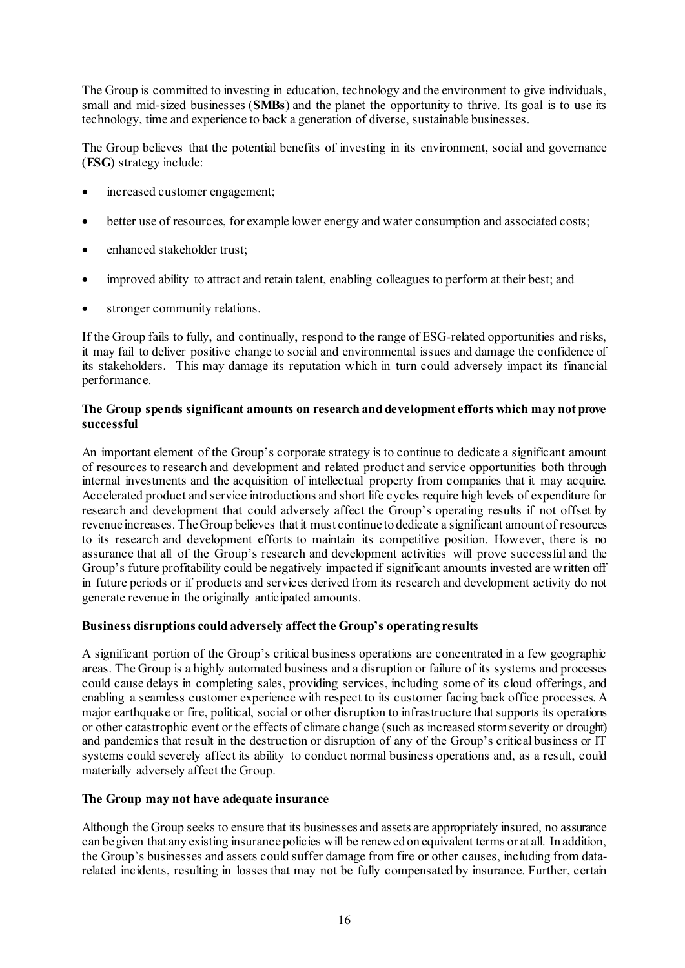The Group is committed to investing in education, technology and the environment to give individuals, small and mid-sized businesses (**SMBs**) and the planet the opportunity to thrive. Its goal is to use its technology, time and experience to back a generation of diverse, sustainable businesses.

The Group believes that the potential benefits of investing in its environment, social and governance (**ESG**) strategy include:

- increased customer engagement;
- better use of resources, for example lower energy and water consumption and associated costs;
- enhanced stakeholder trust;
- improved ability to attract and retain talent, enabling colleagues to perform at their best; and
- stronger community relations.

If the Group fails to fully, and continually, respond to the range of ESG-related opportunities and risks, it may fail to deliver positive change to social and environmental issues and damage the confidence of its stakeholders. This may damage its reputation which in turn could adversely impact its financial performance.

### **The Group spends significant amounts on research and development efforts which may not prove successful**

An important element of the Group's corporate strategy is to continue to dedicate a significant amount of resources to research and development and related product and service opportunities both through internal investments and the acquisition of intellectual property from companies that it may acquire. Accelerated product and service introductions and short life cycles require high levels of expenditure for research and development that could adversely affect the Group's operating results if not offset by revenue increases. The Group believes that it must continue to dedicate a significant amount of resources to its research and development efforts to maintain its competitive position. However, there is no assurance that all of the Group's research and development activities will prove successful and the Group's future profitability could be negatively impacted if significant amounts invested are written off in future periods or if products and services derived from its research and development activity do not generate revenue in the originally anticipated amounts.

# **Business disruptions could adversely affect the Group's operating results**

A significant portion of the Group's critical business operations are concentrated in a few geographic areas. The Group is a highly automated business and a disruption or failure of its systems and processes could cause delays in completing sales, providing services, including some of its cloud offerings, and enabling a seamless customer experience with respect to its customer facing back office processes. A major earthquake or fire, political, social or other disruption to infrastructure that supports its operations or other catastrophic event or the effects of climate change (such as increased storm severity or drought) and pandemics that result in the destruction or disruption of any of the Group's critical business or IT systems could severely affect its ability to conduct normal business operations and, as a result, could materially adversely affect the Group.

# **The Group may not have adequate insurance**

Although the Group seeks to ensure that its businesses and assets are appropriately insured, no assurance can be given that any existing insurance policies will be renewed on equivalent terms or at all. In addition, the Group's businesses and assets could suffer damage from fire or other causes, including from datarelated incidents, resulting in losses that may not be fully compensated by insurance. Further, certain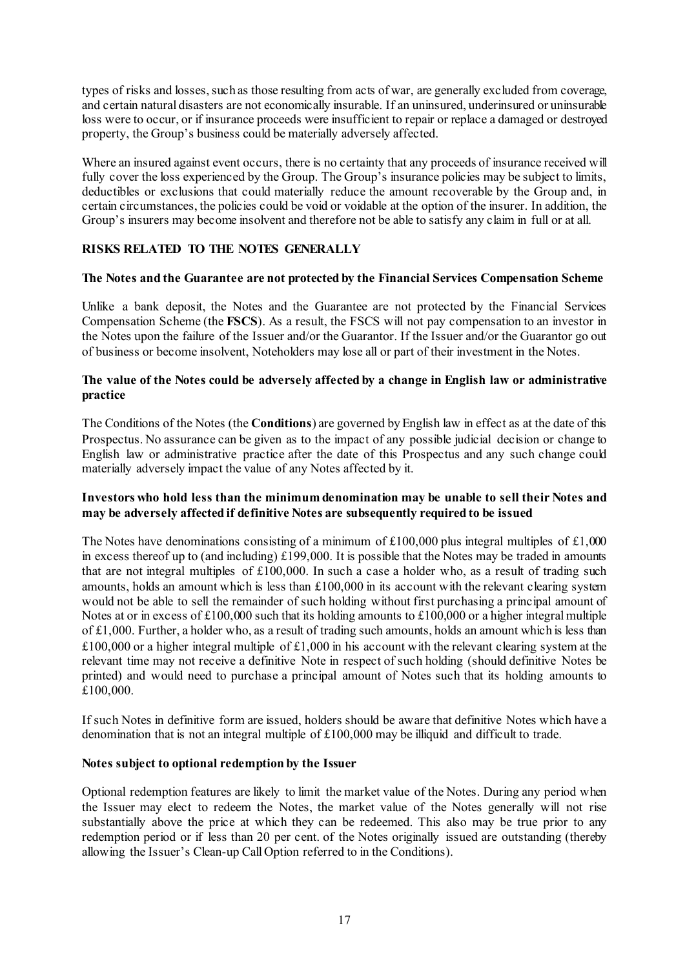types of risks and losses, such as those resulting from acts of war, are generally excluded from coverage, and certain natural disasters are not economically insurable. If an uninsured, underinsured or uninsurable loss were to occur, or if insurance proceeds were insufficient to repair or replace a damaged or destroyed property, the Group's business could be materially adversely affected.

Where an insured against event occurs, there is no certainty that any proceeds of insurance received will fully cover the loss experienced by the Group. The Group's insurance policies may be subject to limits, deductibles or exclusions that could materially reduce the amount recoverable by the Group and, in certain circumstances, the policies could be void or voidable at the option of the insurer. In addition, the Group's insurers may become insolvent and therefore not be able to satisfy any claim in full or at all.

# **RISKS RELATED TO THE NOTES GENERALLY**

# **The Notes and the Guarantee are not protected by the Financial Services Compensation Scheme**

Unlike a bank deposit, the Notes and the Guarantee are not protected by the Financial Services Compensation Scheme (the **FSCS**). As a result, the FSCS will not pay compensation to an investor in the Notes upon the failure of the Issuer and/or the Guarantor. If the Issuer and/or the Guarantor go out of business or become insolvent, Noteholders may lose all or part of their investment in the Notes.

### **The value of the Notes could be adversely affected by a change in English law or administrative practice**

The Conditions of the Notes (the **Conditions**) are governed by English law in effect as at the date of this Prospectus. No assurance can be given as to the impact of any possible judicial decision or change to English law or administrative practice after the date of this Prospectus and any such change could materially adversely impact the value of any Notes affected by it.

### **Investors who hold less than the minimum denomination may be unable to sell their Notes and may be adversely affected if definitive Notes are subsequently required to be issued**

The Notes have denominations consisting of a minimum of  $£100,000$  plus integral multiples of £1,000 in excess thereof up to (and including) £199,000. It is possible that the Notes may be traded in amounts that are not integral multiples of £100,000. In such a case a holder who, as a result of trading such amounts, holds an amount which is less than £100,000 in its account with the relevant clearing system would not be able to sell the remainder of such holding without first purchasing a principal amount of Notes at or in excess of  $\text{\pounds}100,000$  such that its holding amounts to  $\text{\pounds}100,000$  or a higher integral multiple of £1,000. Further, a holder who, as a result of trading such amounts, holds an amount which is less than £100,000 or a higher integral multiple of £1,000 in his account with the relevant clearing system at the relevant time may not receive a definitive Note in respect of such holding (should definitive Notes be printed) and would need to purchase a principal amount of Notes such that its holding amounts to £100,000.

If such Notes in definitive form are issued, holders should be aware that definitive Notes which have a denomination that is not an integral multiple of £100,000 may be illiquid and difficult to trade.

#### **Notes subject to optional redemption by the Issuer**

Optional redemption features are likely to limit the market value of the Notes. During any period when the Issuer may elect to redeem the Notes, the market value of the Notes generally will not rise substantially above the price at which they can be redeemed. This also may be true prior to any redemption period or if less than 20 per cent. of the Notes originally issued are outstanding (thereby allowing the Issuer's Clean-up Call Option referred to in the Conditions).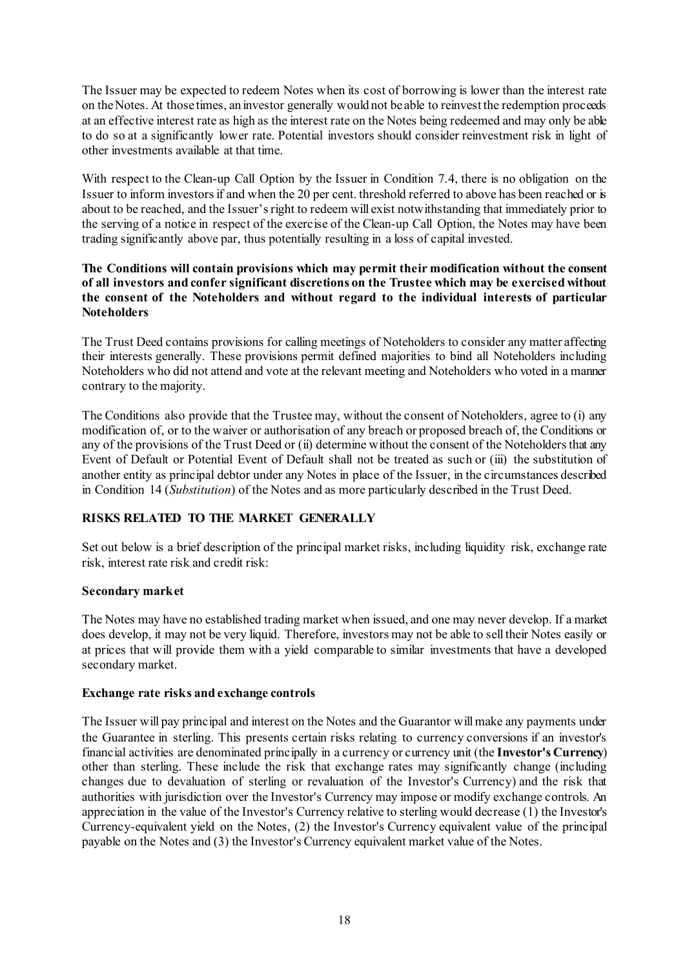The Issuer may be expected to redeem Notes when its cost of borrowing is lower than the interest rate on the Notes. At those times, an investor generally would not be able to reinvest the redemption proceeds at an effective interest rate as high as the interest rate on the Notes being redeemed and may only be able to do so at a significantly lower rate. Potential investors should consider reinvestment risk in light of other investments available at that time.

With respect to the Clean-up Call Option by the Issuer in Condition 7.4, there is no obligation on the Issuer to inform investors if and when the 20 per cent. threshold referred to above has been reached or is about to be reached, and the Issuer's right to redeem will exist notwithstanding that immediately prior to the serving of a notice in respect of the exercise of the Clean-up Call Option, the Notes may have been trading significantly above par, thus potentially resulting in a loss of capital invested.

### **The Conditions will contain provisions which may permit their modification without the consent of all investors and confer significant discretions on the Trustee which may be exercised without the consent of the Noteholders and without regard to the individual interests of particular Noteholders**

The Trust Deed contains provisions for calling meetings of Noteholders to consider any matter affecting their interests generally. These provisions permit defined majorities to bind all Noteholders including Noteholders who did not attend and vote at the relevant meeting and Noteholders who voted in a manner contrary to the majority.

The Conditions also provide that the Trustee may, without the consent of Noteholders, agree to (i) any modification of, or to the waiver or authorisation of any breach or proposed breach of, the Conditions or any of the provisions of the Trust Deed or (ii) determine without the consent of the Noteholders that any Event of Default or Potential Event of Default shall not be treated as such or (iii) the substitution of another entity as principal debtor under any Notes in place of the Issuer, in the circumstances described in Condition [14](#page-48-0) (*Substitution*) of the Notes and as more particularly described in the Trust Deed.

# **RISKS RELATED TO THE MARKET GENERALLY**

Set out below is a brief description of the principal market risks, including liquidity risk, exchange rate risk, interest rate risk and credit risk:

# **Secondary market**

The Notes may have no established trading market when issued, and one may never develop. If a market does develop, it may not be very liquid. Therefore, investors may not be able to sell their Notes easily or at prices that will provide them with a yield comparable to similar investments that have a developed secondary market.

#### **Exchange rate risks and exchange controls**

The Issuer will pay principal and interest on the Notes and the Guarantor will make any payments under the Guarantee in sterling. This presents certain risks relating to currency conversions if an investor's financial activities are denominated principally in a currency or currency unit (the **Investor's Currency**) other than sterling. These include the risk that exchange rates may significantly change (including changes due to devaluation of sterling or revaluation of the Investor's Currency) and the risk that authorities with jurisdiction over the Investor's Currency may impose or modify exchange controls. An appreciation in the value of the Investor's Currency relative to sterling would decrease (1) the Investor's Currency-equivalent yield on the Notes, (2) the Investor's Currency equivalent value of the principal payable on the Notes and (3) the Investor's Currency equivalent market value of the Notes.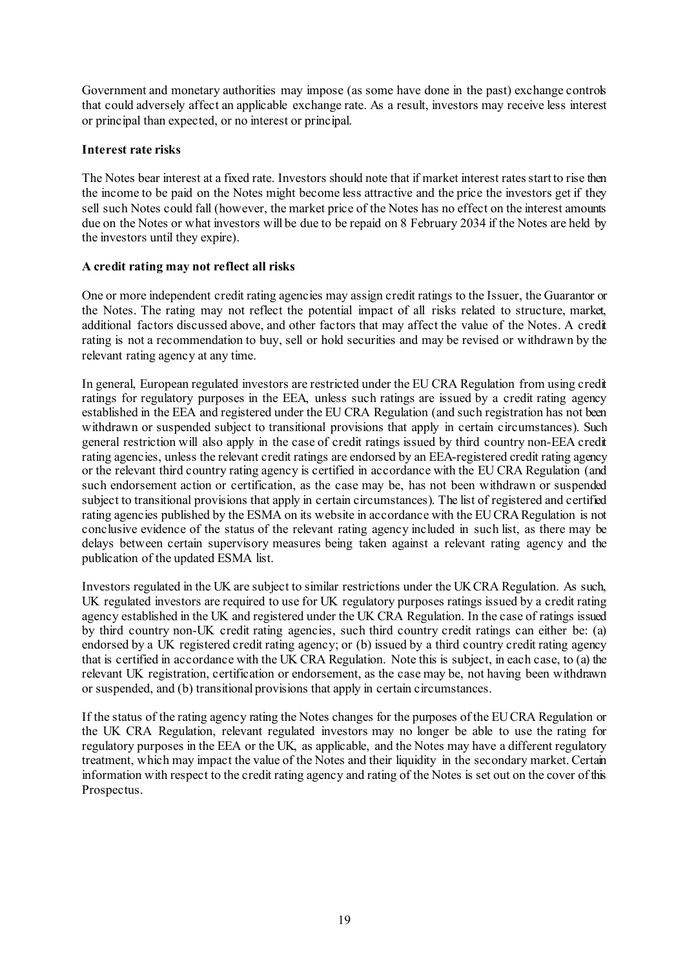Government and monetary authorities may impose (as some have done in the past) exchange controls that could adversely affect an applicable exchange rate. As a result, investors may receive less interest or principal than expected, or no interest or principal.

# **Interest rate risks**

The Notes bear interest at a fixed rate. Investors should note that if market interest rates start to rise then the income to be paid on the Notes might become less attractive and the price the investors get if they sell such Notes could fall (however, the market price of the Notes has no effect on the interest amounts due on the Notes or what investors will be due to be repaid on 8 February 2034 if the Notes are held by the investors until they expire).

# **A credit rating may not reflect all risks**

One or more independent credit rating agencies may assign credit ratings to the Issuer, the Guarantor or the Notes. The rating may not reflect the potential impact of all risks related to structure, market, additional factors discussed above, and other factors that may affect the value of the Notes. A credit rating is not a recommendation to buy, sell or hold securities and may be revised or withdrawn by the relevant rating agency at any time.

In general, European regulated investors are restricted under the EU CRA Regulation from using credit ratings for regulatory purposes in the EEA, unless such ratings are issued by a credit rating agency established in the EEA and registered under the EU CRA Regulation (and such registration has not been withdrawn or suspended subject to transitional provisions that apply in certain circumstances). Such general restriction will also apply in the case of credit ratings issued by third country non-EEA credit rating agencies, unless the relevant credit ratings are endorsed by an EEA-registered credit rating agency or the relevant third country rating agency is certified in accordance with the EU CRA Regulation (and such endorsement action or certification, as the case may be, has not been withdrawn or suspended subject to transitional provisions that apply in certain circumstances). The list of registered and certified rating agencies published by the ESMA on its website in accordance with the EU CRA Regulation is not conclusive evidence of the status of the relevant rating agency included in such list, as there may be delays between certain supervisory measures being taken against a relevant rating agency and the publication of the updated ESMA list.

Investors regulated in the UK are subject to similar restrictions under the UKCRA Regulation. As such, UK regulated investors are required to use for UK regulatory purposes ratings issued by a credit rating agency established in the UK and registered under the UK CRA Regulation. In the case of ratings issued by third country non-UK credit rating agencies, such third country credit ratings can either be: (a) endorsed by a UK registered credit rating agency; or (b) issued by a third country credit rating agency that is certified in accordance with the UK CRA Regulation. Note this is subject, in each case, to (a) the relevant UK registration, certification or endorsement, as the case may be, not having been withdrawn or suspended, and (b) transitional provisions that apply in certain circumstances.

If the status of the rating agency rating the Notes changes for the purposes of the EU CRA Regulation or the UK CRA Regulation, relevant regulated investors may no longer be able to use the rating for regulatory purposes in the EEA or the UK, as applicable, and the Notes may have a different regulatory treatment, which may impact the value of the Notes and their liquidity in the secondary market. Certain information with respect to the credit rating agency and rating of the Notes is set out on the cover of this Prospectus.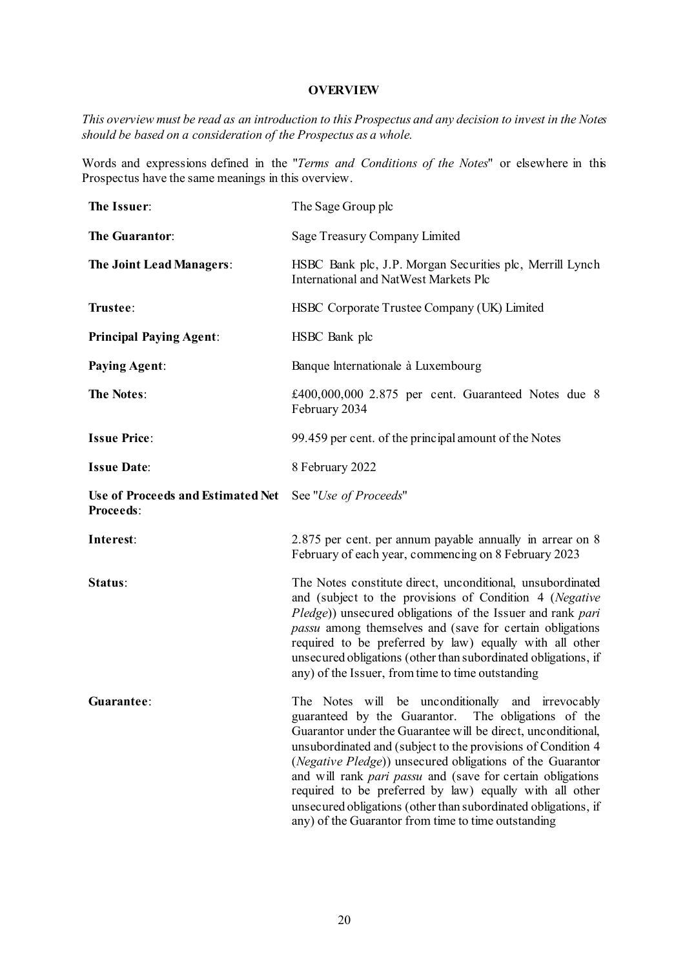#### **OVERVIEW**

*This overview must be read as an introduction to this Prospectus and any decision to invest in the Notes should be based on a consideration of the Prospectus as a whole.*

Words and expressions defined in the "*[Terms and Conditions of the Notes](#page-34-1)*" or elsewhere in this Prospectus have the same meanings in this overview.

| The Issuer:                                           | The Sage Group plc                                                                                                                                                                                                                                                                                                                                                                                                                                                                                                                                      |
|-------------------------------------------------------|---------------------------------------------------------------------------------------------------------------------------------------------------------------------------------------------------------------------------------------------------------------------------------------------------------------------------------------------------------------------------------------------------------------------------------------------------------------------------------------------------------------------------------------------------------|
| The Guarantor:                                        | Sage Treasury Company Limited                                                                                                                                                                                                                                                                                                                                                                                                                                                                                                                           |
| The Joint Lead Managers:                              | HSBC Bank plc, J.P. Morgan Securities plc, Merrill Lynch<br><b>International and NatWest Markets Plc</b>                                                                                                                                                                                                                                                                                                                                                                                                                                                |
| Trustee:                                              | HSBC Corporate Trustee Company (UK) Limited                                                                                                                                                                                                                                                                                                                                                                                                                                                                                                             |
| <b>Principal Paying Agent:</b>                        | HSBC Bank plc                                                                                                                                                                                                                                                                                                                                                                                                                                                                                                                                           |
| <b>Paying Agent:</b>                                  | Banque Internationale à Luxembourg                                                                                                                                                                                                                                                                                                                                                                                                                                                                                                                      |
| <b>The Notes:</b>                                     | £400,000,000 2.875 per cent. Guaranteed Notes due 8<br>February 2034                                                                                                                                                                                                                                                                                                                                                                                                                                                                                    |
| <b>Issue Price:</b>                                   | 99.459 per cent. of the principal amount of the Notes                                                                                                                                                                                                                                                                                                                                                                                                                                                                                                   |
| <b>Issue Date:</b>                                    | 8 February 2022                                                                                                                                                                                                                                                                                                                                                                                                                                                                                                                                         |
| Use of Proceeds and Estimated Net<br><b>Proceeds:</b> | See "Use of Proceeds"                                                                                                                                                                                                                                                                                                                                                                                                                                                                                                                                   |
| Interest:                                             | 2.875 per cent. per annum payable annually in arrear on $8$<br>February of each year, commencing on 8 February 2023                                                                                                                                                                                                                                                                                                                                                                                                                                     |
| Status:                                               | The Notes constitute direct, unconditional, unsubordinated<br>and (subject to the provisions of Condition 4 (Negative<br>Pledge)) unsecured obligations of the Issuer and rank pari<br>passu among themselves and (save for certain obligations<br>required to be preferred by law) equally with all other<br>unsecured obligations (other than subordinated obligations, if<br>any) of the Issuer, from time to time outstanding                                                                                                                       |
| Guarantee:                                            | The Notes will be unconditionally and irrevocably<br>guaranteed by the Guarantor. The obligations of the<br>Guarantor under the Guarantee will be direct, unconditional,<br>unsubordinated and (subject to the provisions of Condition 4<br>(Negative Pledge)) unsecured obligations of the Guarantor<br>and will rank pari passu and (save for certain obligations<br>required to be preferred by law) equally with all other<br>unsecured obligations (other than subordinated obligations, if<br>any) of the Guarantor from time to time outstanding |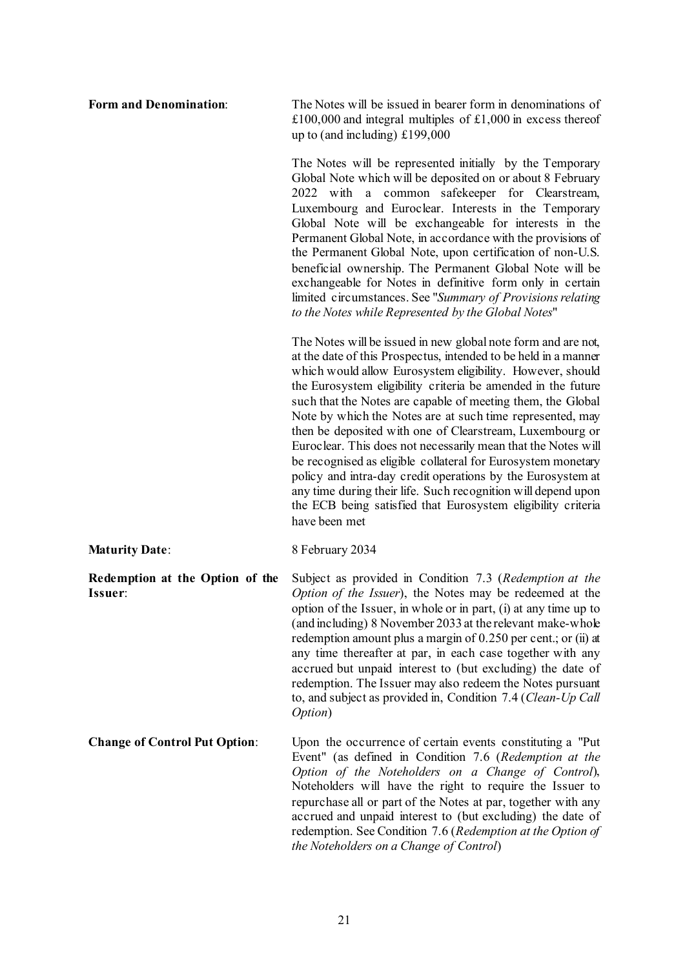| <b>Form and Denomination:</b>              | The Notes will be issued in bearer form in denominations of<br>£100,000 and integral multiples of £1,000 in excess thereof<br>up to (and including) $£199,000$                                                                                                                                                                                                                                                                                                                                                                                                                                                                                                                                                                                                                                          |
|--------------------------------------------|---------------------------------------------------------------------------------------------------------------------------------------------------------------------------------------------------------------------------------------------------------------------------------------------------------------------------------------------------------------------------------------------------------------------------------------------------------------------------------------------------------------------------------------------------------------------------------------------------------------------------------------------------------------------------------------------------------------------------------------------------------------------------------------------------------|
|                                            | The Notes will be represented initially by the Temporary<br>Global Note which will be deposited on or about 8 February<br>2022 with a common safekeeper for Clearstream,<br>Luxembourg and Euroclear. Interests in the Temporary<br>Global Note will be exchangeable for interests in the<br>Permanent Global Note, in accordance with the provisions of<br>the Permanent Global Note, upon certification of non-U.S.<br>beneficial ownership. The Permanent Global Note will be<br>exchangeable for Notes in definitive form only in certain<br>limited circumstances. See "Summary of Provisions relating<br>to the Notes while Represented by the Global Notes"                                                                                                                                      |
|                                            | The Notes will be issued in new global note form and are not,<br>at the date of this Prospectus, intended to be held in a manner<br>which would allow Eurosystem eligibility. However, should<br>the Eurosystem eligibility criteria be amended in the future<br>such that the Notes are capable of meeting them, the Global<br>Note by which the Notes are at such time represented, may<br>then be deposited with one of Clearstream, Luxembourg or<br>Euroclear. This does not necessarily mean that the Notes will<br>be recognised as eligible collateral for Eurosystem monetary<br>policy and intra-day credit operations by the Eurosystem at<br>any time during their life. Such recognition will depend upon<br>the ECB being satisfied that Eurosystem eligibility criteria<br>have been met |
| <b>Maturity Date:</b>                      | 8 February 2034                                                                                                                                                                                                                                                                                                                                                                                                                                                                                                                                                                                                                                                                                                                                                                                         |
| Redemption at the Option of the<br>Issuer: | Subject as provided in Condition 7.3 (Redemption at the<br>Option of the Issuer), the Notes may be redeemed at the<br>option of the Issuer, in whole or in part, (i) at any time up to<br>(and including) 8 November 2033 at the relevant make-whole<br>redemption amount plus a margin of 0.250 per cent.; or (ii) at<br>any time thereafter at par, in each case together with any<br>accrued but unpaid interest to (but excluding) the date of<br>redemption. The Issuer may also redeem the Notes pursuant<br>to, and subject as provided in, Condition 7.4 (Clean-Up Call<br>Option)                                                                                                                                                                                                              |
| <b>Change of Control Put Option:</b>       | Upon the occurrence of certain events constituting a "Put<br>Event" (as defined in Condition 7.6 (Redemption at the<br>Option of the Noteholders on a Change of Control),<br>Noteholders will have the right to require the Issuer to<br>repurchase all or part of the Notes at par, together with any<br>accrued and unpaid interest to (but excluding) the date of<br>redemption. See Condition 7.6 (Redemption at the Option of<br>the Noteholders on a Change of Control)                                                                                                                                                                                                                                                                                                                           |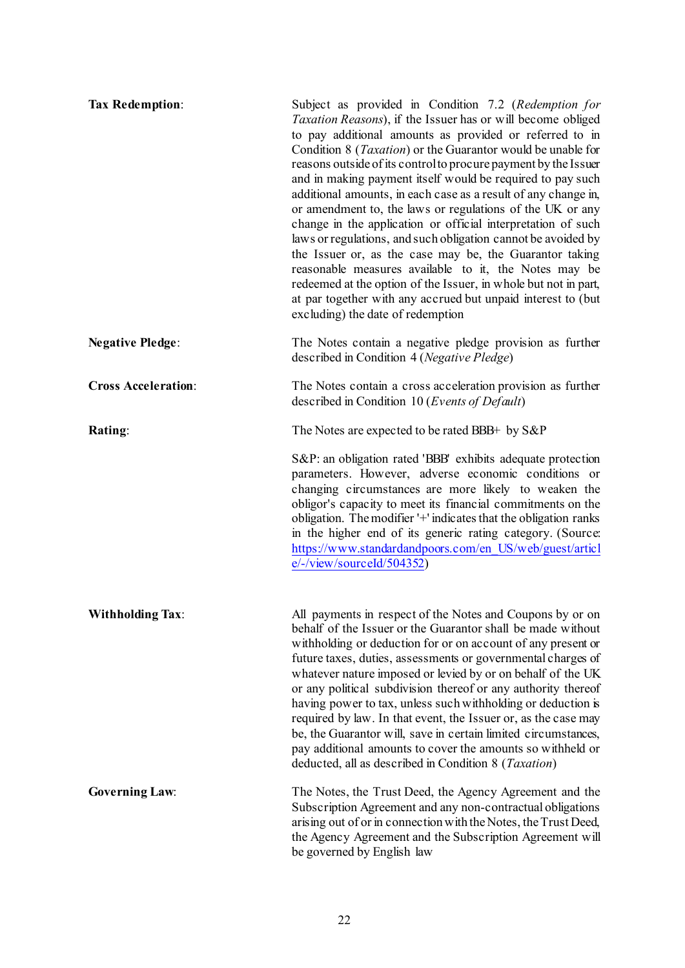| <b>Tax Redemption:</b>     | Subject as provided in Condition 7.2 (Redemption for<br>Taxation Reasons), if the Issuer has or will become obliged<br>to pay additional amounts as provided or referred to in<br>Condition 8 ( <i>Taxation</i> ) or the Guarantor would be unable for<br>reasons outside of its control to procure payment by the Issuer<br>and in making payment itself would be required to pay such<br>additional amounts, in each case as a result of any change in,<br>or amendment to, the laws or regulations of the UK or any<br>change in the application or official interpretation of such<br>laws or regulations, and such obligation cannot be avoided by<br>the Issuer or, as the case may be, the Guarantor taking<br>reasonable measures available to it, the Notes may be<br>redeemed at the option of the Issuer, in whole but not in part,<br>at par together with any accrued but unpaid interest to (but<br>excluding) the date of redemption |
|----------------------------|-----------------------------------------------------------------------------------------------------------------------------------------------------------------------------------------------------------------------------------------------------------------------------------------------------------------------------------------------------------------------------------------------------------------------------------------------------------------------------------------------------------------------------------------------------------------------------------------------------------------------------------------------------------------------------------------------------------------------------------------------------------------------------------------------------------------------------------------------------------------------------------------------------------------------------------------------------|
| <b>Negative Pledge:</b>    | The Notes contain a negative pledge provision as further<br>described in Condition 4 (Negative Pledge)                                                                                                                                                                                                                                                                                                                                                                                                                                                                                                                                                                                                                                                                                                                                                                                                                                              |
| <b>Cross Acceleration:</b> | The Notes contain a cross acceleration provision as further<br>described in Condition 10 (Events of Default)                                                                                                                                                                                                                                                                                                                                                                                                                                                                                                                                                                                                                                                                                                                                                                                                                                        |
| <b>Rating:</b>             | The Notes are expected to be rated BBB+ by S&P                                                                                                                                                                                                                                                                                                                                                                                                                                                                                                                                                                                                                                                                                                                                                                                                                                                                                                      |
|                            | S&P: an obligation rated 'BBB' exhibits adequate protection<br>parameters. However, adverse economic conditions or<br>changing circumstances are more likely to weaken the<br>obligor's capacity to meet its financial commitments on the<br>obligation. The modifier '+' indicates that the obligation ranks<br>in the higher end of its generic rating category. (Source:<br>https://www.standardandpoors.com/en_US/web/guest/articl<br>$e$ /-/view/sourceId/504352)                                                                                                                                                                                                                                                                                                                                                                                                                                                                              |
| <b>Withholding Tax:</b>    | All payments in respect of the Notes and Coupons by or on<br>behalf of the Issuer or the Guarantor shall be made without<br>withholding or deduction for or on account of any present or<br>future taxes, duties, assessments or governmental charges of<br>whatever nature imposed or levied by or on behalf of the UK<br>or any political subdivision thereof or any authority thereof<br>having power to tax, unless such withholding or deduction is<br>required by law. In that event, the Issuer or, as the case may<br>be, the Guarantor will, save in certain limited circumstances,<br>pay additional amounts to cover the amounts so withheld or<br>deducted, all as described in Condition 8 ( <i>Taxation</i> )                                                                                                                                                                                                                         |
| <b>Governing Law:</b>      | The Notes, the Trust Deed, the Agency Agreement and the<br>Subscription Agreement and any non-contractual obligations<br>arising out of or in connection with the Notes, the Trust Deed,<br>the Agency Agreement and the Subscription Agreement will<br>be governed by English law                                                                                                                                                                                                                                                                                                                                                                                                                                                                                                                                                                                                                                                                  |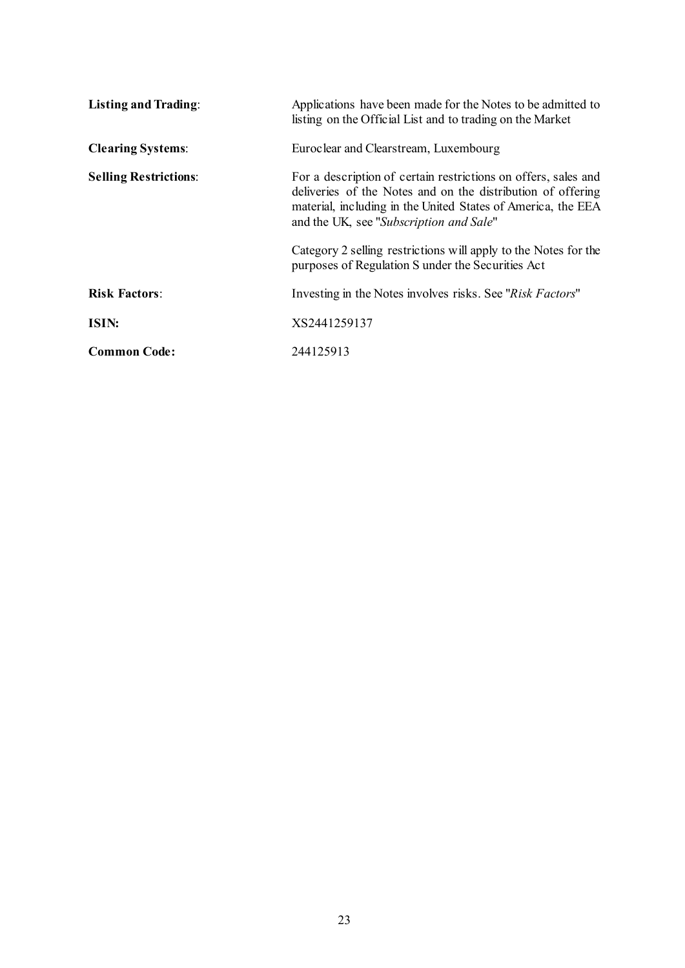| <b>Listing and Trading:</b>  | Applications have been made for the Notes to be admitted to<br>listing on the Official List and to trading on the Market                                                                                                                 |
|------------------------------|------------------------------------------------------------------------------------------------------------------------------------------------------------------------------------------------------------------------------------------|
| <b>Clearing Systems:</b>     | Euroclear and Clearstream, Luxembourg                                                                                                                                                                                                    |
| <b>Selling Restrictions:</b> | For a description of certain restrictions on offers, sales and<br>deliveries of the Notes and on the distribution of offering<br>material, including in the United States of America, the EEA<br>and the UK, see "Subscription and Sale" |
|                              | Category 2 selling restrictions will apply to the Notes for the<br>purposes of Regulation S under the Securities Act                                                                                                                     |
| <b>Risk Factors:</b>         | Investing in the Notes involves risks. See "Risk Factors"                                                                                                                                                                                |
| ISIN:                        | XS2441259137                                                                                                                                                                                                                             |
| <b>Common Code:</b>          | 244125913                                                                                                                                                                                                                                |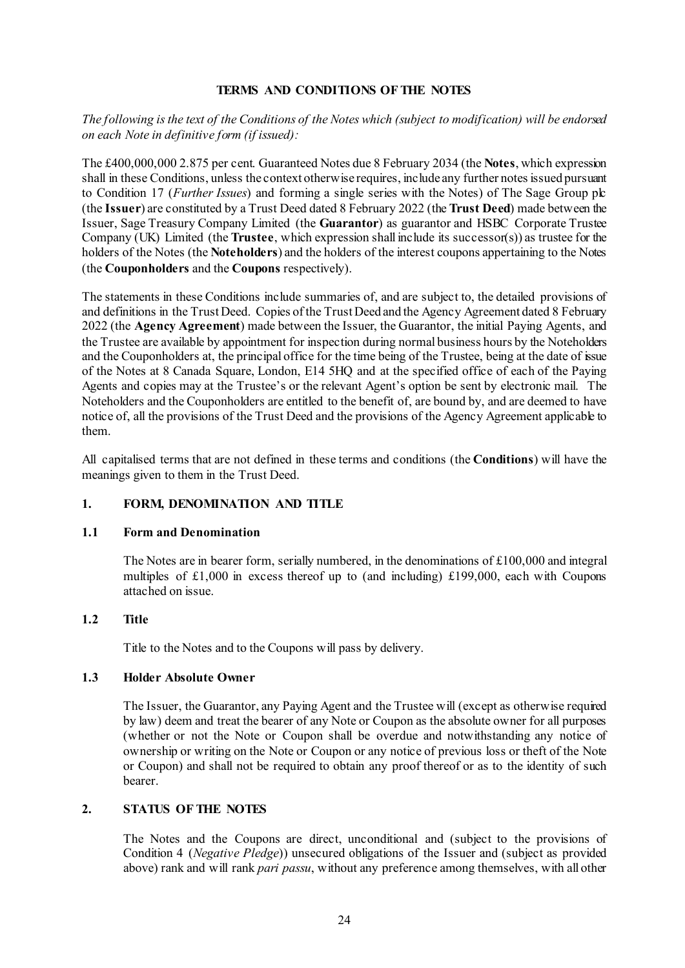### **TERMS AND CONDITIONS OF THE NOTES**

# <span id="page-34-1"></span><span id="page-34-0"></span>*The following is the text of the Conditions of the Notes which (subject to modification) will be endorsed on each Note in definitive form (if issued):*

The £400,000,000 2.875 per cent. Guaranteed Notes due 8 February 2034 (the **Notes**, which expression shall in these Conditions, unless the context otherwise requires, include any further notes issued pursuant to Condition [17](#page-50-0) (*[Further Issues](#page-50-0)*) and forming a single series with the Notes) of The Sage Group plc (the **Issuer**) are constituted by a Trust Deed dated 8 February 2022 (the **Trust Deed**) made between the Issuer, Sage Treasury Company Limited (the **Guarantor**) as guarantor and HSBC Corporate Trustee Company (UK) Limited (the **Trustee**, which expression shall include its successor(s)) as trustee for the holders of the Notes (the **Noteholders**) and the holders of the interest coupons appertaining to the Notes (the **Couponholders** and the **Coupons** respectively).

The statements in these Conditions include summaries of, and are subject to, the detailed provisions of and definitions in the Trust Deed. Copies of the Trust Deed and the Agency Agreement dated 8 February 2022 (the **Agency Agreement**) made between the Issuer, the Guarantor, the initial Paying Agents, and the Trustee are available by appointment for inspection during normal business hours by the Noteholders and the Couponholders at, the principal office for the time being of the Trustee, being at the date of issue of the Notes at 8 Canada Square, London, E14 5HQ and at the specified office of each of the Paying Agents and copies may at the Trustee's or the relevant Agent's option be sent by electronic mail. The Noteholders and the Couponholders are entitled to the benefit of, are bound by, and are deemed to have notice of, all the provisions of the Trust Deed and the provisions of the Agency Agreement applicable to them.

All capitalised terms that are not defined in these terms and conditions (the **Conditions**) will have the meanings given to them in the Trust Deed.

# **1. FORM, DENOMINATION AND TITLE**

#### **1.1 Form and Denomination**

The Notes are in bearer form, serially numbered, in the denominations of  $\pounds 100,000$  and integral multiples of £1,000 in excess thereof up to (and including) £199,000, each with Coupons attached on issue.

#### **1.2 Title**

Title to the Notes and to the Coupons will pass by delivery.

# **1.3 Holder Absolute Owner**

The Issuer, the Guarantor, any Paying Agent and the Trustee will (except as otherwise required by law) deem and treat the bearer of any Note or Coupon as the absolute owner for all purposes (whether or not the Note or Coupon shall be overdue and notwithstanding any notice of ownership or writing on the Note or Coupon or any notice of previous loss or theft of the Note or Coupon) and shall not be required to obtain any proof thereof or as to the identity of such bearer.

# **2. STATUS OF THE NOTES**

The Notes and the Coupons are direct, unconditional and (subject to the provisions of Condition [4](#page-35-0) (*[Negative Pledge](#page-35-0)*)) unsecured obligations of the Issuer and (subject as provided above) rank and will rank *pari passu*, without any preference among themselves, with all other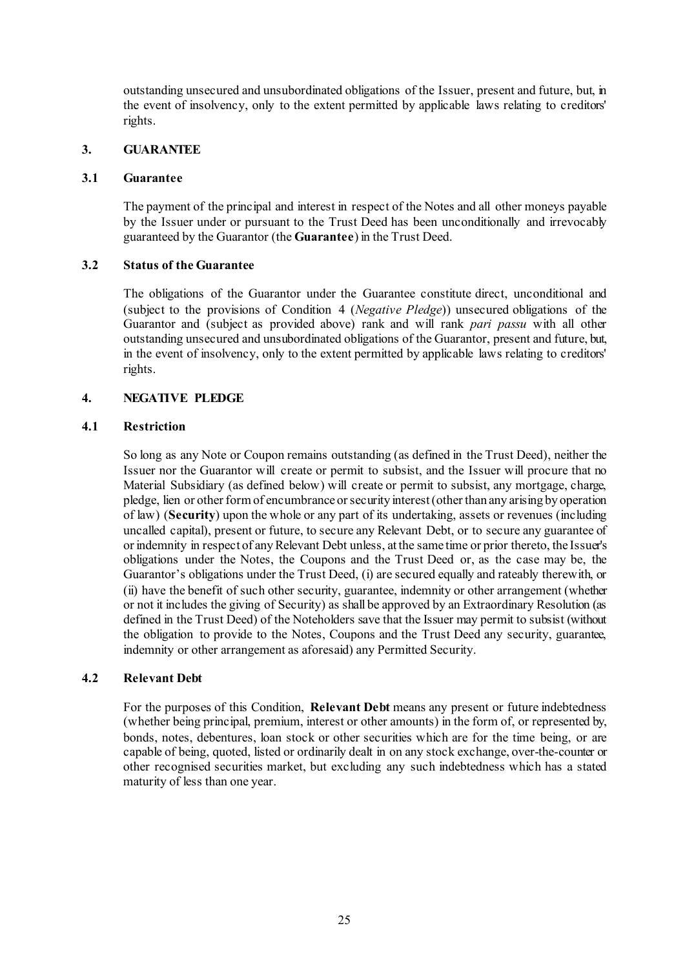outstanding unsecured and unsubordinated obligations of the Issuer, present and future, but, in the event of insolvency, only to the extent permitted by applicable laws relating to creditors' rights.

### **3. GUARANTEE**

#### **3.1 Guarantee**

The payment of the principal and interest in respect of the Notes and all other moneys payable by the Issuer under or pursuant to the Trust Deed has been unconditionally and irrevocably guaranteed by the Guarantor (the **Guarantee**) in the Trust Deed.

### **3.2 Status of the Guarantee**

The obligations of the Guarantor under the Guarantee constitute direct, unconditional and (subject to the provisions of Condition [4](#page-35-0) (*[Negative Pledge](#page-35-0)*)) unsecured obligations of the Guarantor and (subject as provided above) rank and will rank *pari passu* with all other outstanding unsecured and unsubordinated obligations of the Guarantor, present and future, but, in the event of insolvency, only to the extent permitted by applicable laws relating to creditors' rights.

# <span id="page-35-0"></span>**4. NEGATIVE PLEDGE**

### **4.1 Restriction**

So long as any Note or Coupon remains outstanding (as defined in the Trust Deed), neither the Issuer nor the Guarantor will create or permit to subsist, and the Issuer will procure that no Material Subsidiary (as defined below) will create or permit to subsist, any mortgage, charge, pledge, lien or other form of encumbrance or security interest (other than any arising by operation of law) (**Security**) upon the whole or any part of its undertaking, assets or revenues (including uncalled capital), present or future, to secure any Relevant Debt, or to secure any guarantee of or indemnity in respect of any Relevant Debt unless, at the same time or prior thereto, the Issuer's obligations under the Notes, the Coupons and the Trust Deed or, as the case may be, the Guarantor's obligations under the Trust Deed, (i) are secured equally and rateably therewith, or (ii) have the benefit of such other security, guarantee, indemnity or other arrangement (whether or not it includes the giving of Security) as shall be approved by an Extraordinary Resolution (as defined in the Trust Deed) of the Noteholders save that the Issuer may permit to subsist (without the obligation to provide to the Notes, Coupons and the Trust Deed any security, guarantee, indemnity or other arrangement as aforesaid) any Permitted Security.

#### **4.2 Relevant Debt**

For the purposes of this Condition, **Relevant Debt** means any present or future indebtedness (whether being principal, premium, interest or other amounts) in the form of, or represented by, bonds, notes, debentures, loan stock or other securities which are for the time being, or are capable of being, quoted, listed or ordinarily dealt in on any stock exchange, over-the-counter or other recognised securities market, but excluding any such indebtedness which has a stated maturity of less than one year.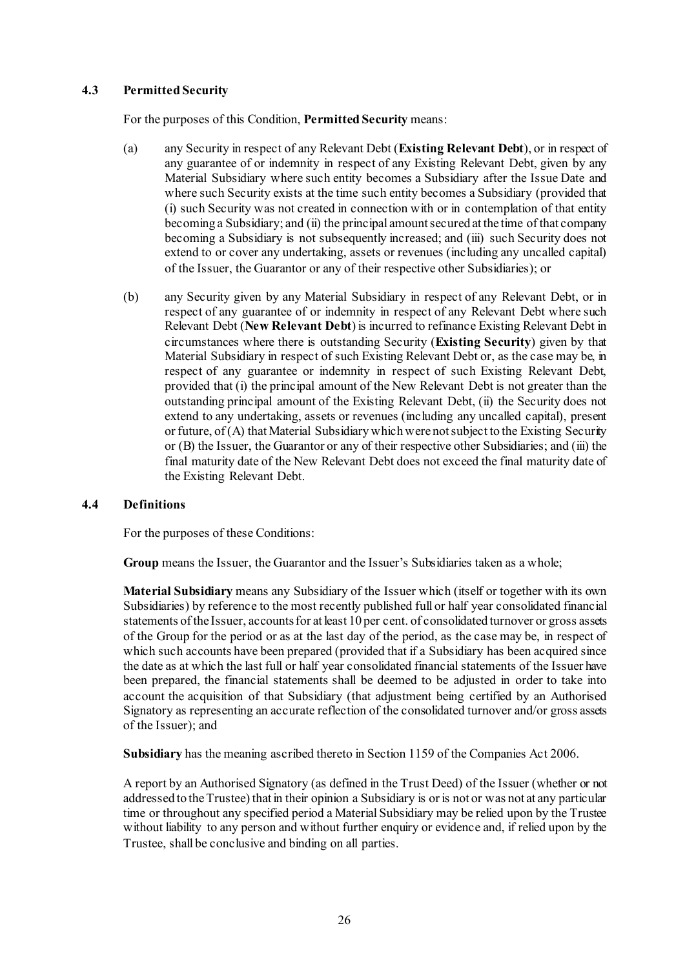## **4.3 Permitted Security**

For the purposes of this Condition, **Permitted Security** means:

- (a) any Security in respect of any Relevant Debt (**Existing Relevant Debt**), or in respect of any guarantee of or indemnity in respect of any Existing Relevant Debt, given by any Material Subsidiary where such entity becomes a Subsidiary after the Issue Date and where such Security exists at the time such entity becomes a Subsidiary (provided that (i) such Security was not created in connection with or in contemplation of that entity becoming a Subsidiary; and (ii) the principal amount secured at the time of that company becoming a Subsidiary is not subsequently increased; and (iii) such Security does not extend to or cover any undertaking, assets or revenues (including any uncalled capital) of the Issuer, the Guarantor or any of their respective other Subsidiaries); or
- (b) any Security given by any Material Subsidiary in respect of any Relevant Debt, or in respect of any guarantee of or indemnity in respect of any Relevant Debt where such Relevant Debt (**New Relevant Debt**) is incurred to refinance Existing Relevant Debt in circumstances where there is outstanding Security (**Existing Security**) given by that Material Subsidiary in respect of such Existing Relevant Debt or, as the case may be, in respect of any guarantee or indemnity in respect of such Existing Relevant Debt, provided that (i) the principal amount of the New Relevant Debt is not greater than the outstanding principal amount of the Existing Relevant Debt, (ii) the Security does not extend to any undertaking, assets or revenues (including any uncalled capital), present or future, of (A) that Material Subsidiary which were not subject to the Existing Security or (B) the Issuer, the Guarantor or any of their respective other Subsidiaries; and (iii) the final maturity date of the New Relevant Debt does not exceed the final maturity date of the Existing Relevant Debt.

#### **4.4 Definitions**

For the purposes of these Conditions:

**Group** means the Issuer, the Guarantor and the Issuer's Subsidiaries taken as a whole;

**Material Subsidiary** means any Subsidiary of the Issuer which (itself or together with its own Subsidiaries) by reference to the most recently published full or half year consolidated financial statements of the Issuer, accounts for at least 10 per cent. of consolidated turnover or gross assets of the Group for the period or as at the last day of the period, as the case may be, in respect of which such accounts have been prepared (provided that if a Subsidiary has been acquired since the date as at which the last full or half year consolidated financial statements of the Issuer have been prepared, the financial statements shall be deemed to be adjusted in order to take into account the acquisition of that Subsidiary (that adjustment being certified by an Authorised Signatory as representing an accurate reflection of the consolidated turnover and/or gross assets of the Issuer); and

**Subsidiary** has the meaning ascribed thereto in Section 1159 of the Companies Act 2006.

A report by an Authorised Signatory (as defined in the Trust Deed) of the Issuer (whether or not addressed to the Trustee) that in their opinion a Subsidiary is or is not or was not at any particular time or throughout any specified period a Material Subsidiary may be relied upon by the Trustee without liability to any person and without further enquiry or evidence and, if relied upon by the Trustee, shall be conclusive and binding on all parties.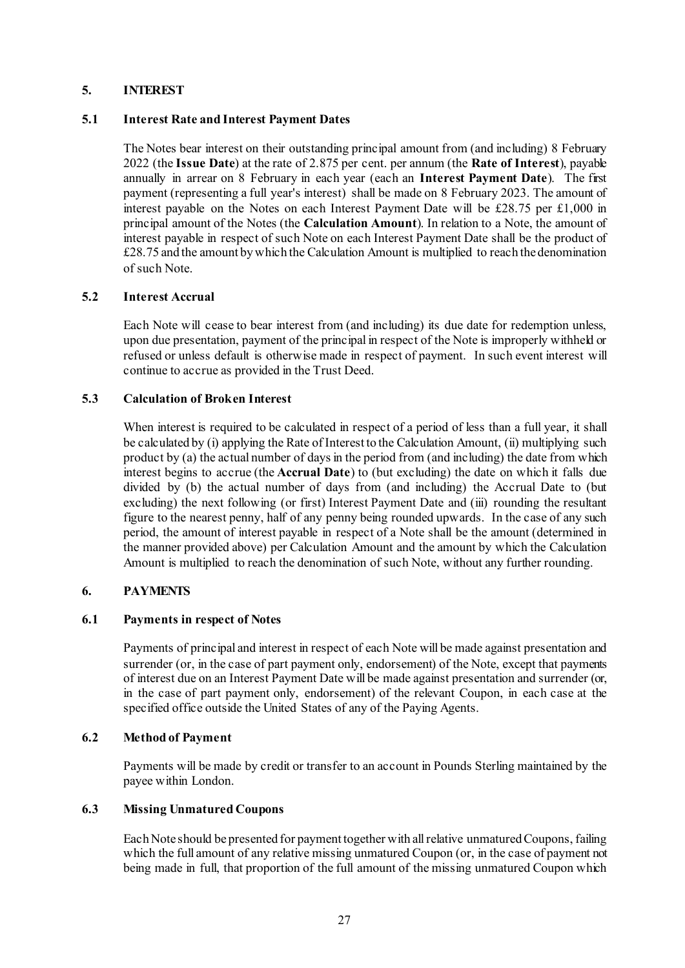### <span id="page-37-0"></span>**5. INTEREST**

### **5.1 Interest Rate and Interest Payment Dates**

The Notes bear interest on their outstanding principal amount from (and including) 8 February 2022 (the **Issue Date**) at the rate of 2.875 per cent. per annum (the **Rate of Interest**), payable annually in arrear on 8 February in each year (each an **Interest Payment Date**). The first payment (representing a full year's interest) shall be made on 8 February 2023. The amount of interest payable on the Notes on each Interest Payment Date will be £28.75 per £1,000 in principal amount of the Notes (the **Calculation Amount**). In relation to a Note, the amount of interest payable in respect of such Note on each Interest Payment Date shall be the product of £28.75 and the amount by which the Calculation Amount is multiplied to reach the denomination of such Note.

## **5.2 Interest Accrual**

Each Note will cease to bear interest from (and including) its due date for redemption unless, upon due presentation, payment of the principal in respect of the Note is improperly withheld or refused or unless default is otherwise made in respect of payment. In such event interest will continue to accrue as provided in the Trust Deed.

## **5.3 Calculation of Broken Interest**

When interest is required to be calculated in respect of a period of less than a full year, it shall be calculated by (i) applying the Rate of Interest to the Calculation Amount, (ii) multiplying such product by (a) the actual number of days in the period from (and including) the date from which interest begins to accrue (the **Accrual Date**) to (but excluding) the date on which it falls due divided by (b) the actual number of days from (and including) the Accrual Date to (but excluding) the next following (or first) Interest Payment Date and (iii) rounding the resultant figure to the nearest penny, half of any penny being rounded upwards. In the case of any such period, the amount of interest payable in respect of a Note shall be the amount (determined in the manner provided above) per Calculation Amount and the amount by which the Calculation Amount is multiplied to reach the denomination of such Note, without any further rounding.

### <span id="page-37-1"></span>**6. PAYMENTS**

#### **6.1 Payments in respect of Notes**

Payments of principal and interest in respect of each Note will be made against presentation and surrender (or, in the case of part payment only, endorsement) of the Note, except that payments of interest due on an Interest Payment Date will be made against presentation and surrender (or, in the case of part payment only, endorsement) of the relevant Coupon, in each case at the specified office outside the United States of any of the Paying Agents.

#### **6.2 Method of Payment**

Payments will be made by credit or transfer to an account in Pounds Sterling maintained by the payee within London.

#### **6.3 Missing Unmatured Coupons**

Each Note should be presented for payment together with all relative unmatured Coupons, failing which the full amount of any relative missing unmatured Coupon (or, in the case of payment not being made in full, that proportion of the full amount of the missing unmatured Coupon which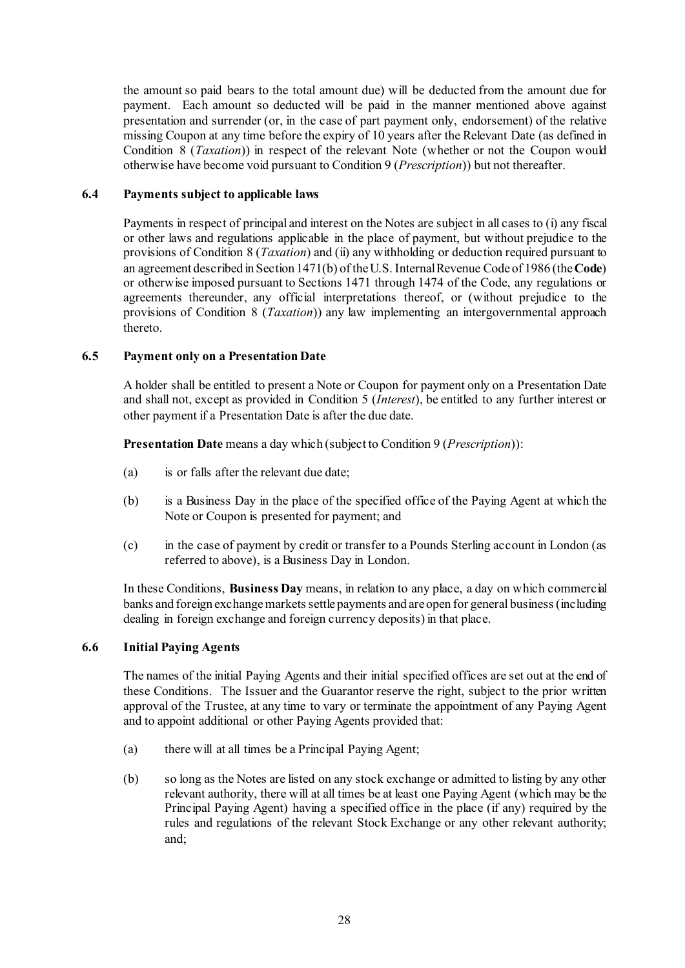the amount so paid bears to the total amount due) will be deducted from the amount due for payment. Each amount so deducted will be paid in the manner mentioned above against presentation and surrender (or, in the case of part payment only, endorsement) of the relative missing Coupon at any time before the expiry of 10 years after the Relevant Date (as defined in Condition [8](#page-44-0) (*[Taxation](#page-44-0)*)) in respect of the relevant Note (whether or not the Coupon would otherwise have become void pursuant to Condition [9](#page-44-1) (*[Prescription](#page-44-1)*)) but not thereafter.

## <span id="page-38-0"></span>**6.4 Payments subject to applicable laws**

Payments in respect of principal and interest on the Notes are subject in all cases to (i) any fiscal or other laws and regulations applicable in the place of payment, but without prejudice to the provisions of Condition [8](#page-44-0) (*[Taxation](#page-44-0)*) and (ii) any withholding or deduction required pursuant to an agreement described in Section 1471(b) of the U.S. Internal Revenue Code of 1986 (the **Code**) or otherwise imposed pursuant to Sections 1471 through 1474 of the Code, any regulations or agreements thereunder, any official interpretations thereof, or (without prejudice to the provisions of Condition [8](#page-44-0) (*[Taxation](#page-44-0)*)) any law implementing an intergovernmental approach thereto.

## **6.5 Payment only on a Presentation Date**

A holder shall be entitled to present a Note or Coupon for payment only on a Presentation Date and shall not, except as provided in Condition [5](#page-37-0) (*[Interest](#page-37-0)*), be entitled to any further interest or other payment if a Presentation Date is after the due date.

**Presentation Date** means a day which (subject to Conditio[n 9](#page-44-1) (*[Prescription](#page-44-1)*)):

- (a) is or falls after the relevant due date;
- (b) is a Business Day in the place of the specified office of the Paying Agent at which the Note or Coupon is presented for payment; and
- (c) in the case of payment by credit or transfer to a Pounds Sterling account in London (as referred to above), is a Business Day in London.

In these Conditions, **Business Day** means, in relation to any place, a day on which commercial banks and foreign exchange markets settle payments and are open for general business (including dealing in foreign exchange and foreign currency deposits) in that place.

### **6.6 Initial Paying Agents**

The names of the initial Paying Agents and their initial specified offices are set out at the end of these Conditions. The Issuer and the Guarantor reserve the right, subject to the prior written approval of the Trustee, at any time to vary or terminate the appointment of any Paying Agent and to appoint additional or other Paying Agents provided that:

- (a) there will at all times be a Principal Paying Agent;
- (b) so long as the Notes are listed on any stock exchange or admitted to listing by any other relevant authority, there will at all times be at least one Paying Agent (which may be the Principal Paying Agent) having a specified office in the place (if any) required by the rules and regulations of the relevant Stock Exchange or any other relevant authority; and;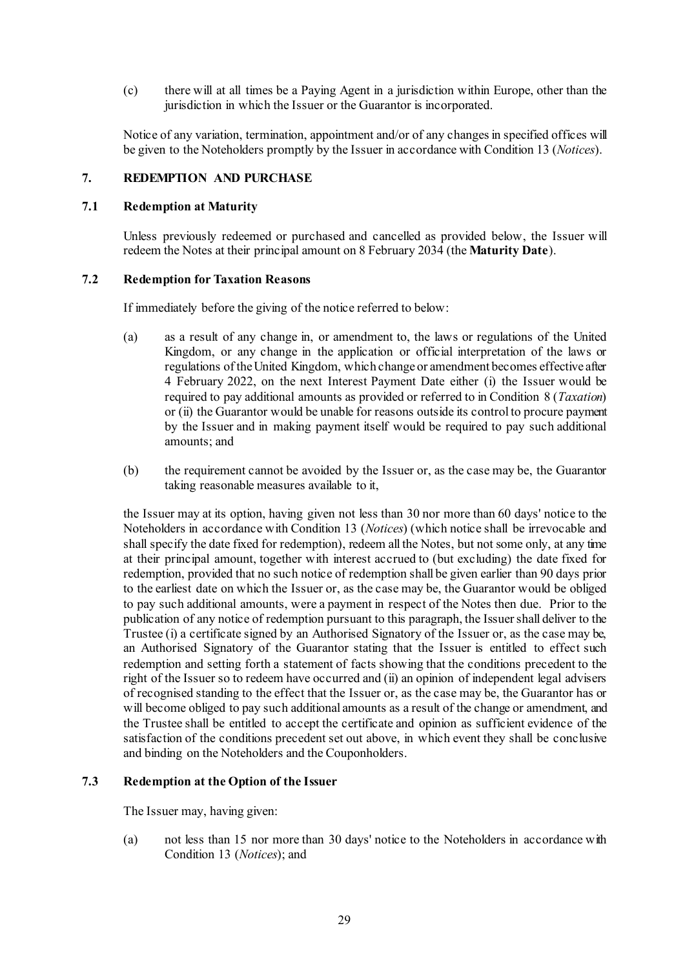(c) there will at all times be a Paying Agent in a jurisdiction within Europe, other than the jurisdiction in which the Issuer or the Guarantor is incorporated.

Notice of any variation, termination, appointment and/or of any changes in specified offices will be given to the Noteholders promptly by the Issuer in accordance with Condition [13](#page-47-0) (*[Notices](#page-47-0)*).

### **7. REDEMPTION AND PURCHASE**

#### **7.1 Redemption at Maturity**

Unless previously redeemed or purchased and cancelled as provided below, the Issuer will redeem the Notes at their principal amount on 8 February 2034 (the **Maturity Date**).

#### <span id="page-39-2"></span>**7.2 Redemption for Taxation Reasons**

If immediately before the giving of the notice referred to below:

- (a) as a result of any change in, or amendment to, the laws or regulations of the United Kingdom, or any change in the application or official interpretation of the laws or regulations of the United Kingdom, which change or amendment becomes effective after 4 February 2022, on the next Interest Payment Date either (i) the Issuer would be required to pay additional amounts as provided or referred to in Condition [8](#page-44-0) (*[Taxation](#page-44-0)*) or (ii) the Guarantor would be unable for reasons outside its control to procure payment by the Issuer and in making payment itself would be required to pay such additional amounts; and
- (b) the requirement cannot be avoided by the Issuer or, as the case may be, the Guarantor taking reasonable measures available to it,

the Issuer may at its option, having given not less than 30 nor more than 60 days' notice to the Noteholders in accordance with Condition [13](#page-47-0) (*[Notices](#page-47-0)*) (which notice shall be irrevocable and shall specify the date fixed for redemption), redeem all the Notes, but not some only, at any time at their principal amount, together with interest accrued to (but excluding) the date fixed for redemption, provided that no such notice of redemption shall be given earlier than 90 days prior to the earliest date on which the Issuer or, as the case may be, the Guarantor would be obliged to pay such additional amounts, were a payment in respect of the Notes then due. Prior to the publication of any notice of redemption pursuant to this paragraph, the Issuer shall deliver to the Trustee (i) a certificate signed by an Authorised Signatory of the Issuer or, as the case may be, an Authorised Signatory of the Guarantor stating that the Issuer is entitled to effect such redemption and setting forth a statement of facts showing that the conditions precedent to the right of the Issuer so to redeem have occurred and (ii) an opinion of independent legal advisers of recognised standing to the effect that the Issuer or, as the case may be, the Guarantor has or will become obliged to pay such additional amounts as a result of the change or amendment, and the Trustee shall be entitled to accept the certificate and opinion as sufficient evidence of the satisfaction of the conditions precedent set out above, in which event they shall be conclusive and binding on the Noteholders and the Couponholders.

### <span id="page-39-1"></span><span id="page-39-0"></span>**7.3 Redemption at the Option of the Issuer**

The Issuer may, having given:

(a) not less than 15 nor more than 30 days' notice to the Noteholders in accordance with Condition [13](#page-47-0) (*[Notices](#page-47-0)*); and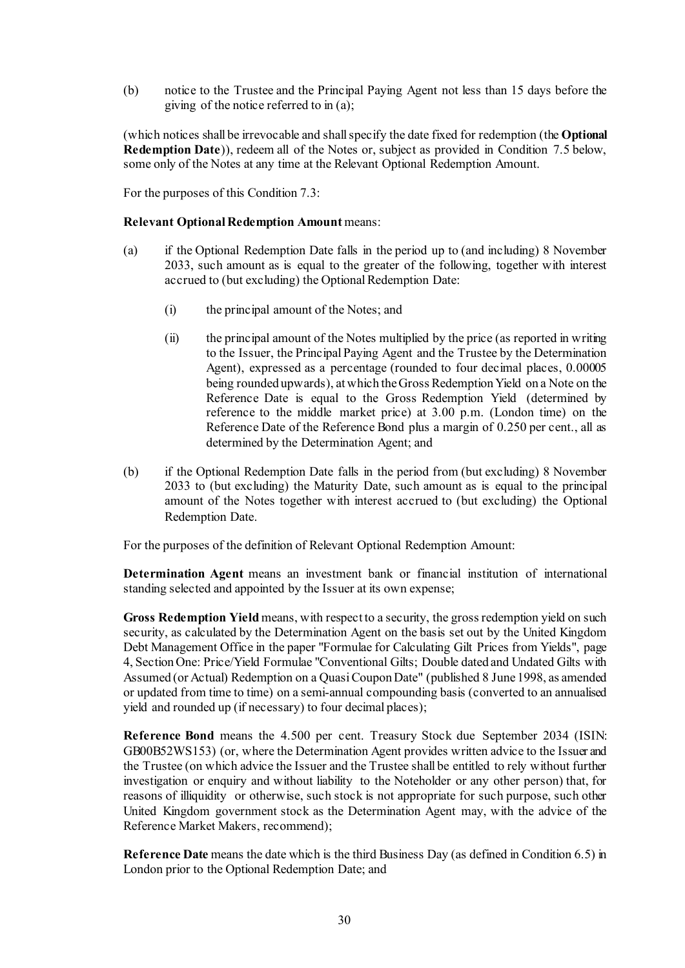(b) notice to the Trustee and the Principal Paying Agent not less than 15 days before the giving of the notice referred to i[n \(a\);](#page-39-0)

(which notices shall be irrevocable and shall specify the date fixed for redemption (the **Optional Redemption Date**)), redeem all of the Notes or, subject as provided in Condition 7.5 below, some only of the Notes at any time at the Relevant Optional Redemption Amount.

For the purposes of this Conditio[n 7.3:](#page-39-1)

#### **Relevant Optional Redemption Amount** means:

- (a) if the Optional Redemption Date falls in the period up to (and including) 8 November 2033, such amount as is equal to the greater of the following, together with interest accrued to (but excluding) the Optional Redemption Date:
	- (i) the principal amount of the Notes; and
	- (ii) the principal amount of the Notes multiplied by the price (as reported in writing to the Issuer, the Principal Paying Agent and the Trustee by the Determination Agent), expressed as a percentage (rounded to four decimal places, 0.00005 being rounded upwards), at which the Gross Redemption Yield on a Note on the Reference Date is equal to the Gross Redemption Yield (determined by reference to the middle market price) at 3.00 p.m. (London time) on the Reference Date of the Reference Bond plus a margin of 0.250 per cent., all as determined by the Determination Agent; and
- (b) if the Optional Redemption Date falls in the period from (but excluding) 8 November 2033 to (but excluding) the Maturity Date, such amount as is equal to the principal amount of the Notes together with interest accrued to (but excluding) the Optional Redemption Date.

For the purposes of the definition of Relevant Optional Redemption Amount:

**Determination Agent** means an investment bank or financial institution of international standing selected and appointed by the Issuer at its own expense;

**Gross Redemption Yield** means, with respect to a security, the gross redemption yield on such security, as calculated by the Determination Agent on the basis set out by the United Kingdom Debt Management Office in the paper "Formulae for Calculating Gilt Prices from Yields", page 4, Section One: Price/Yield Formulae "Conventional Gilts; Double dated and Undated Gilts with Assumed (or Actual) Redemption on a Quasi Coupon Date" (published 8 June 1998, as amended or updated from time to time) on a semi-annual compounding basis (converted to an annualised yield and rounded up (if necessary) to four decimal places);

**Reference Bond** means the 4.500 per cent. Treasury Stock due September 2034 (ISIN: GB00B52WS153) (or, where the Determination Agent provides written advice to the Issuer and the Trustee (on which advice the Issuer and the Trustee shall be entitled to rely without further investigation or enquiry and without liability to the Noteholder or any other person) that, for reasons of illiquidity or otherwise, such stock is not appropriate for such purpose, such other United Kingdom government stock as the Determination Agent may, with the advice of the Reference Market Makers, recommend);

**Reference Date** means the date which is the third Business Day (as defined in Condition 6.5) in London prior to the Optional Redemption Date; and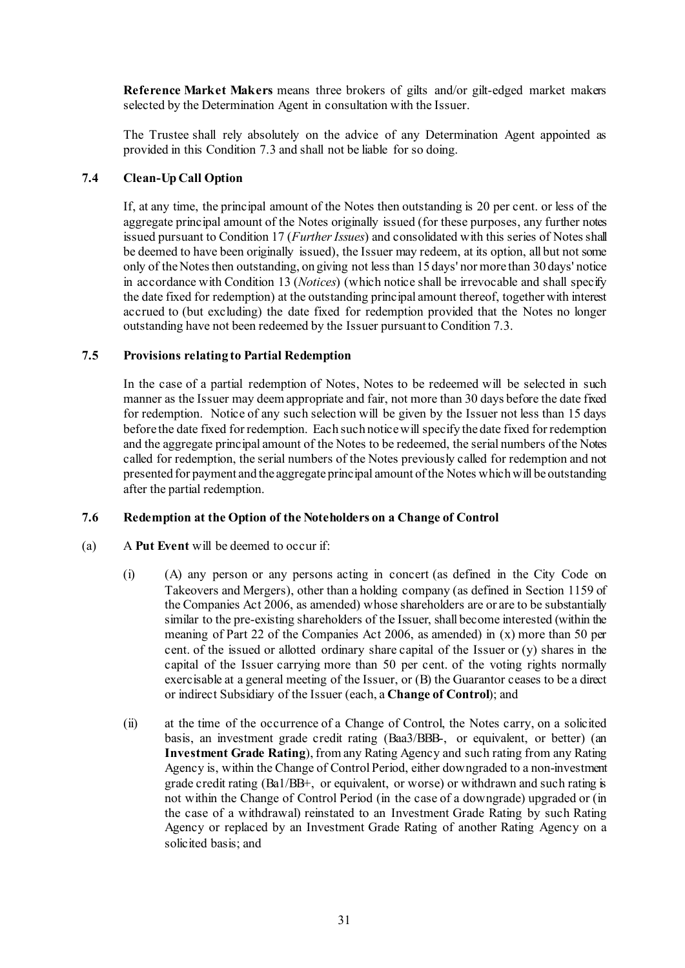**Reference Market Makers** means three brokers of gilts and/or gilt-edged market makers selected by the Determination Agent in consultation with the Issuer.

The Trustee shall rely absolutely on the advice of any Determination Agent appointed as provided in this Condition [7.3](#page-39-1) and shall not be liable for so doing.

### **7.4 Clean-Up Call Option**

If, at any time, the principal amount of the Notes then outstanding is 20 per cent. or less of the aggregate principal amount of the Notes originally issued (for these purposes, any further notes issued pursuant to Condition 17 (*[Further Issues](#page-50-0)*) and consolidated with this series of Notes shall be deemed to have been originally issued), the Issuer may redeem, at its option, all but not some only of the Notes then outstanding, on giving not less than 15 days' nor more than 30 days' notice in accordance with Condition 13 (*Notices*) (which notice shall be irrevocable and shall specify the date fixed for redemption) at the outstanding principal amount thereof, together with interest accrued to (but excluding) the date fixed for redemption provided that the Notes no longer outstanding have not been redeemed by the Issuer pursuant to Conditio[n 7.3.](#page-39-1)

### **7.5 Provisions relating to Partial Redemption**

In the case of a partial redemption of Notes, Notes to be redeemed will be selected in such manner as the Issuer may deem appropriate and fair, not more than 30 days before the date fixed for redemption. Notice of any such selection will be given by the Issuer not less than 15 days before the date fixed for redemption. Each such notice will specify the date fixed for redemption and the aggregate principal amount of the Notes to be redeemed, the serial numbers of the Notes called for redemption, the serial numbers of the Notes previously called for redemption and not presented for payment and the aggregate principal amount of the Notes which will be outstanding after the partial redemption.

#### <span id="page-41-1"></span><span id="page-41-0"></span>**7.6 Redemption at the Option of the Noteholders on a Change of Control**

- (a) A **Put Event** will be deemed to occur if:
	- (i) (A) any person or any persons acting in concert (as defined in the City Code on Takeovers and Mergers), other than a holding company (as defined in Section 1159 of the Companies Act 2006, as amended) whose shareholders are or are to be substantially similar to the pre-existing shareholders of the Issuer, shall become interested (within the meaning of Part 22 of the Companies Act 2006, as amended) in (x) more than 50 per cent. of the issued or allotted ordinary share capital of the Issuer or (y) shares in the capital of the Issuer carrying more than 50 per cent. of the voting rights normally exercisable at a general meeting of the Issuer, or (B) the Guarantor ceases to be a direct or indirect Subsidiary of the Issuer (each, a **Change of Control**); and
	- (ii) at the time of the occurrence of a Change of Control, the Notes carry, on a solicited basis, an investment grade credit rating (Baa3/BBB-, or equivalent, or better) (an **Investment Grade Rating**), from any Rating Agency and such rating from any Rating Agency is, within the Change of Control Period, either downgraded to a non-investment grade credit rating (Ba1/BB+, or equivalent, or worse) or withdrawn and such rating is not within the Change of Control Period (in the case of a downgrade) upgraded or (in the case of a withdrawal) reinstated to an Investment Grade Rating by such Rating Agency or replaced by an Investment Grade Rating of another Rating Agency on a solicited basis; and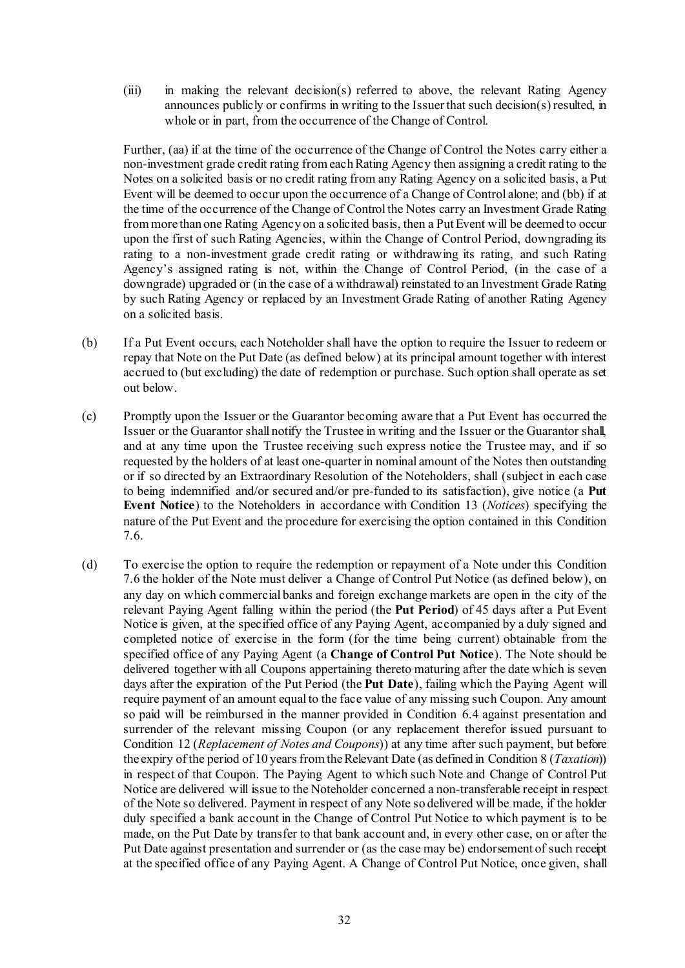(iii) in making the relevant decision(s) referred to above, the relevant Rating Agency announces publicly or confirms in writing to the Issuer that such decision(s) resulted, in whole or in part, from the occurrence of the Change of Control.

Further, (aa) if at the time of the occurrence of the Change of Control the Notes carry either a non-investment grade credit rating from each Rating Agency then assigning a credit rating to the Notes on a solicited basis or no credit rating from any Rating Agency on a solicited basis, a Put Event will be deemed to occur upon the occurrence of a Change of Control alone; and (bb) if at the time of the occurrence of the Change of Control the Notes carry an Investment Grade Rating from more than one Rating Agency on a solicited basis, then a Put Event will be deemed to occur upon the first of such Rating Agencies, within the Change of Control Period, downgrading its rating to a non-investment grade credit rating or withdrawing its rating, and such Rating Agency's assigned rating is not, within the Change of Control Period, (in the case of a downgrade) upgraded or (in the case of a withdrawal) reinstated to an Investment Grade Rating by such Rating Agency or replaced by an Investment Grade Rating of another Rating Agency on a solicited basis.

- (b) If a Put Event occurs, each Noteholder shall have the option to require the Issuer to redeem or repay that Note on the Put Date (as defined below) at its principal amount together with interest accrued to (but excluding) the date of redemption or purchase. Such option shall operate as set out below.
- (c) Promptly upon the Issuer or the Guarantor becoming aware that a Put Event has occurred the Issuer or the Guarantor shall notify the Trustee in writing and the Issuer or the Guarantor shall, and at any time upon the Trustee receiving such express notice the Trustee may, and if so requested by the holders of at least one-quarter in nominal amount of the Notes then outstanding or if so directed by an Extraordinary Resolution of the Noteholders, shall (subject in each case to being indemnified and/or secured and/or pre-funded to its satisfaction), give notice (a **Put Event Notice**) to the Noteholders in accordance with Condition [13](#page-47-0) (*[Notices](#page-47-0)*) specifying the nature of the Put Event and the procedure for exercising the option contained in this Condition [7.6.](#page-41-0)
- (d) To exercise the option to require the redemption or repayment of a Note under this Condition [7.6](#page-41-0) the holder of the Note must deliver a Change of Control Put Notice (as defined below), on any day on which commercial banks and foreign exchange markets are open in the city of the relevant Paying Agent falling within the period (the **Put Period**) of 45 days after a Put Event Notice is given, at the specified office of any Paying Agent, accompanied by a duly signed and completed notice of exercise in the form (for the time being current) obtainable from the specified office of any Paying Agent (a **Change of Control Put Notice**). The Note should be delivered together with all Coupons appertaining thereto maturing after the date which is seven days after the expiration of the Put Period (the **Put Date**), failing which the Paying Agent will require payment of an amount equal to the face value of any missing such Coupon. Any amount so paid will be reimbursed in the manner provided in Condition [6.4](#page-38-0) against presentation and surrender of the relevant missing Coupon (or any replacement therefor issued pursuant to Condition [12](#page-47-1) (*[Replacement of Notes and Coupons](#page-47-1)*)) at any time after such payment, but before the expiry of the period of 10 years from the Relevant Date (as defined in Conditio[n 8](#page-44-0) (*[Taxation](#page-44-0)*)) in respect of that Coupon. The Paying Agent to which such Note and Change of Control Put Notice are delivered will issue to the Noteholder concerned a non-transferable receipt in respect of the Note so delivered. Payment in respect of any Note so delivered will be made, if the holder duly specified a bank account in the Change of Control Put Notice to which payment is to be made, on the Put Date by transfer to that bank account and, in every other case, on or after the Put Date against presentation and surrender or (as the case may be) endorsement of such receipt at the specified office of any Paying Agent. A Change of Control Put Notice, once given, shall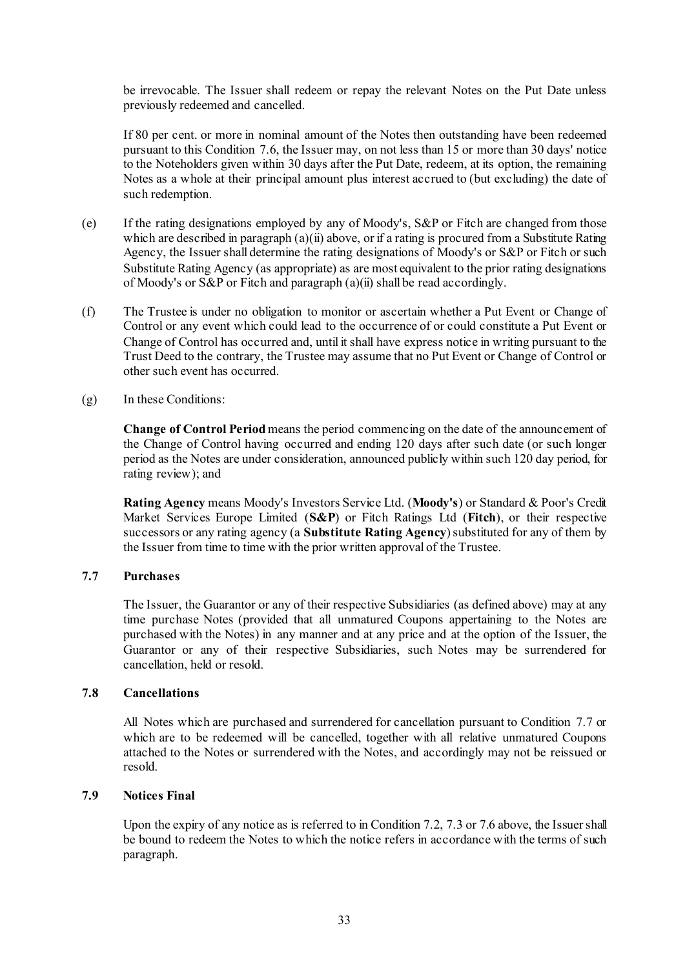be irrevocable. The Issuer shall redeem or repay the relevant Notes on the Put Date unless previously redeemed and cancelled.

If 80 per cent. or more in nominal amount of the Notes then outstanding have been redeemed pursuant to this Condition [7.6,](#page-41-0) the Issuer may, on not less than 15 or more than 30 days' notice to the Noteholders given within 30 days after the Put Date, redeem, at its option, the remaining Notes as a whole at their principal amount plus interest accrued to (but excluding) the date of such redemption.

- (e) If the rating designations employed by any of Moody's, S&P or Fitch are changed from those which are described in paragrap[h \(a\)\(ii\) above](#page-41-1), or if a rating is procured from a Substitute Rating Agency, the Issuer shall determine the rating designations of Moody's or S&P or Fitch or such Substitute Rating Agency (as appropriate) as are most equivalent to the prior rating designations of Moody's or S&P or Fitch and paragrap[h \(a\)\(ii\)](#page-41-1) shall be read accordingly.
- (f) The Trustee is under no obligation to monitor or ascertain whether a Put Event or Change of Control or any event which could lead to the occurrence of or could constitute a Put Event or Change of Control has occurred and, until it shall have express notice in writing pursuant to the Trust Deed to the contrary, the Trustee may assume that no Put Event or Change of Control or other such event has occurred.
- (g) In these Conditions:

**Change of Control Period** means the period commencing on the date of the announcement of the Change of Control having occurred and ending 120 days after such date (or such longer period as the Notes are under consideration, announced publicly within such 120 day period, for rating review); and

**Rating Agency** means Moody's Investors Service Ltd. (**Moody's**) or Standard & Poor's Credit Market Services Europe Limited (**S&P**) or Fitch Ratings Ltd (**Fitch**), or their respective successors or any rating agency (a **Substitute Rating Agency**) substituted for any of them by the Issuer from time to time with the prior written approval of the Trustee.

#### **7.7 Purchases**

The Issuer, the Guarantor or any of their respective Subsidiaries (as defined above) may at any time purchase Notes (provided that all unmatured Coupons appertaining to the Notes are purchased with the Notes) in any manner and at any price and at the option of the Issuer, the Guarantor or any of their respective Subsidiaries, such Notes may be surrendered for cancellation, held or resold.

#### **7.8 Cancellations**

All Notes which are purchased and surrendered for cancellation pursuant to Condition 7.7 or which are to be redeemed will be cancelled, together with all relative unmatured Coupons attached to the Notes or surrendered with the Notes, and accordingly may not be reissued or resold.

### **7.9 Notices Final**

Upon the expiry of any notice as is referred to in Condition [7.2](#page-39-2)[, 7.3](#page-39-1) o[r 7.6 above](#page-41-0), the Issuer shall be bound to redeem the Notes to which the notice refers in accordance with the terms of such paragraph.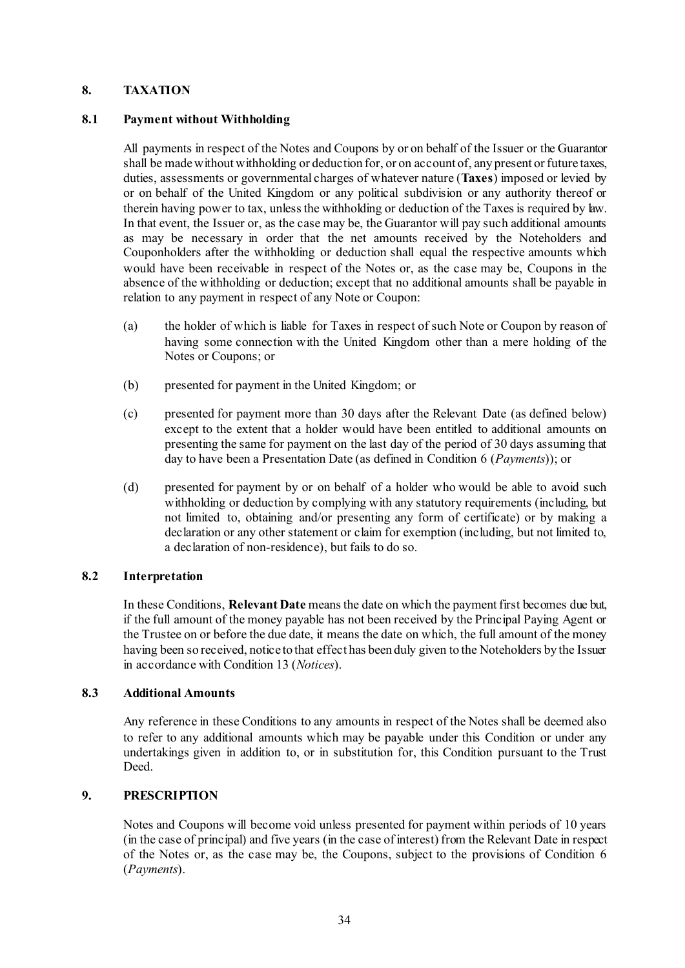### <span id="page-44-0"></span>**8. TAXATION**

### **8.1 Payment without Withholding**

All payments in respect of the Notes and Coupons by or on behalf of the Issuer or the Guarantor shall be made without withholding or deduction for, or on account of, any present or future taxes, duties, assessments or governmental charges of whatever nature (**Taxes**) imposed or levied by or on behalf of the United Kingdom or any political subdivision or any authority thereof or therein having power to tax, unless the withholding or deduction of the Taxes is required by law. In that event, the Issuer or, as the case may be, the Guarantor will pay such additional amounts as may be necessary in order that the net amounts received by the Noteholders and Couponholders after the withholding or deduction shall equal the respective amounts which would have been receivable in respect of the Notes or, as the case may be, Coupons in the absence of the withholding or deduction; except that no additional amounts shall be payable in relation to any payment in respect of any Note or Coupon:

- (a) the holder of which is liable for Taxes in respect of such Note or Coupon by reason of having some connection with the United Kingdom other than a mere holding of the Notes or Coupons; or
- (b) presented for payment in the United Kingdom; or
- (c) presented for payment more than 30 days after the Relevant Date (as defined below) except to the extent that a holder would have been entitled to additional amounts on presenting the same for payment on the last day of the period of 30 days assuming that day to have been a Presentation Date (as defined in Condition [6](#page-37-1) (*[Payments](#page-37-1)*)); or
- (d) presented for payment by or on behalf of a holder who would be able to avoid such withholding or deduction by complying with any statutory requirements (including, but not limited to, obtaining and/or presenting any form of certificate) or by making a declaration or any other statement or claim for exemption (including, but not limited to, a declaration of non-residence), but fails to do so.

## **8.2 Interpretation**

In these Conditions, **Relevant Date** means the date on which the payment first becomes due but, if the full amount of the money payable has not been received by the Principal Paying Agent or the Trustee on or before the due date, it means the date on which, the full amount of the money having been so received, notice to that effect has been duly given to the Noteholders by the Issuer in accordance with Conditio[n 13](#page-47-0) (*[Notices](#page-47-0)*).

#### **8.3 Additional Amounts**

Any reference in these Conditions to any amounts in respect of the Notes shall be deemed also to refer to any additional amounts which may be payable under this Condition or under any undertakings given in addition to, or in substitution for, this Condition pursuant to the Trust Deed.

### <span id="page-44-1"></span>**9. PRESCRIPTION**

Notes and Coupons will become void unless presented for payment within periods of 10 years (in the case of principal) and five years (in the case of interest) from the Relevant Date in respect of the Notes or, as the case may be, the Coupons, subject to the provisions of Condition [6](#page-37-1) (*[Payments](#page-37-1)*).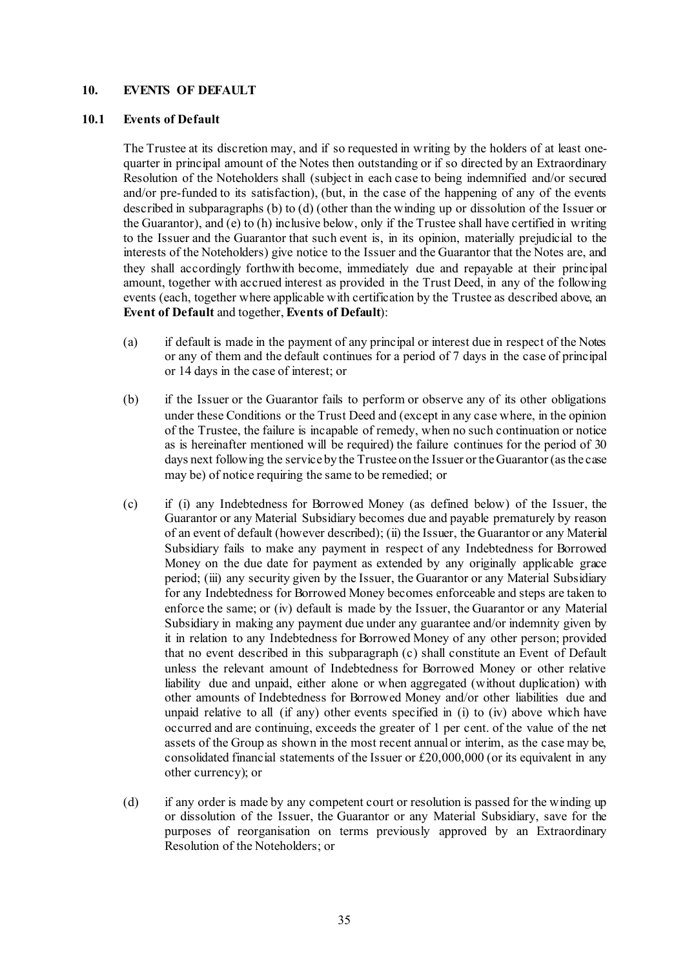### **10. EVENTS OF DEFAULT**

#### **10.1 Events of Default**

The Trustee at its discretion may, and if so requested in writing by the holders of at least onequarter in principal amount of the Notes then outstanding or if so directed by an Extraordinary Resolution of the Noteholders shall (subject in each case to being indemnified and/or secured and/or pre-funded to its satisfaction), (but, in the case of the happening of any of the events described in subparagraphs [\(b\)](#page-45-0) t[o \(d\)](#page-45-1) (other than the winding up or dissolution of the Issuer or the Guarantor), an[d \(e\)](#page-46-0) t[o \(h\)](#page-46-1) inclusive below, only if the Trustee shall have certified in writing to the Issuer and the Guarantor that such event is, in its opinion, materially prejudicial to the interests of the Noteholders) give notice to the Issuer and the Guarantor that the Notes are, and they shall accordingly forthwith become, immediately due and repayable at their principal amount, together with accrued interest as provided in the Trust Deed, in any of the following events (each, together where applicable with certification by the Trustee as described above, an **Event of Default** and together, **Events of Default**):

- (a) if default is made in the payment of any principal or interest due in respect of the Notes or any of them and the default continues for a period of 7 days in the case of principal or 14 days in the case of interest; or
- <span id="page-45-0"></span>(b) if the Issuer or the Guarantor fails to perform or observe any of its other obligations under these Conditions or the Trust Deed and (except in any case where, in the opinion of the Trustee, the failure is incapable of remedy, when no such continuation or notice as is hereinafter mentioned will be required) the failure continues for the period of 30 days next following the service by the Trustee on the Issuer or the Guarantor (as the case may be) of notice requiring the same to be remedied; or
- <span id="page-45-2"></span>(c) if (i) any Indebtedness for Borrowed Money (as defined below) of the Issuer, the Guarantor or any Material Subsidiary becomes due and payable prematurely by reason of an event of default (however described); (ii) the Issuer, the Guarantor or any Material Subsidiary fails to make any payment in respect of any Indebtedness for Borrowed Money on the due date for payment as extended by any originally applicable grace period; (iii) any security given by the Issuer, the Guarantor or any Material Subsidiary for any Indebtedness for Borrowed Money becomes enforceable and steps are taken to enforce the same; or (iv) default is made by the Issuer, the Guarantor or any Material Subsidiary in making any payment due under any guarantee and/or indemnity given by it in relation to any Indebtedness for Borrowed Money of any other person; provided that no event described in this subparagraph [\(c\)](#page-45-2) shall constitute an Event of Default unless the relevant amount of Indebtedness for Borrowed Money or other relative liability due and unpaid, either alone or when aggregated (without duplication) with other amounts of Indebtedness for Borrowed Money and/or other liabilities due and unpaid relative to all (if any) other events specified in (i) to (iv) above which have occurred and are continuing, exceeds the greater of 1 per cent. of the value of the net assets of the Group as shown in the most recent annual or interim, as the case may be, consolidated financial statements of the Issuer or £20,000,000 (or its equivalent in any other currency); or
- <span id="page-45-1"></span>(d) if any order is made by any competent court or resolution is passed for the winding up or dissolution of the Issuer, the Guarantor or any Material Subsidiary, save for the purposes of reorganisation on terms previously approved by an Extraordinary Resolution of the Noteholders; or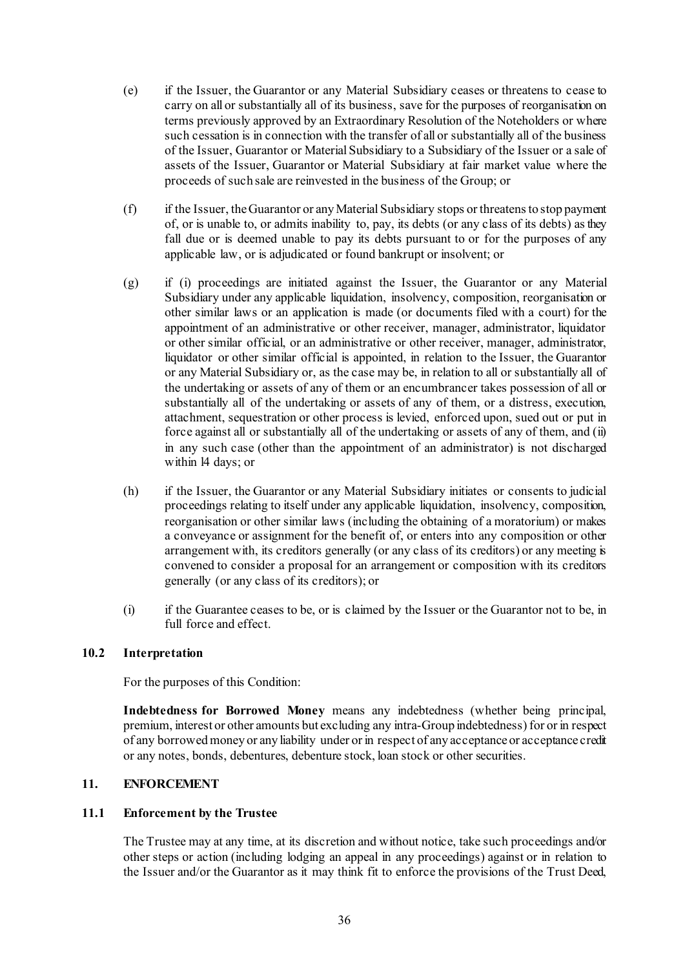- <span id="page-46-0"></span>(e) if the Issuer, the Guarantor or any Material Subsidiary ceases or threatens to cease to carry on all or substantially all of its business, save for the purposes of reorganisation on terms previously approved by an Extraordinary Resolution of the Noteholders or where such cessation is in connection with the transfer of all or substantially all of the business of the Issuer, Guarantor or Material Subsidiary to a Subsidiary of the Issuer or a sale of assets of the Issuer, Guarantor or Material Subsidiary at fair market value where the proceeds of such sale are reinvested in the business of the Group; or
- (f) if the Issuer, the Guarantor or any Material Subsidiary stops or threatens to stop payment of, or is unable to, or admits inability to, pay, its debts (or any class of its debts) as they fall due or is deemed unable to pay its debts pursuant to or for the purposes of any applicable law, or is adjudicated or found bankrupt or insolvent; or
- (g) if (i) proceedings are initiated against the Issuer, the Guarantor or any Material Subsidiary under any applicable liquidation, insolvency, composition, reorganisation or other similar laws or an application is made (or documents filed with a court) for the appointment of an administrative or other receiver, manager, administrator, liquidator or other similar official, or an administrative or other receiver, manager, administrator, liquidator or other similar official is appointed, in relation to the Issuer, the Guarantor or any Material Subsidiary or, as the case may be, in relation to all or substantially all of the undertaking or assets of any of them or an encumbrancer takes possession of all or substantially all of the undertaking or assets of any of them, or a distress, execution, attachment, sequestration or other process is levied, enforced upon, sued out or put in force against all or substantially all of the undertaking or assets of any of them, and (ii) in any such case (other than the appointment of an administrator) is not discharged within l4 days; or
- <span id="page-46-1"></span>(h) if the Issuer, the Guarantor or any Material Subsidiary initiates or consents to judicial proceedings relating to itself under any applicable liquidation, insolvency, composition, reorganisation or other similar laws (including the obtaining of a moratorium) or makes a conveyance or assignment for the benefit of, or enters into any composition or other arrangement with, its creditors generally (or any class of its creditors) or any meeting is convened to consider a proposal for an arrangement or composition with its creditors generally (or any class of its creditors); or
- (i) if the Guarantee ceases to be, or is claimed by the Issuer or the Guarantor not to be, in full force and effect.

#### **10.2 Interpretation**

For the purposes of this Condition:

**Indebtedness for Borrowed Money** means any indebtedness (whether being principal, premium, interest or other amounts but excluding any intra-Group indebtedness) for or in respect of any borrowed money or any liability under or in respect of any acceptance or acceptance credit or any notes, bonds, debentures, debenture stock, loan stock or other securities.

#### **11. ENFORCEMENT**

#### **11.1 Enforcement by the Trustee**

The Trustee may at any time, at its discretion and without notice, take such proceedings and/or other steps or action (including lodging an appeal in any proceedings) against or in relation to the Issuer and/or the Guarantor as it may think fit to enforce the provisions of the Trust Deed,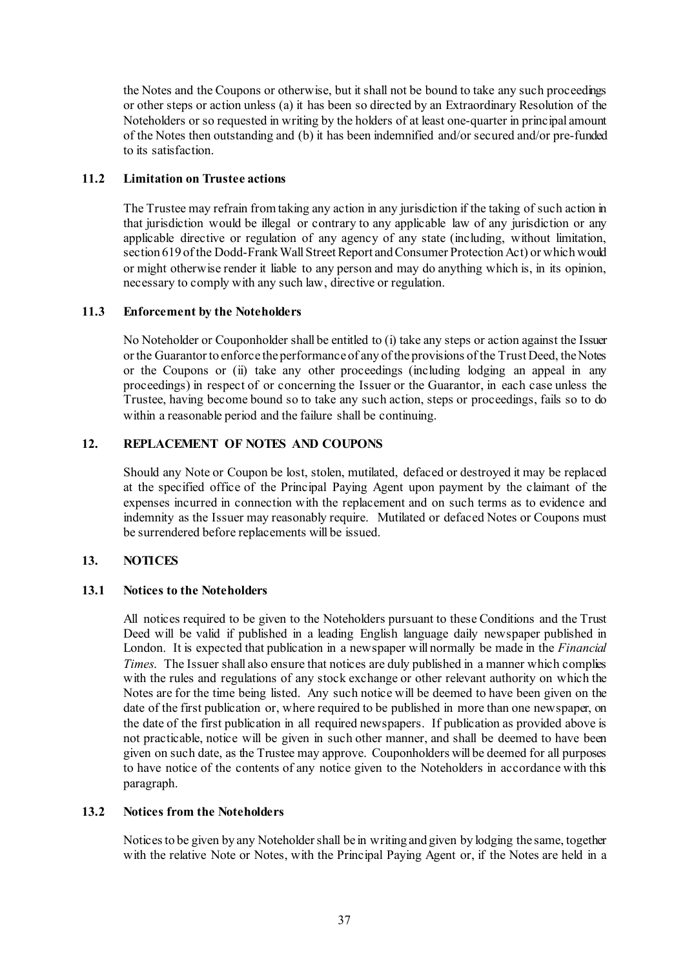the Notes and the Coupons or otherwise, but it shall not be bound to take any such proceedings or other steps or action unless (a) it has been so directed by an Extraordinary Resolution of the Noteholders or so requested in writing by the holders of at least one-quarter in principal amount of the Notes then outstanding and (b) it has been indemnified and/or secured and/or pre-funded to its satisfaction.

## **11.2 Limitation on Trustee actions**

The Trustee may refrain from taking any action in any jurisdiction if the taking of such action in that jurisdiction would be illegal or contrary to any applicable law of any jurisdiction or any applicable directive or regulation of any agency of any state (including, without limitation, section 619 of the Dodd-Frank Wall Street Report and Consumer Protection Act) or which would or might otherwise render it liable to any person and may do anything which is, in its opinion, necessary to comply with any such law, directive or regulation.

### **11.3 Enforcement by the Noteholders**

No Noteholder or Couponholder shall be entitled to (i) take any steps or action against the Issuer or the Guarantor to enforce the performance of any of the provisions of the Trust Deed, the Notes or the Coupons or (ii) take any other proceedings (including lodging an appeal in any proceedings) in respect of or concerning the Issuer or the Guarantor, in each case unless the Trustee, having become bound so to take any such action, steps or proceedings, fails so to do within a reasonable period and the failure shall be continuing.

### <span id="page-47-1"></span>**12. REPLACEMENT OF NOTES AND COUPONS**

Should any Note or Coupon be lost, stolen, mutilated, defaced or destroyed it may be replaced at the specified office of the Principal Paying Agent upon payment by the claimant of the expenses incurred in connection with the replacement and on such terms as to evidence and indemnity as the Issuer may reasonably require. Mutilated or defaced Notes or Coupons must be surrendered before replacements will be issued.

## <span id="page-47-0"></span>**13. NOTICES**

## **13.1 Notices to the Noteholders**

All notices required to be given to the Noteholders pursuant to these Conditions and the Trust Deed will be valid if published in a leading English language daily newspaper published in London. It is expected that publication in a newspaper will normally be made in the *Financial Times*. The Issuer shall also ensure that notices are duly published in a manner which complies with the rules and regulations of any stock exchange or other relevant authority on which the Notes are for the time being listed. Any such notice will be deemed to have been given on the date of the first publication or, where required to be published in more than one newspaper, on the date of the first publication in all required newspapers. If publication as provided above is not practicable, notice will be given in such other manner, and shall be deemed to have been given on such date, as the Trustee may approve. Couponholders will be deemed for all purposes to have notice of the contents of any notice given to the Noteholders in accordance with this paragraph.

#### **13.2 Notices from the Noteholders**

Notices to be given by any Noteholder shall be in writing and given by lodging the same, together with the relative Note or Notes, with the Principal Paying Agent or, if the Notes are held in a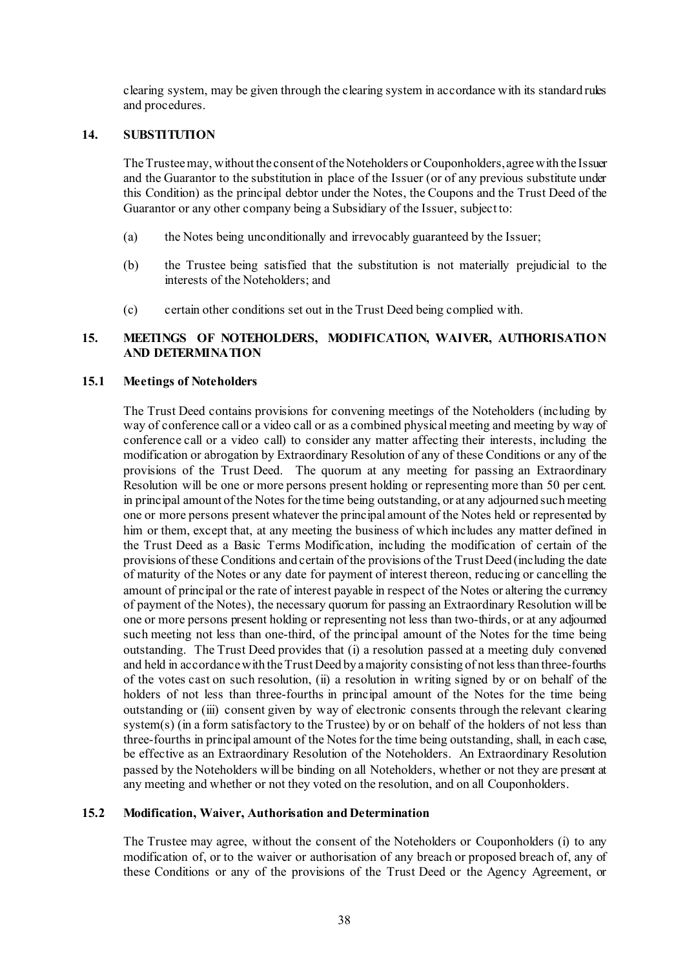clearing system, may be given through the clearing system in accordance with its standard rules and procedures.

### **14. SUBSTITUTION**

The Trustee may, without the consent of the Noteholders or Couponholders, agree with the Issuer and the Guarantor to the substitution in place of the Issuer (or of any previous substitute under this Condition) as the principal debtor under the Notes, the Coupons and the Trust Deed of the Guarantor or any other company being a Subsidiary of the Issuer, subject to:

- (a) the Notes being unconditionally and irrevocably guaranteed by the Issuer;
- (b) the Trustee being satisfied that the substitution is not materially prejudicial to the interests of the Noteholders; and
- (c) certain other conditions set out in the Trust Deed being complied with.

### **15. MEETINGS OF NOTEHOLDERS, MODIFICATION, WAIVER, AUTHORISATION AND DETERMINATION**

#### **15.1 Meetings of Noteholders**

The Trust Deed contains provisions for convening meetings of the Noteholders (including by way of conference call or a video call or as a combined physical meeting and meeting by way of conference call or a video call) to consider any matter affecting their interests, including the modification or abrogation by Extraordinary Resolution of any of these Conditions or any of the provisions of the Trust Deed. The quorum at any meeting for passing an Extraordinary Resolution will be one or more persons present holding or representing more than 50 per cent. in principal amount of the Notes for the time being outstanding, or at any adjourned such meeting one or more persons present whatever the principal amount of the Notes held or represented by him or them, except that, at any meeting the business of which includes any matter defined in the Trust Deed as a Basic Terms Modification, including the modification of certain of the provisions of these Conditions and certain of the provisions of the Trust Deed (including the date of maturity of the Notes or any date for payment of interest thereon, reducing or cancelling the amount of principal or the rate of interest payable in respect of the Notes or altering the currency of payment of the Notes), the necessary quorum for passing an Extraordinary Resolution will be one or more persons present holding or representing not less than two-thirds, or at any adjourned such meeting not less than one-third, of the principal amount of the Notes for the time being outstanding. The Trust Deed provides that (i) a resolution passed at a meeting duly convened and held in accordance with the Trust Deed by a majority consisting of not less than three-fourths of the votes cast on such resolution, (ii) a resolution in writing signed by or on behalf of the holders of not less than three-fourths in principal amount of the Notes for the time being outstanding or (iii) consent given by way of electronic consents through the relevant clearing system(s) (in a form satisfactory to the Trustee) by or on behalf of the holders of not less than three-fourths in principal amount of the Notes for the time being outstanding, shall, in each case, be effective as an Extraordinary Resolution of the Noteholders. An Extraordinary Resolution passed by the Noteholders will be binding on all Noteholders, whether or not they are present at any meeting and whether or not they voted on the resolution, and on all Couponholders.

#### **15.2 Modification, Waiver, Authorisation and Determination**

The Trustee may agree, without the consent of the Noteholders or Couponholders (i) to any modification of, or to the waiver or authorisation of any breach or proposed breach of, any of these Conditions or any of the provisions of the Trust Deed or the Agency Agreement, or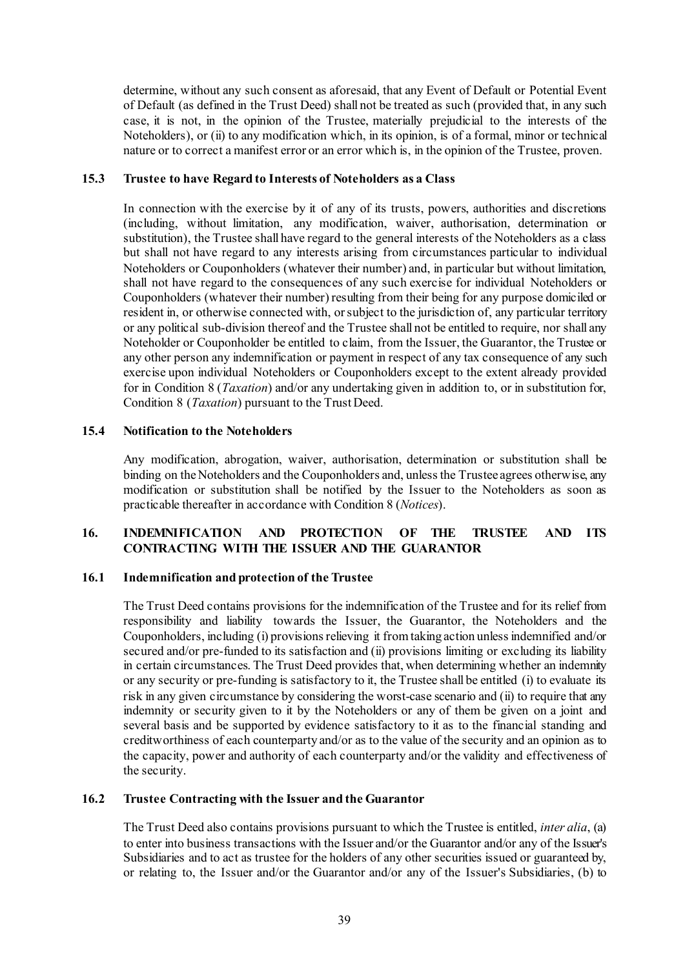determine, without any such consent as aforesaid, that any Event of Default or Potential Event of Default (as defined in the Trust Deed) shall not be treated as such (provided that, in any such case, it is not, in the opinion of the Trustee, materially prejudicial to the interests of the Noteholders), or (ii) to any modification which, in its opinion, is of a formal, minor or technical nature or to correct a manifest error or an error which is, in the opinion of the Trustee, proven.

### **15.3 Trustee to have Regard to Interests of Noteholders as a Class**

In connection with the exercise by it of any of its trusts, powers, authorities and discretions (including, without limitation, any modification, waiver, authorisation, determination or substitution), the Trustee shall have regard to the general interests of the Noteholders as a class but shall not have regard to any interests arising from circumstances particular to individual Noteholders or Couponholders (whatever their number) and, in particular but without limitation, shall not have regard to the consequences of any such exercise for individual Noteholders or Couponholders (whatever their number) resulting from their being for any purpose domiciled or resident in, or otherwise connected with, or subject to the jurisdiction of, any particular territory or any political sub-division thereof and the Trustee shall not be entitled to require, nor shall any Noteholder or Couponholder be entitled to claim, from the Issuer, the Guarantor, the Trustee or any other person any indemnification or payment in respect of any tax consequence of any such exercise upon individual Noteholders or Couponholders except to the extent already provided for in Condition [8](#page-44-0) (*[Taxation](#page-44-0)*) and/or any undertaking given in addition to, or in substitution for, Condition [8](#page-44-0) (*[Taxation](#page-44-0)*) pursuant to the Trust Deed.

### **15.4 Notification to the Noteholders**

Any modification, abrogation, waiver, authorisation, determination or substitution shall be binding on the Noteholders and the Couponholders and, unless the Trustee agrees otherwise, any modification or substitution shall be notified by the Issuer to the Noteholders as soon as practicable thereafter in accordance with Conditio[n 8](#page-44-0) (*[Notices](#page-47-0)*).

# **16. INDEMNIFICATION AND PROTECTION OF THE TRUSTEE AND ITS CONTRACTING WITH THE ISSUER AND THE GUARANTOR**

#### **16.1 Indemnification and protection of the Trustee**

The Trust Deed contains provisions for the indemnification of the Trustee and for its relief from responsibility and liability towards the Issuer, the Guarantor, the Noteholders and the Couponholders, including (i) provisions relieving it from taking action unless indemnified and/or secured and/or pre-funded to its satisfaction and (ii) provisions limiting or excluding its liability in certain circumstances. The Trust Deed provides that, when determining whether an indemnity or any security or pre-funding is satisfactory to it, the Trustee shall be entitled (i) to evaluate its risk in any given circumstance by considering the worst-case scenario and (ii) to require that any indemnity or security given to it by the Noteholders or any of them be given on a joint and several basis and be supported by evidence satisfactory to it as to the financial standing and creditworthiness of each counterparty and/or as to the value of the security and an opinion as to the capacity, power and authority of each counterparty and/or the validity and effectiveness of the security.

## **16.2 Trustee Contracting with the Issuer and the Guarantor**

The Trust Deed also contains provisions pursuant to which the Trustee is entitled, *inter alia*, (a) to enter into business transactions with the Issuer and/or the Guarantor and/or any of the Issuer's Subsidiaries and to act as trustee for the holders of any other securities issued or guaranteed by, or relating to, the Issuer and/or the Guarantor and/or any of the Issuer's Subsidiaries, (b) to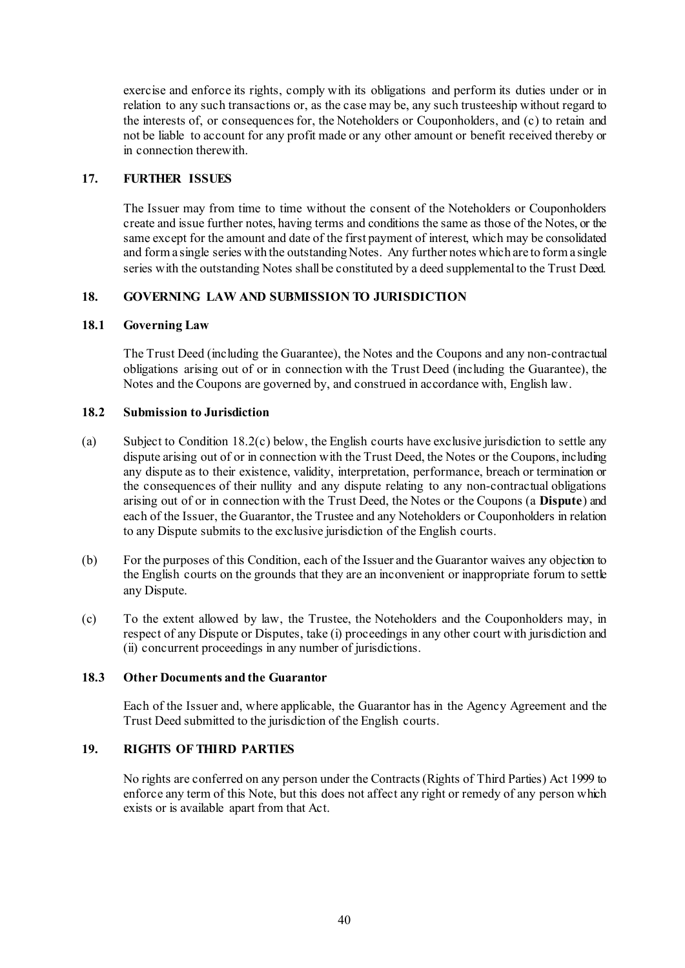exercise and enforce its rights, comply with its obligations and perform its duties under or in relation to any such transactions or, as the case may be, any such trusteeship without regard to the interests of, or consequences for, the Noteholders or Couponholders, and (c) to retain and not be liable to account for any profit made or any other amount or benefit received thereby or in connection therewith.

### <span id="page-50-0"></span>**17. FURTHER ISSUES**

The Issuer may from time to time without the consent of the Noteholders or Couponholders create and issue further notes, having terms and conditions the same as those of the Notes, or the same except for the amount and date of the first payment of interest, which may be consolidated and form a single series with the outstanding Notes. Any further notes which are to form a single series with the outstanding Notes shall be constituted by a deed supplemental to the Trust Deed.

## **18. GOVERNING LAW AND SUBMISSION TO JURISDICTION**

### **18.1 Governing Law**

The Trust Deed (including the Guarantee), the Notes and the Coupons and any non-contractual obligations arising out of or in connection with the Trust Deed (including the Guarantee), the Notes and the Coupons are governed by, and construed in accordance with, English law.

#### **18.2 Submission to Jurisdiction**

- (a) Subject to Condition [18.2\(c\) below,](#page-50-1) the English courts have exclusive jurisdiction to settle any dispute arising out of or in connection with the Trust Deed, the Notes or the Coupons, including any dispute as to their existence, validity, interpretation, performance, breach or termination or the consequences of their nullity and any dispute relating to any non-contractual obligations arising out of or in connection with the Trust Deed, the Notes or the Coupons (a **Dispute**) and each of the Issuer, the Guarantor, the Trustee and any Noteholders or Couponholders in relation to any Dispute submits to the exclusive jurisdiction of the English courts.
- (b) For the purposes of this Condition, each of the Issuer and the Guarantor waives any objection to the English courts on the grounds that they are an inconvenient or inappropriate forum to settle any Dispute.
- <span id="page-50-1"></span>(c) To the extent allowed by law, the Trustee, the Noteholders and the Couponholders may, in respect of any Dispute or Disputes, take (i) proceedings in any other court with jurisdiction and (ii) concurrent proceedings in any number of jurisdictions.

#### **18.3 Other Documents and the Guarantor**

Each of the Issuer and, where applicable, the Guarantor has in the Agency Agreement and the Trust Deed submitted to the jurisdiction of the English courts.

# **19. RIGHTS OF THIRD PARTIES**

No rights are conferred on any person under the Contracts (Rights of Third Parties) Act 1999 to enforce any term of this Note, but this does not affect any right or remedy of any person which exists or is available apart from that Act.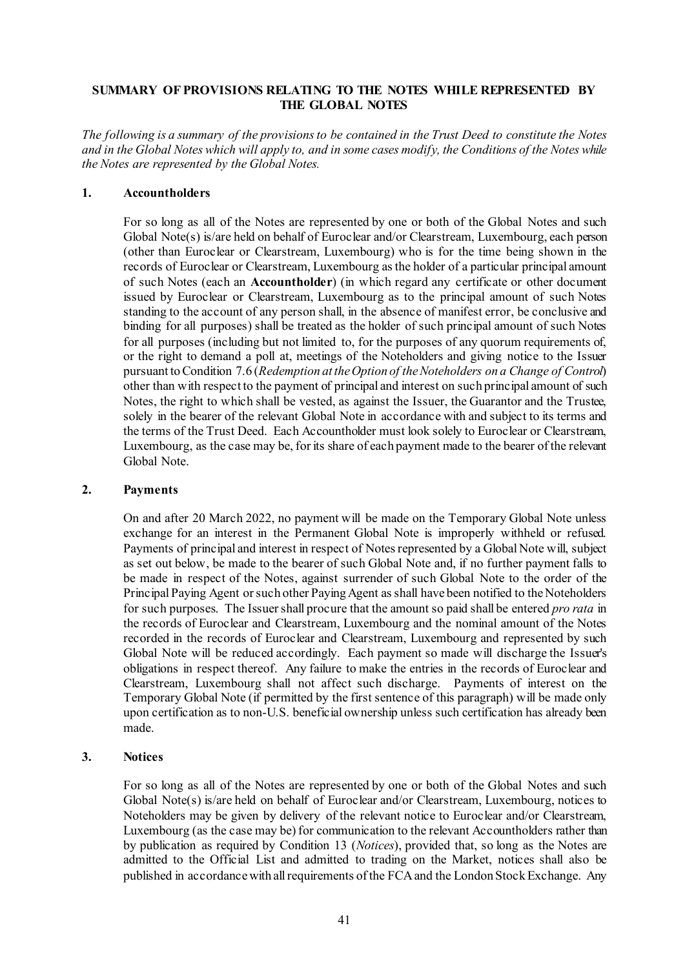### **SUMMARY OF PROVISIONS RELATING TO THE NOTES WHILE REPRESENTED BY THE GLOBAL NOTES**

*The following is a summary of the provisions to be contained in the Trust Deed to constitute the Notes and in the Global Notes which will apply to, and in some cases modify, the Conditions of the Notes while the Notes are represented by the Global Notes.*

#### **1. Accountholders**

For so long as all of the Notes are represented by one or both of the Global Notes and such Global Note(s) is/are held on behalf of Euroclear and/or Clearstream, Luxembourg, each person (other than Euroclear or Clearstream, Luxembourg) who is for the time being shown in the records of Euroclear or Clearstream, Luxembourg as the holder of a particular principal amount of such Notes (each an **Accountholder**) (in which regard any certificate or other document issued by Euroclear or Clearstream, Luxembourg as to the principal amount of such Notes standing to the account of any person shall, in the absence of manifest error, be conclusive and binding for all purposes) shall be treated as the holder of such principal amount of such Notes for all purposes (including but not limited to, for the purposes of any quorum requirements of, or the right to demand a poll at, meetings of the Noteholders and giving notice to the Issuer pursuant to Condition [7.6](#page-41-0) (*[Redemption at the Option of the Noteholders on a Change of Control](#page-41-0)*) other than with respect to the payment of principal and interest on such principal amount of such Notes, the right to which shall be vested, as against the Issuer, the Guarantor and the Trustee, solely in the bearer of the relevant Global Note in accordance with and subject to its terms and the terms of the Trust Deed. Each Accountholder must look solely to Euroclear or Clearstream, Luxembourg, as the case may be, for its share of each payment made to the bearer of the relevant Global Note.

#### **2. Payments**

On and after 20 March 2022, no payment will be made on the Temporary Global Note unless exchange for an interest in the Permanent Global Note is improperly withheld or refused. Payments of principal and interest in respect of Notes represented by a Global Note will, subject as set out below, be made to the bearer of such Global Note and, if no further payment falls to be made in respect of the Notes, against surrender of such Global Note to the order of the Principal Paying Agent or such other Paying Agent as shall have been notified to the Noteholders for such purposes. The Issuer shall procure that the amount so paid shall be entered *pro rata* in the records of Euroclear and Clearstream, Luxembourg and the nominal amount of the Notes recorded in the records of Euroclear and Clearstream, Luxembourg and represented by such Global Note will be reduced accordingly. Each payment so made will discharge the Issuer's obligations in respect thereof. Any failure to make the entries in the records of Euroclear and Clearstream, Luxembourg shall not affect such discharge. Payments of interest on the Temporary Global Note (if permitted by the first sentence of this paragraph) will be made only upon certification as to non-U.S. beneficial ownership unless such certification has already been made.

#### **3. Notices**

For so long as all of the Notes are represented by one or both of the Global Notes and such Global Note(s) is/are held on behalf of Euroclear and/or Clearstream, Luxembourg, notices to Noteholders may be given by delivery of the relevant notice to Euroclear and/or Clearstream, Luxembourg (as the case may be) for communication to the relevant Accountholders rather than by publication as required by Condition [13](#page-47-0) (*[Notices](#page-47-0)*), provided that, so long as the Notes are admitted to the Official List and admitted to trading on the Market, notices shall also be published in accordance with all requirements of the FCA and the London Stock Exchange. Any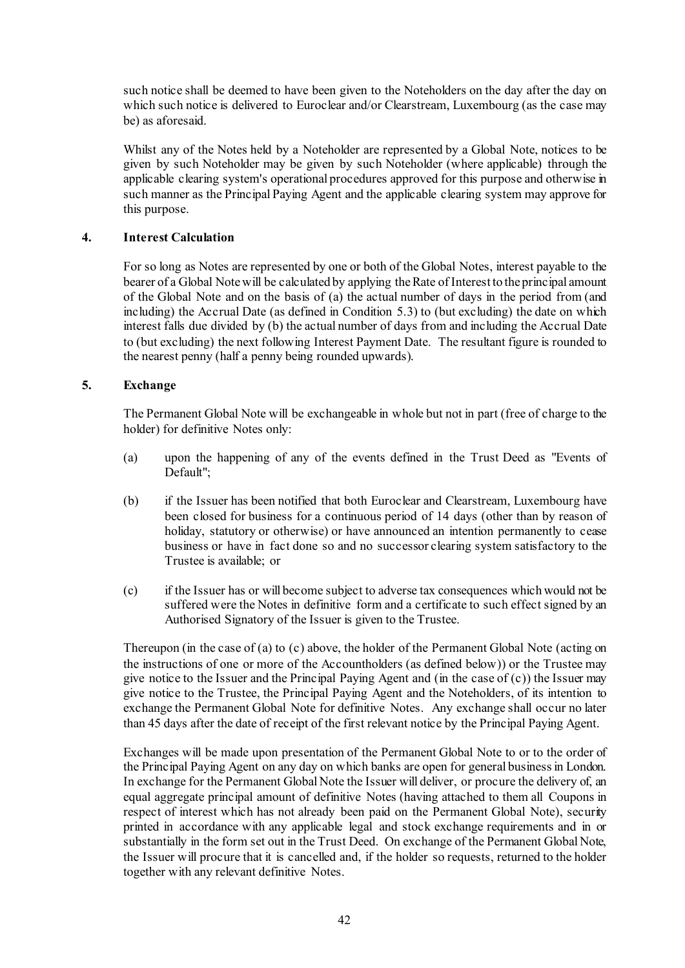such notice shall be deemed to have been given to the Noteholders on the day after the day on which such notice is delivered to Euroclear and/or Clearstream, Luxembourg (as the case may be) as aforesaid.

Whilst any of the Notes held by a Noteholder are represented by a Global Note, notices to be given by such Noteholder may be given by such Noteholder (where applicable) through the applicable clearing system's operational procedures approved for this purpose and otherwise in such manner as the Principal Paying Agent and the applicable clearing system may approve for this purpose.

### **4. Interest Calculation**

For so long as Notes are represented by one or both of the Global Notes, interest payable to the bearer of a Global Note will be calculated by applying the Rate of Interest to the principal amount of the Global Note and on the basis of (a) the actual number of days in the period from (and including) the Accrual Date (as defined in Condition 5.3) to (but excluding) the date on which interest falls due divided by (b) the actual number of days from and including the Accrual Date to (but excluding) the next following Interest Payment Date. The resultant figure is rounded to the nearest penny (half a penny being rounded upwards).

### **5. Exchange**

The Permanent Global Note will be exchangeable in whole but not in part (free of charge to the holder) for definitive Notes only:

- <span id="page-52-0"></span>(a) upon the happening of any of the events defined in the Trust Deed as "Events of Default";
- (b) if the Issuer has been notified that both Euroclear and Clearstream, Luxembourg have been closed for business for a continuous period of 14 days (other than by reason of holiday, statutory or otherwise) or have announced an intention permanently to cease business or have in fact done so and no successor clearing system satisfactory to the Trustee is available; or
- <span id="page-52-1"></span>(c) if the Issuer has or will become subject to adverse tax consequences which would not be suffered were the Notes in definitive form and a certificate to such effect signed by an Authorised Signatory of the Issuer is given to the Trustee.

Thereupon (in the case of [\(a\)](#page-52-0) to [\(c\) above,](#page-52-1) the holder of the Permanent Global Note (acting on the instructions of one or more of the Accountholders (as defined below)) or the Trustee may give notice to the Issuer and the Principal Paying Agent and (in the case o[f \(c\)\)](#page-52-1) the Issuer may give notice to the Trustee, the Principal Paying Agent and the Noteholders, of its intention to exchange the Permanent Global Note for definitive Notes. Any exchange shall occur no later than 45 days after the date of receipt of the first relevant notice by the Principal Paying Agent.

Exchanges will be made upon presentation of the Permanent Global Note to or to the order of the Principal Paying Agent on any day on which banks are open for general business in London. In exchange for the Permanent Global Note the Issuer will deliver, or procure the delivery of, an equal aggregate principal amount of definitive Notes (having attached to them all Coupons in respect of interest which has not already been paid on the Permanent Global Note), security printed in accordance with any applicable legal and stock exchange requirements and in or substantially in the form set out in the Trust Deed. On exchange of the Permanent Global Note, the Issuer will procure that it is cancelled and, if the holder so requests, returned to the holder together with any relevant definitive Notes.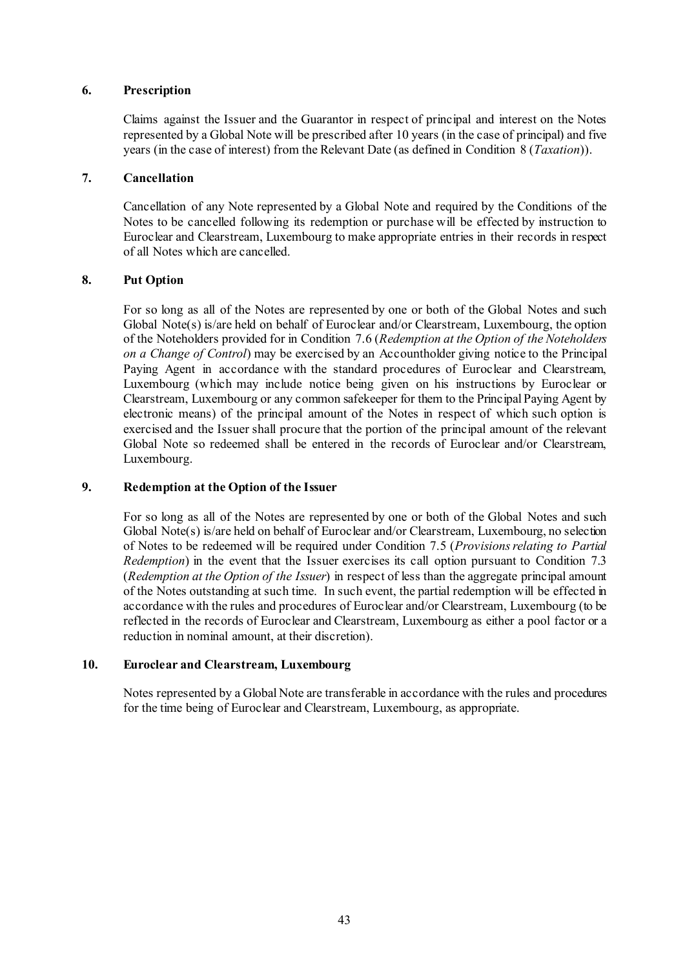### **6. Prescription**

Claims against the Issuer and the Guarantor in respect of principal and interest on the Notes represented by a Global Note will be prescribed after 10 years (in the case of principal) and five years (in the case of interest) from the Relevant Date (as defined in Condition [8](#page-44-0) (*[Taxation](#page-44-0)*)).

### **7. Cancellation**

Cancellation of any Note represented by a Global Note and required by the Conditions of the Notes to be cancelled following its redemption or purchase will be effected by instruction to Euroclear and Clearstream, Luxembourg to make appropriate entries in their records in respect of all Notes which are cancelled.

## **8. Put Option**

For so long as all of the Notes are represented by one or both of the Global Notes and such Global Note(s) is/are held on behalf of Euroclear and/or Clearstream, Luxembourg, the option of the Noteholders provided for in Condition [7.6](#page-41-0) (*[Redemption at the Option of the Noteholders](#page-41-0)  [on a Change of Control](#page-41-0)*) may be exercised by an Accountholder giving notice to the Principal Paying Agent in accordance with the standard procedures of Euroclear and Clearstream, Luxembourg (which may include notice being given on his instructions by Euroclear or Clearstream, Luxembourg or any common safekeeper for them to the Principal Paying Agent by electronic means) of the principal amount of the Notes in respect of which such option is exercised and the Issuer shall procure that the portion of the principal amount of the relevant Global Note so redeemed shall be entered in the records of Euroclear and/or Clearstream, Luxembourg.

## **9. Redemption at the Option of the Issuer**

For so long as all of the Notes are represented by one or both of the Global Notes and such Global Note(s) is/are held on behalf of Euroclear and/or Clearstream, Luxembourg, no selection of Notes to be redeemed will be required under Condition 7.5 (*Provisions relating to Partial Redemption*) in the event that the Issuer exercises its call option pursuant to Condition [7.3](#page-39-1) (*[Redemption at the Option of the Issuer](#page-39-1)*) in respect of less than the aggregate principal amount of the Notes outstanding at such time. In such event, the partial redemption will be effected in accordance with the rules and procedures of Euroclear and/or Clearstream, Luxembourg (to be reflected in the records of Euroclear and Clearstream, Luxembourg as either a pool factor or a reduction in nominal amount, at their discretion).

### **10. Euroclear and Clearstream, Luxembourg**

Notes represented by a Global Note are transferable in accordance with the rules and procedures for the time being of Euroclear and Clearstream, Luxembourg, as appropriate.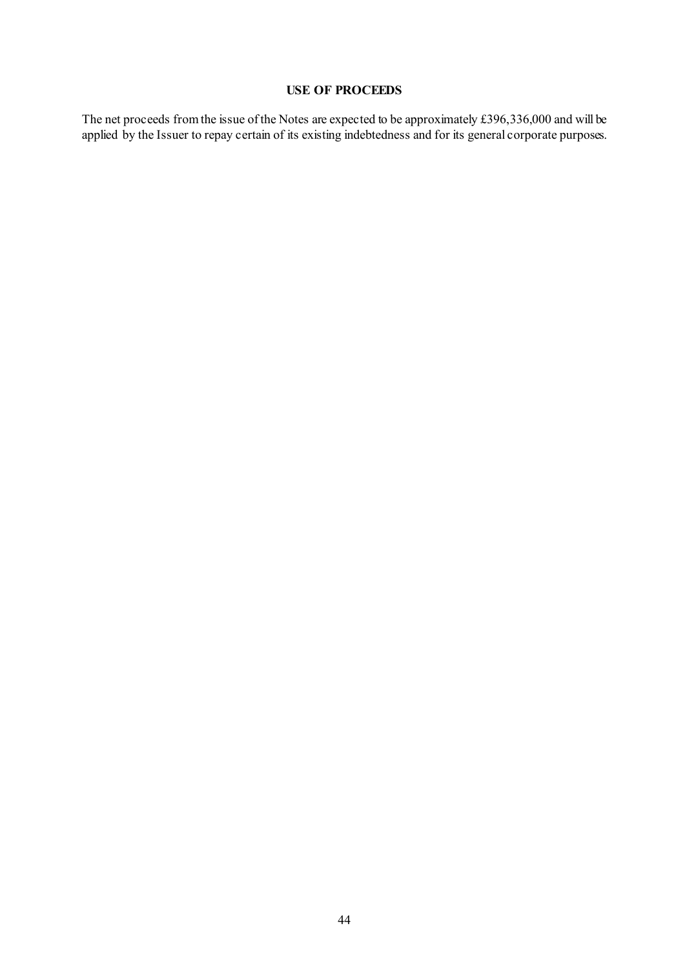## **USE OF PROCEEDS**

The net proceeds from the issue of the Notes are expected to be approximately £396,336,000 and will be applied by the Issuer to repay certain of its existing indebtedness and for its general corporate purposes.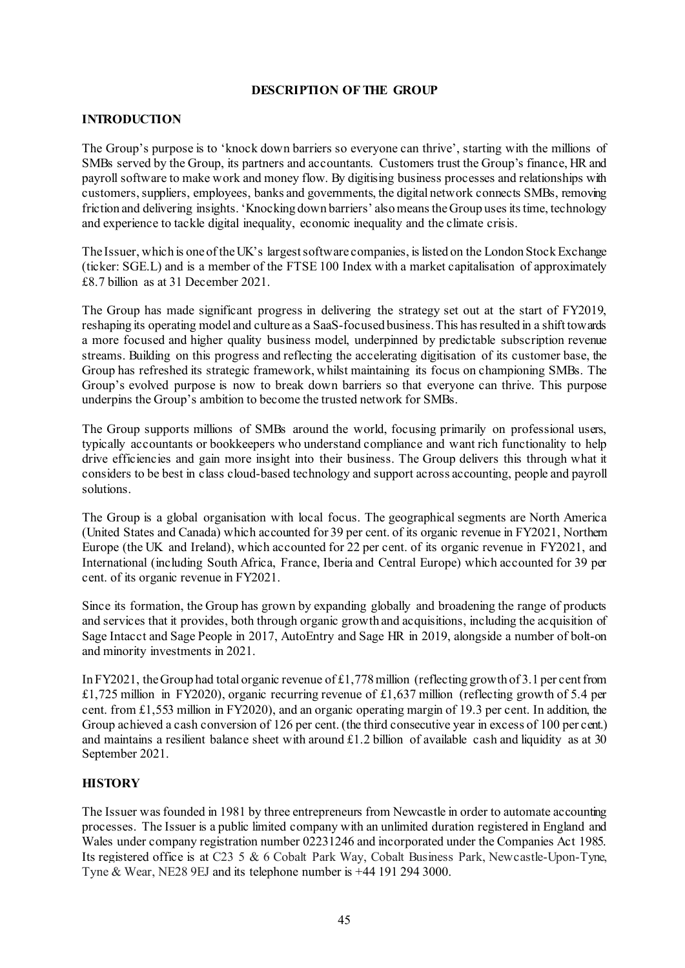### **DESCRIPTION OF THE GROUP**

## **INTRODUCTION**

The Group's purpose is to 'knock down barriers so everyone can thrive', starting with the millions of SMBs served by the Group, its partners and accountants. Customers trust the Group's finance, HR and payroll software to make work and money flow. By digitising business processes and relationships with customers, suppliers, employees, banks and governments, the digital network connects SMBs, removing friction and delivering insights. 'Knocking down barriers' also means the Group uses its time, technology and experience to tackle digital inequality, economic inequality and the climate crisis.

The Issuer, which is one of the UK's largest software companies, is listed on the London Stock Exchange (ticker: SGE.L) and is a member of the FTSE 100 Index with a market capitalisation of approximately £8.7 billion as at 31 December 2021.

The Group has made significant progress in delivering the strategy set out at the start of FY2019, reshaping its operating model and culture as a SaaS-focused business.This has resulted in a shift towards a more focused and higher quality business model, underpinned by predictable subscription revenue streams. Building on this progress and reflecting the accelerating digitisation of its customer base, the Group has refreshed its strategic framework, whilst maintaining its focus on championing SMBs. The Group's evolved purpose is now to break down barriers so that everyone can thrive. This purpose underpins the Group's ambition to become the trusted network for SMBs.

The Group supports millions of SMBs around the world, focusing primarily on professional users, typically accountants or bookkeepers who understand compliance and want rich functionality to help drive efficiencies and gain more insight into their business. The Group delivers this through what it considers to be best in class cloud-based technology and support across accounting, people and payroll solutions.

The Group is a global organisation with local focus. The geographical segments are North America (United States and Canada) which accounted for 39 per cent. of its organic revenue in FY2021, Northern Europe (the UK and Ireland), which accounted for 22 per cent. of its organic revenue in FY2021, and International (including South Africa, France, Iberia and Central Europe) which accounted for 39 per cent. of its organic revenue in FY2021.

Since its formation, the Group has grown by expanding globally and broadening the range of products and services that it provides, both through organic growth and acquisitions, including the acquisition of Sage Intacct and Sage People in 2017, AutoEntry and Sage HR in 2019, alongside a number of bolt-on and minority investments in 2021.

In FY2021, the Group had total organic revenue of £1,778million (reflecting growth of 3.1 per cent from £1,725 million in FY2020), organic recurring revenue of £1,637 million (reflecting growth of 5.4 per cent. from £1,553 million in FY2020), and an organic operating margin of 19.3 per cent. In addition, the Group achieved a cash conversion of 126 per cent. (the third consecutive year in excess of 100 per cent.) and maintains a resilient balance sheet with around £1.2 billion of available cash and liquidity as at 30 September 2021.

## **HISTORY**

The Issuer was founded in 1981 by three entrepreneurs from Newcastle in order to automate accounting processes. The Issuer is a public limited company with an unlimited duration registered in England and Wales under company registration number 02231246 and incorporated under the Companies Act 1985. Its registered office is at C23 5 & 6 Cobalt Park Way, Cobalt Business Park, Newcastle-Upon-Tyne, Tyne & Wear, NE28 9EJ and its telephone number is +44 191 294 3000.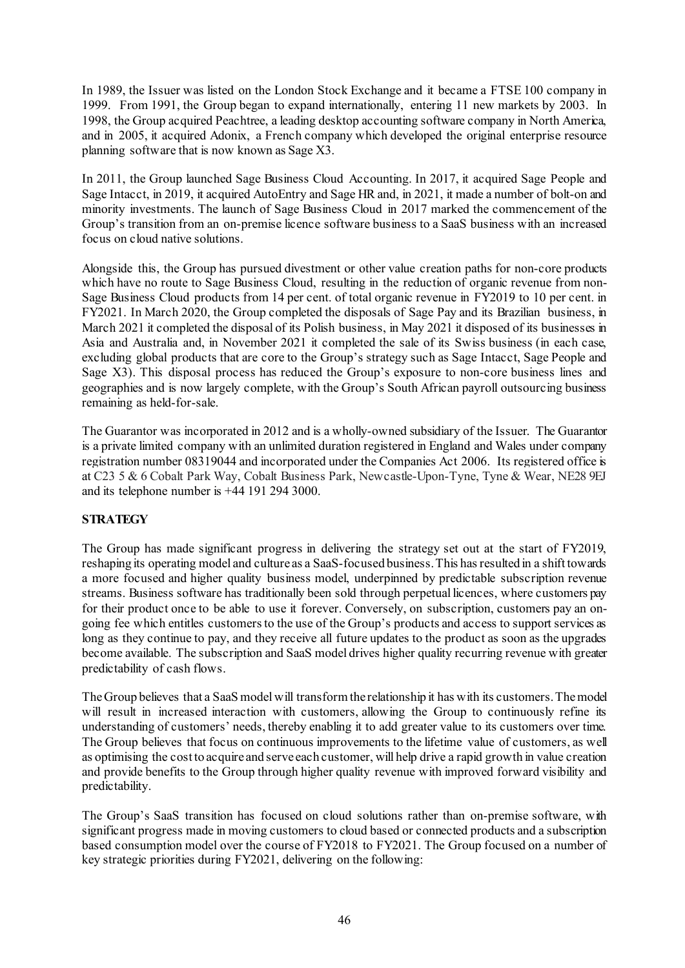In 1989, the Issuer was listed on the London Stock Exchange and it became a FTSE 100 company in 1999. From 1991, the Group began to expand internationally, entering 11 new markets by 2003. In 1998, the Group acquired Peachtree, a leading desktop accounting software company in North America, and in 2005, it acquired Adonix, a French company which developed the original enterprise resource planning software that is now known as Sage X3.

In 2011, the Group launched Sage Business Cloud Accounting. In 2017, it acquired Sage People and Sage Intacct, in 2019, it acquired AutoEntry and Sage HR and, in 2021, it made a number of bolt-on and minority investments. The launch of Sage Business Cloud in 2017 marked the commencement of the Group's transition from an on-premise licence software business to a SaaS business with an increased focus on cloud native solutions.

Alongside this, the Group has pursued divestment or other value creation paths for non-core products which have no route to Sage Business Cloud, resulting in the reduction of organic revenue from non-Sage Business Cloud products from 14 per cent. of total organic revenue in FY2019 to 10 per cent. in FY2021. In March 2020, the Group completed the disposals of Sage Pay and its Brazilian business, in March 2021 it completed the disposal of its Polish business, in May 2021 it disposed of its businesses in Asia and Australia and, in November 2021 it completed the sale of its Swiss business (in each case, excluding global products that are core to the Group's strategy such as Sage Intacct, Sage People and Sage X3). This disposal process has reduced the Group's exposure to non-core business lines and geographies and is now largely complete, with the Group's South African payroll outsourcing business remaining as held-for-sale.

The Guarantor was incorporated in 2012 and is a wholly-owned subsidiary of the Issuer. The Guarantor is a private limited company with an unlimited duration registered in England and Wales under company registration number 08319044 and incorporated under the Companies Act 2006. Its registered office is at C23 5 & 6 Cobalt Park Way, Cobalt Business Park, Newcastle-Upon-Tyne, Tyne & Wear, NE28 9EJ and its telephone number is +44 191 294 3000.

## **STRATEGY**

The Group has made significant progress in delivering the strategy set out at the start of FY2019, reshaping its operating model and culture as a SaaS-focused business. This has resulted in a shift towards a more focused and higher quality business model, underpinned by predictable subscription revenue streams. Business software has traditionally been sold through perpetual licences, where customers pay for their product once to be able to use it forever. Conversely, on subscription, customers pay an ongoing fee which entitles customers to the use of the Group's products and access to support services as long as they continue to pay, and they receive all future updates to the product as soon as the upgrades become available. The subscription and SaaS model drives higher quality recurring revenue with greater predictability of cash flows.

The Group believes that a SaaS model will transform the relationship it has with its customers. The model will result in increased interaction with customers, allowing the Group to continuously refine its understanding of customers' needs, thereby enabling it to add greater value to its customers over time. The Group believes that focus on continuous improvements to the lifetime value of customers, as well as optimising the cost to acquire and serve each customer, will help drive a rapid growth in value creation and provide benefits to the Group through higher quality revenue with improved forward visibility and predictability.

The Group's SaaS transition has focused on cloud solutions rather than on-premise software, with significant progress made in moving customers to cloud based or connected products and a subscription based consumption model over the course of FY2018 to FY2021. The Group focused on a number of key strategic priorities during FY2021, delivering on the following: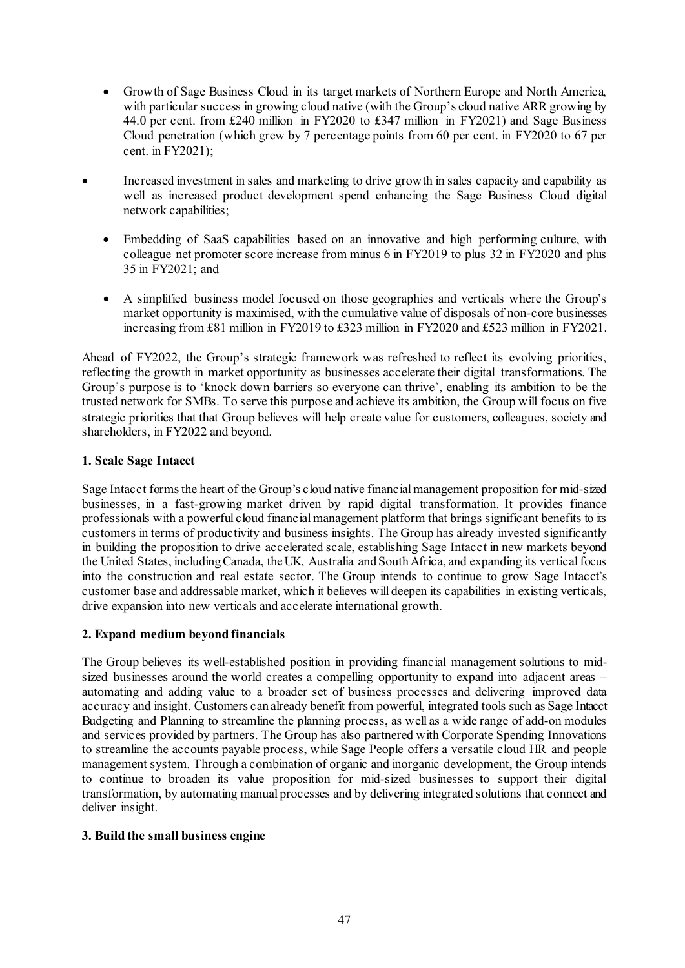- Growth of Sage Business Cloud in its target markets of Northern Europe and North America, with particular success in growing cloud native (with the Group's cloud native ARR growing by 44.0 per cent. from £240 million in FY2020 to £347 million in FY2021) and Sage Business Cloud penetration (which grew by 7 percentage points from 60 per cent. in FY2020 to 67 per cent. in FY2021);
- Increased investment in sales and marketing to drive growth in sales capacity and capability as well as increased product development spend enhancing the Sage Business Cloud digital network capabilities;
	- Embedding of SaaS capabilities based on an innovative and high performing culture, with colleague net promoter score increase from minus 6 in FY2019 to plus 32 in FY2020 and plus 35 in FY2021; and
	- A simplified business model focused on those geographies and verticals where the Group's market opportunity is maximised, with the cumulative value of disposals of non-core businesses increasing from £81 million in FY2019 to £323 million in FY2020 and £523 million in FY2021.

Ahead of FY2022, the Group's strategic framework was refreshed to reflect its evolving priorities, reflecting the growth in market opportunity as businesses accelerate their digital transformations. The Group's purpose is to 'knock down barriers so everyone can thrive', enabling its ambition to be the trusted network for SMBs. To serve this purpose and achieve its ambition, the Group will focus on five strategic priorities that that Group believes will help create value for customers, colleagues, society and shareholders, in FY2022 and beyond.

## **1. Scale Sage Intacct**

Sage Intacct forms the heart of the Group's cloud native financial management proposition for mid-sized businesses, in a fast-growing market driven by rapid digital transformation. It provides finance professionals with a powerful cloud financial management platform that brings significant benefits to its customers in terms of productivity and business insights. The Group has already invested significantly in building the proposition to drive accelerated scale, establishing Sage Intacct in new markets beyond the United States, including Canada, the UK, Australia and South Africa, and expanding its vertical focus into the construction and real estate sector. The Group intends to continue to grow Sage Intacct's customer base and addressable market, which it believes will deepen its capabilities in existing verticals, drive expansion into new verticals and accelerate international growth.

## **2. Expand medium beyond financials**

The Group believes its well-established position in providing financial management solutions to midsized businesses around the world creates a compelling opportunity to expand into adjacent areas – automating and adding value to a broader set of business processes and delivering improved data accuracy and insight. Customers can already benefit from powerful, integrated tools such as Sage Intacct Budgeting and Planning to streamline the planning process, as well as a wide range of add-on modules and services provided by partners. The Group has also partnered with Corporate Spending Innovations to streamline the accounts payable process, while Sage People offers a versatile cloud HR and people management system. Through a combination of organic and inorganic development, the Group intends to continue to broaden its value proposition for mid-sized businesses to support their digital transformation, by automating manual processes and by delivering integrated solutions that connect and deliver insight.

## **3. Build the small business engine**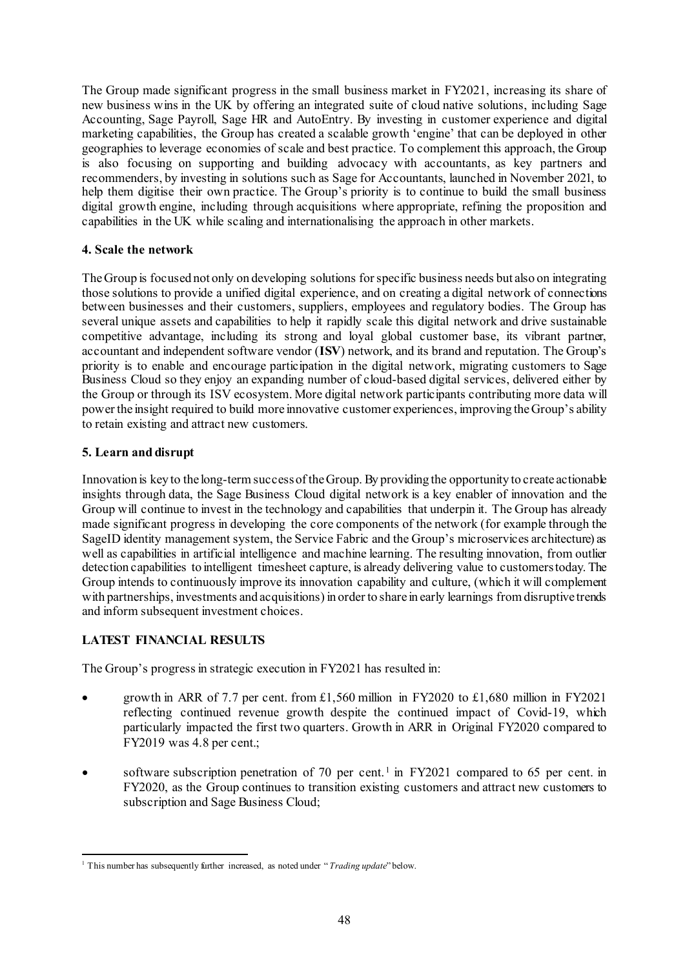The Group made significant progress in the small business market in FY2021, increasing its share of new business wins in the UK by offering an integrated suite of cloud native solutions, including Sage Accounting, Sage Payroll, Sage HR and AutoEntry. By investing in customer experience and digital marketing capabilities, the Group has created a scalable growth 'engine' that can be deployed in other geographies to leverage economies of scale and best practice. To complement this approach, the Group is also focusing on supporting and building advocacy with accountants, as key partners and recommenders, by investing in solutions such as Sage for Accountants, launched in November 2021, to help them digitise their own practice. The Group's priority is to continue to build the small business digital growth engine, including through acquisitions where appropriate, refining the proposition and capabilities in the UK while scaling and internationalising the approach in other markets.

## **4. Scale the network**

The Group is focused not only on developing solutions for specific business needs but also on integrating those solutions to provide a unified digital experience, and on creating a digital network of connections between businesses and their customers, suppliers, employees and regulatory bodies. The Group has several unique assets and capabilities to help it rapidly scale this digital network and drive sustainable competitive advantage, including its strong and loyal global customer base, its vibrant partner, accountant and independent software vendor (**ISV**) network, and its brand and reputation. The Group's priority is to enable and encourage participation in the digital network, migrating customers to Sage Business Cloud so they enjoy an expanding number of cloud-based digital services, delivered either by the Group or through its ISV ecosystem. More digital network participants contributing more data will power the insight required to build more innovative customer experiences, improving the Group's ability to retain existing and attract new customers.

### **5. Learn and disrupt**

Innovation is key to the long-termsuccess of the Group. By providing the opportunity to create actionable insights through data, the Sage Business Cloud digital network is a key enabler of innovation and the Group will continue to invest in the technology and capabilities that underpin it. The Group has already made significant progress in developing the core components of the network (for example through the SageID identity management system, the Service Fabric and the Group's microservices architecture) as well as capabilities in artificial intelligence and machine learning. The resulting innovation, from outlier detection capabilities to intelligent timesheet capture, is already delivering value to customers today. The Group intends to continuously improve its innovation capability and culture, (which it will complement with partnerships, investments and acquisitions) in order to share in early learnings from disruptive trends and inform subsequent investment choices.

## **LATEST FINANCIAL RESULTS**

The Group's progress in strategic execution in FY2021 has resulted in:

- growth in ARR of 7.7 per cent. from £1,560 million in FY2020 to £1,680 million in FY2021 reflecting continued revenue growth despite the continued impact of Covid-19, which particularly impacted the first two quarters. Growth in ARR in Original FY2020 compared to FY2019 was 4.8 per cent.;
- software subscription penetration of 70 per cent.<sup>[1](#page-58-0)</sup> in FY2021 compared to 65 per cent. in FY2020, as the Group continues to transition existing customers and attract new customers to subscription and Sage Business Cloud;

<span id="page-58-0"></span><sup>&</sup>lt;sup>1</sup> This number has subsequently further increased, as noted under "*Trading update*" below.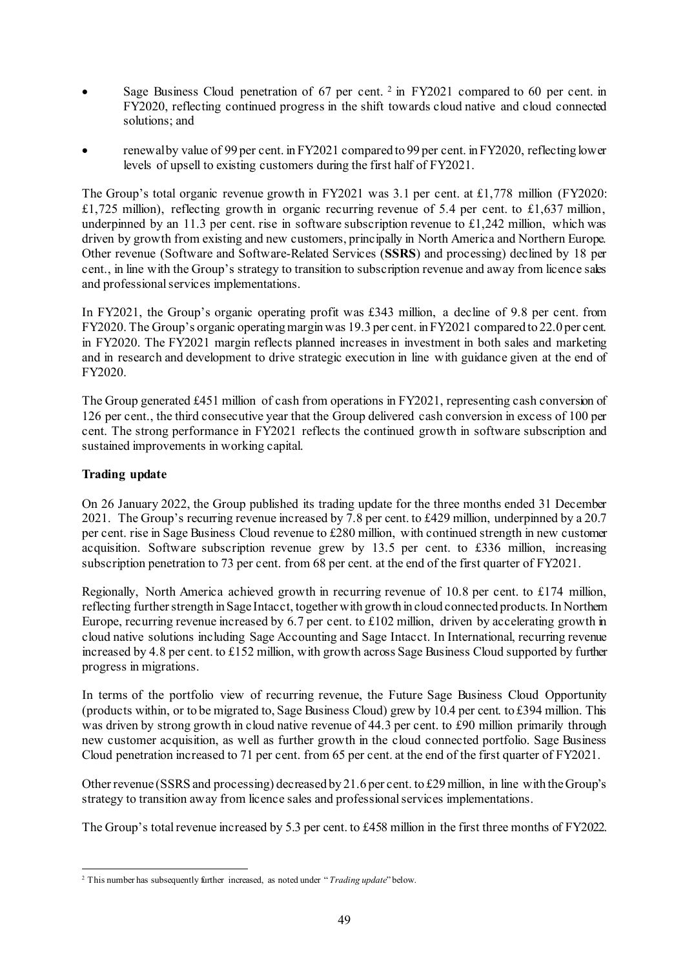- Sage Business Cloud penetration of 67 per cent.  $2 \text{ in } FY2021$  $2 \text{ in } FY2021$  compared to 60 per cent. in FY2020, reflecting continued progress in the shift towards cloud native and cloud connected solutions; and
- renewal by value of 99 per cent. in FY2021 compared to 99 per cent. in FY2020, reflecting lower levels of upsell to existing customers during the first half of FY2021.

The Group's total organic revenue growth in FY2021 was 3.1 per cent. at £1,778 million (FY2020: £1,725 million), reflecting growth in organic recurring revenue of 5.4 per cent. to £1,637 million, underpinned by an 11.3 per cent. rise in software subscription revenue to  $\pounds$ 1,242 million, which was driven by growth from existing and new customers, principally in North America and Northern Europe. Other revenue (Software and Software-Related Services (**SSRS**) and processing) declined by 18 per cent., in line with the Group's strategy to transition to subscription revenue and away from licence sales and professional services implementations.

In FY2021, the Group's organic operating profit was £343 million, a decline of 9.8 per cent. from FY2020. The Group's organic operating margin was 19.3 per cent. in FY2021 compared to 22.0 per cent. in FY2020. The FY2021 margin reflects planned increases in investment in both sales and marketing and in research and development to drive strategic execution in line with guidance given at the end of FY2020.

The Group generated £451 million of cash from operations in FY2021, representing cash conversion of 126 per cent., the third consecutive year that the Group delivered cash conversion in excess of 100 per cent. The strong performance in FY2021 reflects the continued growth in software subscription and sustained improvements in working capital.

# **Trading update**

On 26 January 2022, the Group published its trading update for the three months ended 31 December 2021. The Group's recurring revenue increased by 7.8 per cent. to £429 million, underpinned by a 20.7 per cent. rise in Sage Business Cloud revenue to £280 million, with continued strength in new customer acquisition. Software subscription revenue grew by 13.5 per cent. to £336 million, increasing subscription penetration to 73 per cent. from 68 per cent. at the end of the first quarter of FY2021.

Regionally, North America achieved growth in recurring revenue of 10.8 per cent. to £174 million, reflecting further strength in Sage Intacct, together with growth in cloud connected products. In Northern Europe, recurring revenue increased by 6.7 per cent. to £102 million, driven by accelerating growth in cloud native solutions including Sage Accounting and Sage Intacct. In International, recurring revenue increased by 4.8 per cent. to £152 million, with growth across Sage Business Cloud supported by further progress in migrations.

In terms of the portfolio view of recurring revenue, the Future Sage Business Cloud Opportunity (products within, or to be migrated to, Sage Business Cloud) grew by 10.4 per cent. to £394 million. This was driven by strong growth in cloud native revenue of 44.3 per cent. to £90 million primarily through new customer acquisition, as well as further growth in the cloud connected portfolio. Sage Business Cloud penetration increased to 71 per cent. from 65 per cent. at the end of the first quarter of FY2021.

Other revenue (SSRS and processing) decreased by 21.6 per cent. to £29million, in line with the Group's strategy to transition away from licence sales and professional services implementations.

The Group's total revenue increased by 5.3 per cent. to £458 million in the first three months of FY2022.

<span id="page-59-0"></span> <sup>2</sup> This number has subsequently further increased, as noted under " *Trading update*" below.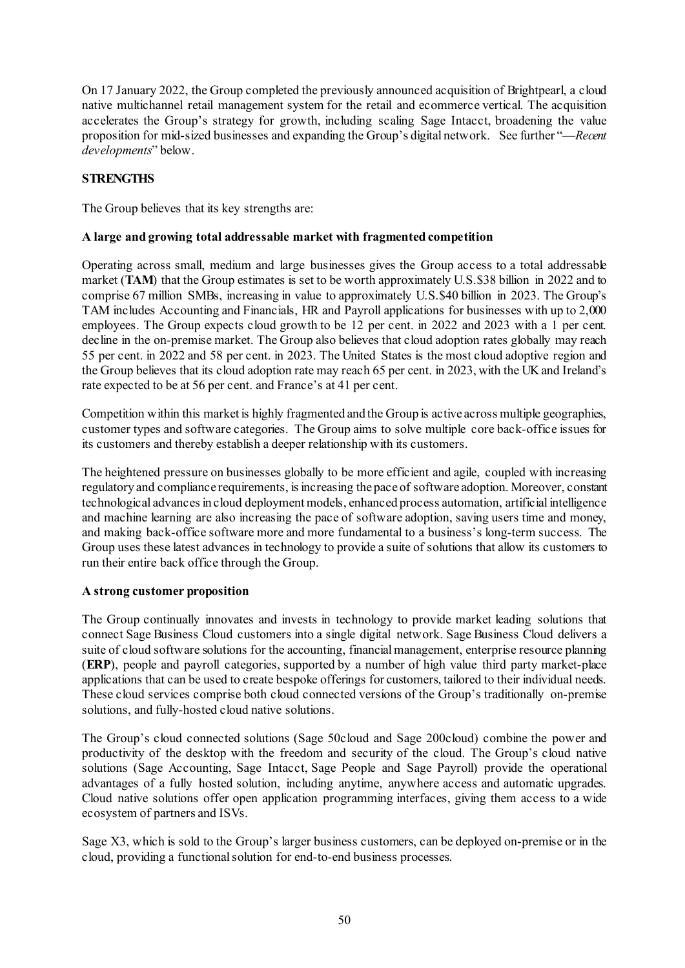On 17 January 2022, the Group completed the previously announced acquisition of Brightpearl, a cloud native multichannel retail management system for the retail and ecommerce vertical. The acquisition accelerates the Group's strategy for growth, including scaling Sage Intacct, broadening the value proposition for mid-sized businesses and expanding the Group's digital network. See further "—*Recent developments*" below.

## **STRENGTHS**

The Group believes that its key strengths are:

### **A large and growing total addressable market with fragmented competition**

Operating across small, medium and large businesses gives the Group access to a total addressable market (**TAM**) that the Group estimates is set to be worth approximately U.S.\$38 billion in 2022 and to comprise 67 million SMBs, increasing in value to approximately U.S.\$40 billion in 2023. The Group's TAM includes Accounting and Financials, HR and Payroll applications for businesses with up to 2,000 employees. The Group expects cloud growth to be 12 per cent. in 2022 and 2023 with a 1 per cent. decline in the on-premise market. The Group also believes that cloud adoption rates globally may reach 55 per cent. in 2022 and 58 per cent. in 2023. The United States is the most cloud adoptive region and the Group believes that its cloud adoption rate may reach 65 per cent. in 2023, with the UK and Ireland's rate expected to be at 56 per cent. and France's at 41 per cent.

Competition within this market is highly fragmented and the Group is active across multiple geographies, customer types and software categories. The Group aims to solve multiple core back-office issues for its customers and thereby establish a deeper relationship with its customers.

The heightened pressure on businesses globally to be more efficient and agile, coupled with increasing regulatory and compliance requirements, is increasing the pace of software adoption. Moreover, constant technological advances in cloud deployment models, enhanced process automation, artificial intelligence and machine learning are also increasing the pace of software adoption, saving users time and money, and making back-office software more and more fundamental to a business's long-term success. The Group uses these latest advances in technology to provide a suite of solutions that allow its customers to run their entire back office through the Group.

## **A strong customer proposition**

The Group continually innovates and invests in technology to provide market leading solutions that connect Sage Business Cloud customers into a single digital network. Sage Business Cloud delivers a suite of cloud software solutions for the accounting, financial management, enterprise resource planning (**ERP**), people and payroll categories, supported by a number of high value third party market-place applications that can be used to create bespoke offerings for customers, tailored to their individual needs. These cloud services comprise both cloud connected versions of the Group's traditionally on-premise solutions, and fully-hosted cloud native solutions.

The Group's cloud connected solutions (Sage 50cloud and Sage 200cloud) combine the power and productivity of the desktop with the freedom and security of the cloud. The Group's cloud native solutions (Sage Accounting, Sage Intacct, Sage People and Sage Payroll) provide the operational advantages of a fully hosted solution, including anytime, anywhere access and automatic upgrades. Cloud native solutions offer open application programming interfaces, giving them access to a wide ecosystem of partners and ISVs.

Sage X3, which is sold to the Group's larger business customers, can be deployed on-premise or in the cloud, providing a functional solution for end-to-end business processes.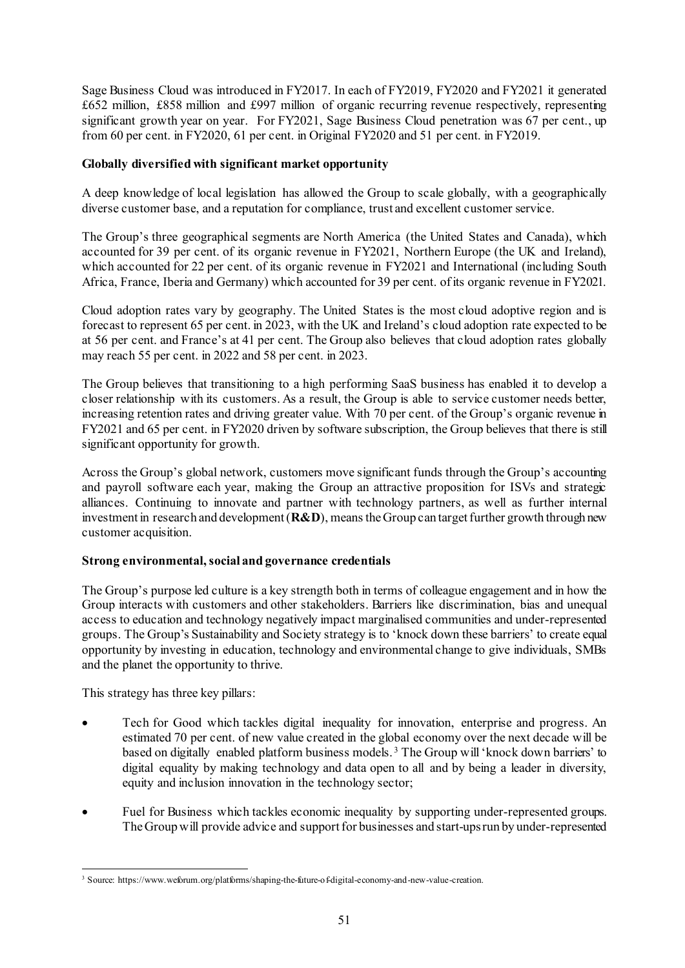Sage Business Cloud was introduced in FY2017. In each of FY2019, FY2020 and FY2021 it generated £652 million, £858 million and £997 million of organic recurring revenue respectively, representing significant growth year on year. For FY2021, Sage Business Cloud penetration was 67 per cent., up from 60 per cent. in FY2020, 61 per cent. in Original FY2020 and 51 per cent. in FY2019.

## **Globally diversified with significant market opportunity**

A deep knowledge of local legislation has allowed the Group to scale globally, with a geographically diverse customer base, and a reputation for compliance, trust and excellent customer service.

The Group's three geographical segments are North America (the United States and Canada), which accounted for 39 per cent. of its organic revenue in FY2021, Northern Europe (the UK and Ireland), which accounted for 22 per cent. of its organic revenue in FY2021 and International (including South Africa, France, Iberia and Germany) which accounted for 39 per cent. of its organic revenue in FY2021.

Cloud adoption rates vary by geography. The United States is the most cloud adoptive region and is forecast to represent 65 per cent. in 2023, with the UK and Ireland's cloud adoption rate expected to be at 56 per cent. and France's at 41 per cent. The Group also believes that cloud adoption rates globally may reach 55 per cent. in 2022 and 58 per cent. in 2023.

The Group believes that transitioning to a high performing SaaS business has enabled it to develop a closer relationship with its customers. As a result, the Group is able to service customer needs better, increasing retention rates and driving greater value. With 70 per cent. of the Group's organic revenue in FY2021 and 65 per cent. in FY2020 driven by software subscription, the Group believes that there is still significant opportunity for growth.

Across the Group's global network, customers move significant funds through the Group's accounting and payroll software each year, making the Group an attractive proposition for ISVs and strategic alliances. Continuing to innovate and partner with technology partners, as well as further internal investment in research and development (**R&D**), means the Group can target further growth through new customer acquisition.

# **Strong environmental, social and governance credentials**

The Group's purpose led culture is a key strength both in terms of colleague engagement and in how the Group interacts with customers and other stakeholders. Barriers like discrimination, bias and unequal access to education and technology negatively impact marginalised communities and under-represented groups. The Group's Sustainability and Society strategy is to 'knock down these barriers' to create equal opportunity by investing in education, technology and environmental change to give individuals, SMBs and the planet the opportunity to thrive.

This strategy has three key pillars:

- Tech for Good which tackles digital inequality for innovation, enterprise and progress. An estimated 70 per cent. of new value created in the global economy over the next decade will be based on digitally enabled platform business models. [3](#page-61-0) The Group will 'knock down barriers' to digital equality by making technology and data open to all and by being a leader in diversity, equity and inclusion innovation in the technology sector;
- Fuel for Business which tackles economic inequality by supporting under-represented groups. The Group will provide advice and support for businesses and start-ups run by under-represented

<span id="page-61-0"></span> <sup>3</sup> Source: https://www.weforum.org/platforms/shaping-the-future-of-digital-economy-and-new-value-creation.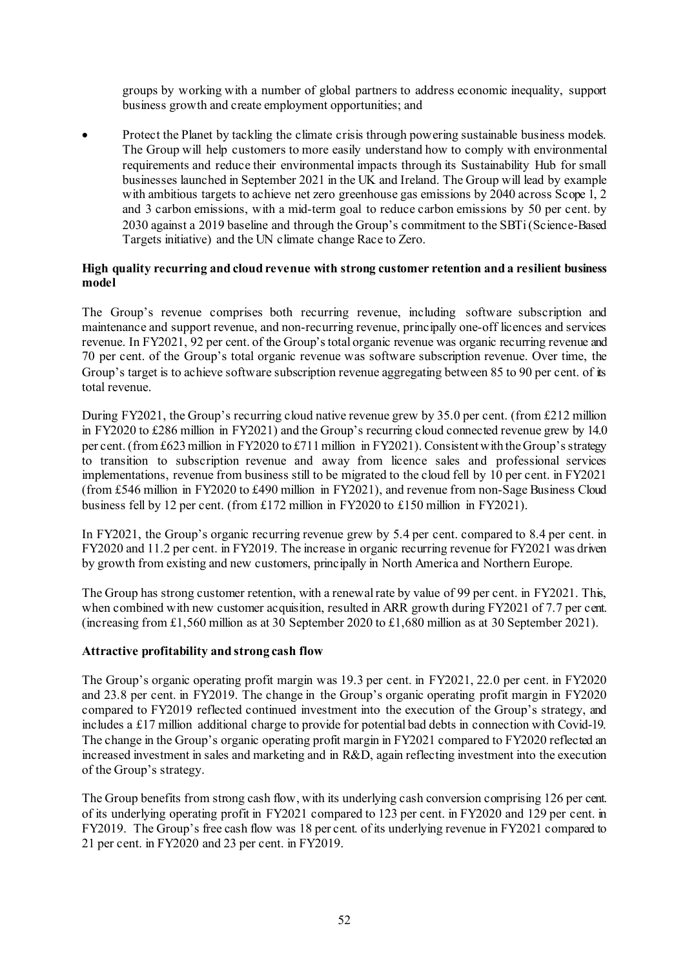groups by working with a number of global partners to address economic inequality, support business growth and create employment opportunities; and

• Protect the Planet by tackling the climate crisis through powering sustainable business models. The Group will help customers to more easily understand how to comply with environmental requirements and reduce their environmental impacts through its Sustainability Hub for small businesses launched in September 2021 in the UK and Ireland. The Group will lead by example with ambitious targets to achieve net zero greenhouse gas emissions by 2040 across Scope 1, 2 and 3 carbon emissions, with a mid-term goal to reduce carbon emissions by 50 per cent. by 2030 against a 2019 baseline and through the Group's commitment to the SBTi (Science-Based Targets initiative) and the UN climate change Race to Zero.

### **High quality recurring and cloud revenue with strong customer retention and a resilient business model**

The Group's revenue comprises both recurring revenue, including software subscription and maintenance and support revenue, and non-recurring revenue, principally one-off licences and services revenue. In FY2021, 92 per cent. of the Group's total organic revenue was organic recurring revenue and 70 per cent. of the Group's total organic revenue was software subscription revenue. Over time, the Group's target is to achieve software subscription revenue aggregating between 85 to 90 per cent. of its total revenue.

During FY2021, the Group's recurring cloud native revenue grew by 35.0 per cent. (from £212 million in FY2020 to £286 million in FY2021) and the Group's recurring cloud connected revenue grew by 14.0 per cent. (from £623 million in FY2020 to £711 million in FY2021). Consistent with the Group's strategy to transition to subscription revenue and away from licence sales and professional services implementations, revenue from business still to be migrated to the cloud fell by 10 per cent. in FY2021 (from £546 million in FY2020 to £490 million in FY2021), and revenue from non-Sage Business Cloud business fell by 12 per cent. (from £172 million in FY2020 to £150 million in FY2021).

In FY2021, the Group's organic recurring revenue grew by 5.4 per cent. compared to 8.4 per cent. in FY2020 and 11.2 per cent. in FY2019. The increase in organic recurring revenue for FY2021 was driven by growth from existing and new customers, principally in North America and Northern Europe.

The Group has strong customer retention, with a renewal rate by value of 99 per cent. in FY2021. This, when combined with new customer acquisition, resulted in ARR growth during FY2021 of 7.7 per cent. (increasing from £1,560 million as at 30 September 2020 to £1,680 million as at 30 September 2021).

## **Attractive profitability and strong cash flow**

The Group's organic operating profit margin was 19.3 per cent. in FY2021, 22.0 per cent. in FY2020 and 23.8 per cent. in FY2019. The change in the Group's organic operating profit margin in FY2020 compared to FY2019 reflected continued investment into the execution of the Group's strategy, and includes a £17 million additional charge to provide for potential bad debts in connection with Covid-19. The change in the Group's organic operating profit margin in FY2021 compared to FY2020 reflected an increased investment in sales and marketing and in R&D, again reflecting investment into the execution of the Group's strategy.

The Group benefits from strong cash flow, with its underlying cash conversion comprising 126 per cent. of its underlying operating profit in FY2021 compared to 123 per cent. in FY2020 and 129 per cent. in FY2019. The Group's free cash flow was 18 per cent. of its underlying revenue in FY2021 compared to 21 per cent. in FY2020 and 23 per cent. in FY2019.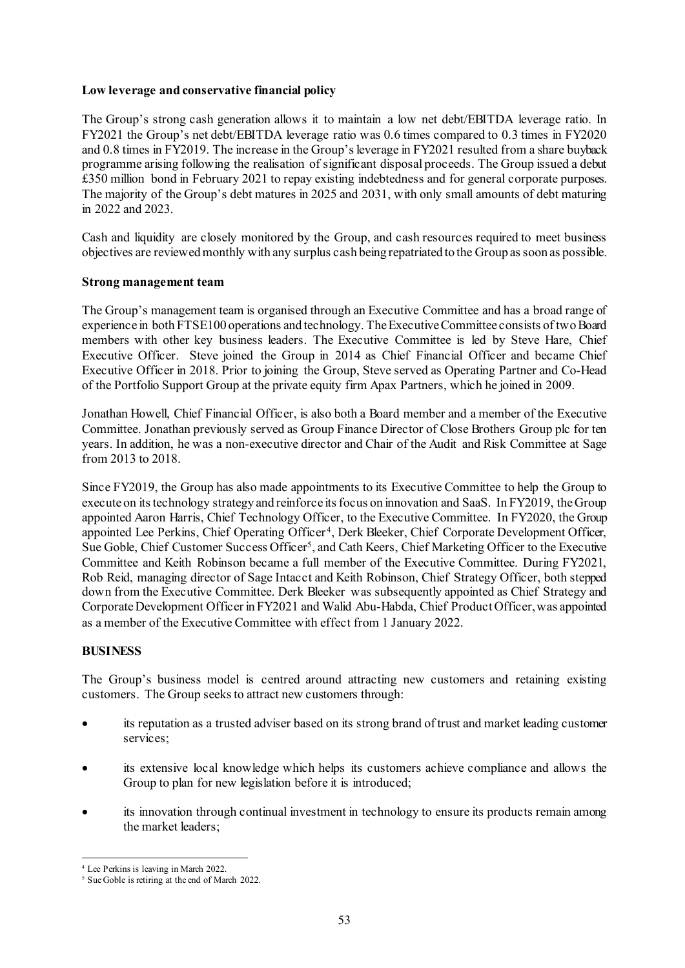### **Low leverage and conservative financial policy**

The Group's strong cash generation allows it to maintain a low net debt/EBITDA leverage ratio. In FY2021 the Group's net debt/EBITDA leverage ratio was 0.6 times compared to 0.3 times in FY2020 and 0.8 times in FY2019. The increase in the Group's leverage in FY2021 resulted from a share buyback programme arising following the realisation of significant disposal proceeds. The Group issued a debut £350 million bond in February 2021 to repay existing indebtedness and for general corporate purposes. The majority of the Group's debt matures in 2025 and 2031, with only small amounts of debt maturing in 2022 and 2023.

Cash and liquidity are closely monitored by the Group, and cash resources required to meet business objectives are reviewed monthly with any surplus cash being repatriated to the Group as soon as possible.

### **Strong management team**

The Group's management team is organised through an Executive Committee and has a broad range of experience in both FTSE100 operations and technology. The Executive Committee consists of two Board members with other key business leaders. The Executive Committee is led by Steve Hare, Chief Executive Officer. Steve joined the Group in 2014 as Chief Financial Officer and became Chief Executive Officer in 2018. Prior to joining the Group, Steve served as Operating Partner and Co-Head of the Portfolio Support Group at the private equity firm Apax Partners, which he joined in 2009.

Jonathan Howell, Chief Financial Officer, is also both a Board member and a member of the Executive Committee. Jonathan previously served as Group Finance Director of Close Brothers Group plc for ten years. In addition, he was a non-executive director and Chair of the Audit and Risk Committee at Sage from 2013 to 2018.

Since FY2019, the Group has also made appointments to its Executive Committee to help the Group to execute on its technology strategy and reinforce its focus on innovation and SaaS. In FY2019, the Group appointed Aaron Harris, Chief Technology Officer, to the Executive Committee. In FY2020, the Group appointed Lee Perkins, Chief Operating Officer [4](#page-63-0), Derk Bleeker, Chief Corporate Development Officer, Sue Goble, Chief Customer Success Officer<sup>[5](#page-63-1)</sup>, and Cath Keers, Chief Marketing Officer to the Executive Committee and Keith Robinson became a full member of the Executive Committee. During FY2021, Rob Reid, managing director of Sage Intacct and Keith Robinson, Chief Strategy Officer, both stepped down from the Executive Committee. Derk Bleeker was subsequently appointed as Chief Strategy and Corporate Development Officer in FY2021 and Walid Abu-Habda, Chief Product Officer, was appointed as a member of the Executive Committee with effect from 1 January 2022.

## **BUSINESS**

The Group's business model is centred around attracting new customers and retaining existing customers. The Group seeks to attract new customers through:

- its reputation as a trusted adviser based on its strong brand of trust and market leading customer services;
- its extensive local knowledge which helps its customers achieve compliance and allows the Group to plan for new legislation before it is introduced;
- its innovation through continual investment in technology to ensure its products remain among the market leaders;

 <sup>4</sup> Lee Perkins is leaving in March 2022.

<span id="page-63-1"></span><span id="page-63-0"></span><sup>5</sup> Sue Goble is retiring at the end of March 2022.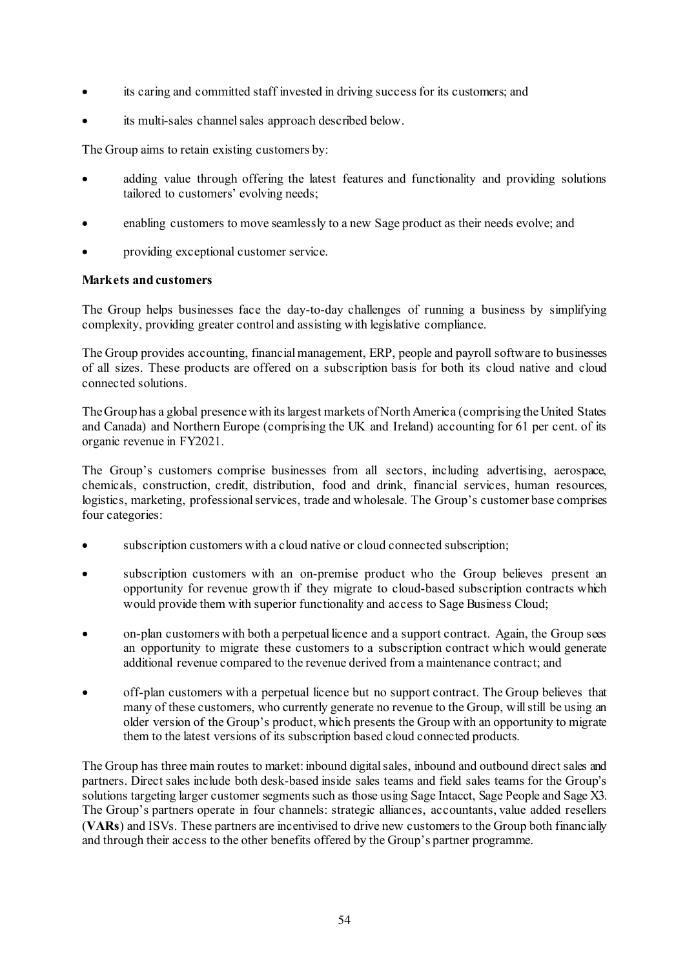- its caring and committed staff invested in driving success for its customers; and
- its multi-sales channel sales approach described below.

The Group aims to retain existing customers by:

- adding value through offering the latest features and functionality and providing solutions tailored to customers' evolving needs;
- enabling customers to move seamlessly to a new Sage product as their needs evolve; and
- providing exceptional customer service.

## **Markets and customers**

The Group helps businesses face the day-to-day challenges of running a business by simplifying complexity, providing greater control and assisting with legislative compliance.

The Group provides accounting, financial management, ERP, people and payroll software to businesses of all sizes. These products are offered on a subscription basis for both its cloud native and cloud connected solutions.

The Group has a global presence with its largest markets of North America (comprising the United States and Canada) and Northern Europe (comprising the UK and Ireland) accounting for 61 per cent. of its organic revenue in FY2021.

The Group's customers comprise businesses from all sectors, including advertising, aerospace, chemicals, construction, credit, distribution, food and drink, financial services, human resources, logistics, marketing, professional services, trade and wholesale. The Group's customer base comprises four categories:

- subscription customers with a cloud native or cloud connected subscription;
- subscription customers with an on-premise product who the Group believes present an opportunity for revenue growth if they migrate to cloud-based subscription contracts which would provide them with superior functionality and access to Sage Business Cloud;
- on-plan customers with both a perpetual licence and a support contract. Again, the Group sees an opportunity to migrate these customers to a subscription contract which would generate additional revenue compared to the revenue derived from a maintenance contract; and
- off-plan customers with a perpetual licence but no support contract. The Group believes that many of these customers, who currently generate no revenue to the Group, will still be using an older version of the Group's product, which presents the Group with an opportunity to migrate them to the latest versions of its subscription based cloud connected products.

The Group has three main routes to market: inbound digital sales, inbound and outbound direct sales and partners. Direct sales include both desk-based inside sales teams and field sales teams for the Group's solutions targeting larger customer segments such as those using Sage Intacct, Sage People and Sage X3. The Group's partners operate in four channels: strategic alliances, accountants, value added resellers (**VARs**) and ISVs. These partners are incentivised to drive new customers to the Group both financially and through their access to the other benefits offered by the Group's partner programme.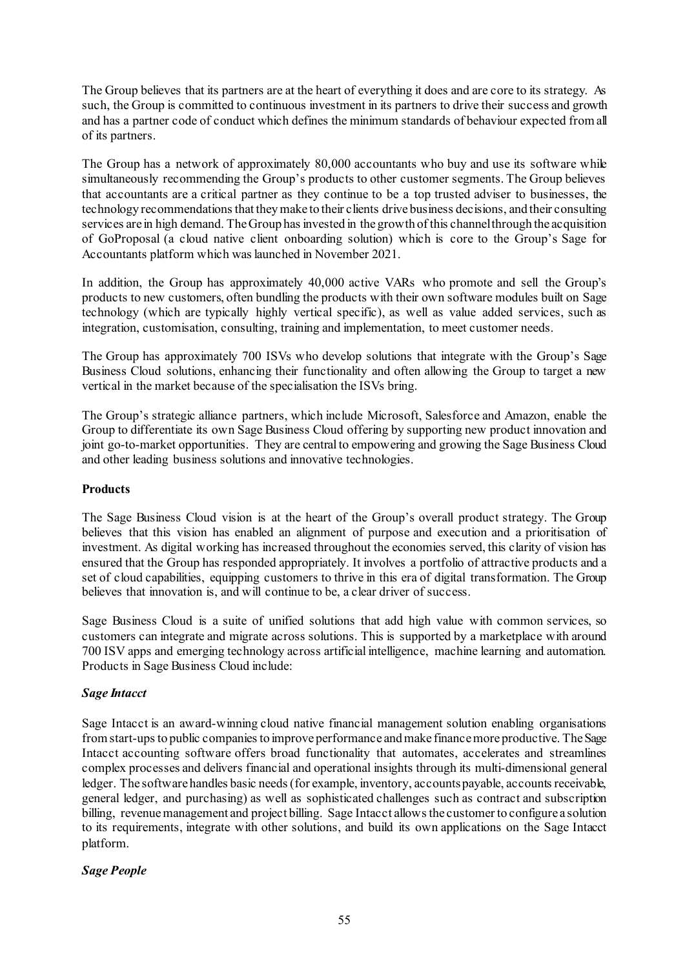The Group believes that its partners are at the heart of everything it does and are core to its strategy. As such, the Group is committed to continuous investment in its partners to drive their success and growth and has a partner code of conduct which defines the minimum standards of behaviour expected from all of its partners.

The Group has a network of approximately 80,000 accountants who buy and use its software while simultaneously recommending the Group's products to other customer segments. The Group believes that accountants are a critical partner as they continue to be a top trusted adviser to businesses, the technology recommendations that they make to their clients drive business decisions, and their consulting services are in high demand. The Group has invested in the growth of this channel through the acquisition of GoProposal (a cloud native client onboarding solution) which is core to the Group's Sage for Accountants platform which was launched in November 2021.

In addition, the Group has approximately 40,000 active VARs who promote and sell the Group's products to new customers, often bundling the products with their own software modules built on Sage technology (which are typically highly vertical specific), as well as value added services, such as integration, customisation, consulting, training and implementation, to meet customer needs.

The Group has approximately 700 ISVs who develop solutions that integrate with the Group's Sage Business Cloud solutions, enhancing their functionality and often allowing the Group to target a new vertical in the market because of the specialisation the ISVs bring.

The Group's strategic alliance partners, which include Microsoft, Salesforce and Amazon, enable the Group to differentiate its own Sage Business Cloud offering by supporting new product innovation and joint go-to-market opportunities. They are central to empowering and growing the Sage Business Cloud and other leading business solutions and innovative technologies.

## **Products**

The Sage Business Cloud vision is at the heart of the Group's overall product strategy. The Group believes that this vision has enabled an alignment of purpose and execution and a prioritisation of investment. As digital working has increased throughout the economies served, this clarity of vision has ensured that the Group has responded appropriately. It involves a portfolio of attractive products and a set of cloud capabilities, equipping customers to thrive in this era of digital transformation. The Group believes that innovation is, and will continue to be, a clear driver of success.

Sage Business Cloud is a suite of unified solutions that add high value with common services, so customers can integrate and migrate across solutions. This is supported by a marketplace with around 700 ISV apps and emerging technology across artificial intelligence, machine learning and automation. Products in Sage Business Cloud include:

## *Sage Intacct*

Sage Intacct is an award-winning cloud native financial management solution enabling organisations from start-ups to public companies to improve performance and make finance more productive. The Sage Intacct accounting software offers broad functionality that automates, accelerates and streamlines complex processes and delivers financial and operational insights through its multi-dimensional general ledger. The software handles basic needs (for example, inventory, accounts payable, accounts receivable, general ledger, and purchasing) as well as sophisticated challenges such as contract and subscription billing, revenue management and project billing. Sage Intacct allows the customer to configure a solution to its requirements, integrate with other solutions, and build its own applications on the Sage Intacct platform.

## *Sage People*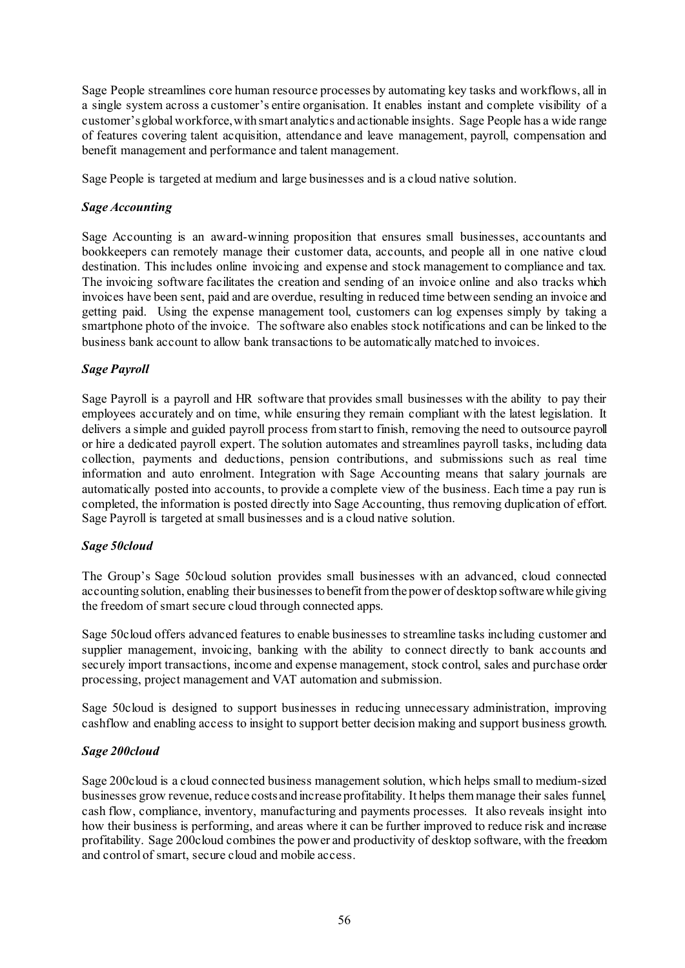Sage People streamlines core human resource processes by automating key tasks and workflows, all in a single system across a customer's entire organisation. It enables instant and complete visibility of a customer's global workforce, with smart analytics and actionable insights. Sage People has a wide range of features covering talent acquisition, attendance and leave management, payroll, compensation and benefit management and performance and talent management.

Sage People is targeted at medium and large businesses and is a cloud native solution.

### *Sage Accounting*

Sage Accounting is an award-winning proposition that ensures small businesses, accountants and bookkeepers can remotely manage their customer data, accounts, and people all in one native cloud destination. This includes online invoicing and expense and stock management to compliance and tax. The invoicing software facilitates the creation and sending of an invoice online and also tracks which invoices have been sent, paid and are overdue, resulting in reduced time between sending an invoice and getting paid. Using the expense management tool, customers can log expenses simply by taking a smartphone photo of the invoice. The software also enables stock notifications and can be linked to the business bank account to allow bank transactions to be automatically matched to invoices.

### *Sage Payroll*

Sage Payroll is a payroll and HR software that provides small businesses with the ability to pay their employees accurately and on time, while ensuring they remain compliant with the latest legislation. It delivers a simple and guided payroll process from start to finish, removing the need to outsource payroll or hire a dedicated payroll expert. The solution automates and streamlines payroll tasks, including data collection, payments and deductions, pension contributions, and submissions such as real time information and auto enrolment. Integration with Sage Accounting means that salary journals are automatically posted into accounts, to provide a complete view of the business. Each time a pay run is completed, the information is posted directly into Sage Accounting, thus removing duplication of effort. Sage Payroll is targeted at small businesses and is a cloud native solution.

## *Sage 50cloud*

The Group's Sage 50cloud solution provides small businesses with an advanced, cloud connected accounting solution, enabling their businesses to benefit from the power of desktop software while giving the freedom of smart secure cloud through connected apps.

Sage 50cloud offers advanced features to enable businesses to streamline tasks including customer and supplier management, invoicing, banking with the ability to connect directly to bank accounts and securely import transactions, income and expense management, stock control, sales and purchase order processing, project management and VAT automation and submission.

Sage 50cloud is designed to support businesses in reducing unnecessary administration, improving cashflow and enabling access to insight to support better decision making and support business growth.

#### *Sage 200cloud*

Sage 200cloud is a cloud connected business management solution, which helps small to medium-sized businesses grow revenue, reduce costs and increase profitability. It helps them manage their sales funnel, cash flow, compliance, inventory, manufacturing and payments processes. It also reveals insight into how their business is performing, and areas where it can be further improved to reduce risk and increase profitability. Sage 200cloud combines the power and productivity of desktop software, with the freedom and control of smart, secure cloud and mobile access.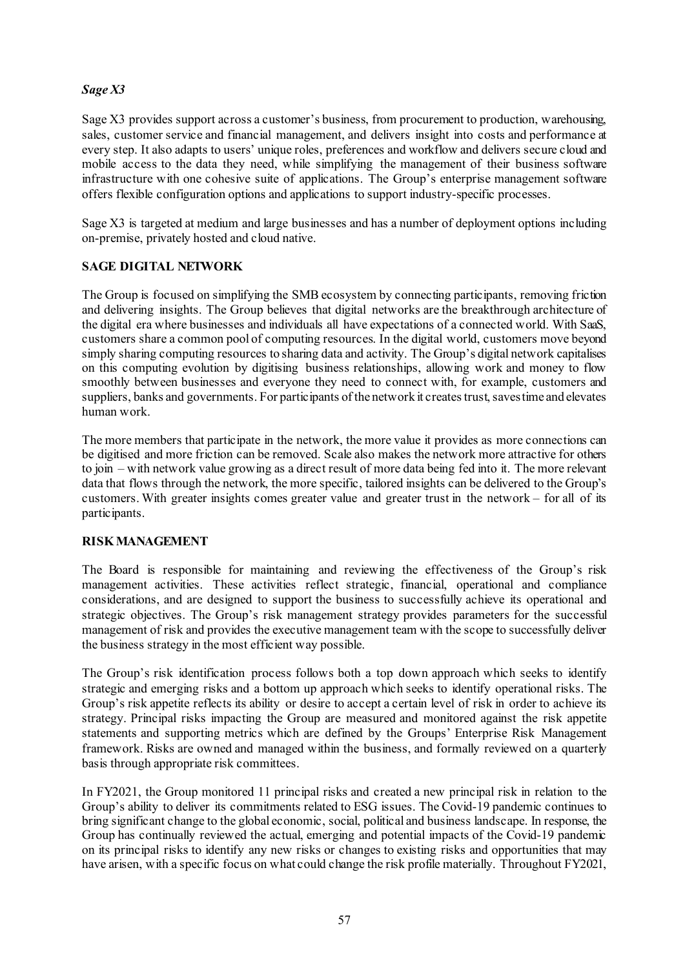# *Sage X3*

Sage X3 provides support across a customer's business, from procurement to production, warehousing, sales, customer service and financial management, and delivers insight into costs and performance at every step. It also adapts to users' unique roles, preferences and workflow and delivers secure cloud and mobile access to the data they need, while simplifying the management of their business software infrastructure with one cohesive suite of applications. The Group's enterprise management software offers flexible configuration options and applications to support industry-specific processes.

Sage X3 is targeted at medium and large businesses and has a number of deployment options including on-premise, privately hosted and cloud native.

## **SAGE DIGITAL NETWORK**

The Group is focused on simplifying the SMB ecosystem by connecting participants, removing friction and delivering insights. The Group believes that digital networks are the breakthrough architecture of the digital era where businesses and individuals all have expectations of a connected world. With SaaS, customers share a common pool of computing resources. In the digital world, customers move beyond simply sharing computing resources to sharing data and activity. The Group's digital network capitalises on this computing evolution by digitising business relationships, allowing work and money to flow smoothly between businesses and everyone they need to connect with, for example, customers and suppliers, banks and governments. For participants of the network it creates trust, saves time and elevates human work.

The more members that participate in the network, the more value it provides as more connections can be digitised and more friction can be removed. Scale also makes the network more attractive for others to join – with network value growing as a direct result of more data being fed into it. The more relevant data that flows through the network, the more specific, tailored insights can be delivered to the Group's customers. With greater insights comes greater value and greater trust in the network – for all of its participants.

## **RISK MANAGEMENT**

The Board is responsible for maintaining and reviewing the effectiveness of the Group's risk management activities. These activities reflect strategic, financial, operational and compliance considerations, and are designed to support the business to successfully achieve its operational and strategic objectives. The Group's risk management strategy provides parameters for the successful management of risk and provides the executive management team with the scope to successfully deliver the business strategy in the most efficient way possible.

The Group's risk identification process follows both a top down approach which seeks to identify strategic and emerging risks and a bottom up approach which seeks to identify operational risks. The Group's risk appetite reflects its ability or desire to accept a certain level of risk in order to achieve its strategy. Principal risks impacting the Group are measured and monitored against the risk appetite statements and supporting metrics which are defined by the Groups' Enterprise Risk Management framework. Risks are owned and managed within the business, and formally reviewed on a quarterly basis through appropriate risk committees.

In FY2021, the Group monitored 11 principal risks and created a new principal risk in relation to the Group's ability to deliver its commitments related to ESG issues. The Covid-19 pandemic continues to bring significant change to the global economic, social, political and business landscape. In response, the Group has continually reviewed the actual, emerging and potential impacts of the Covid-19 pandemic on its principal risks to identify any new risks or changes to existing risks and opportunities that may have arisen, with a specific focus on what could change the risk profile materially. Throughout FY2021,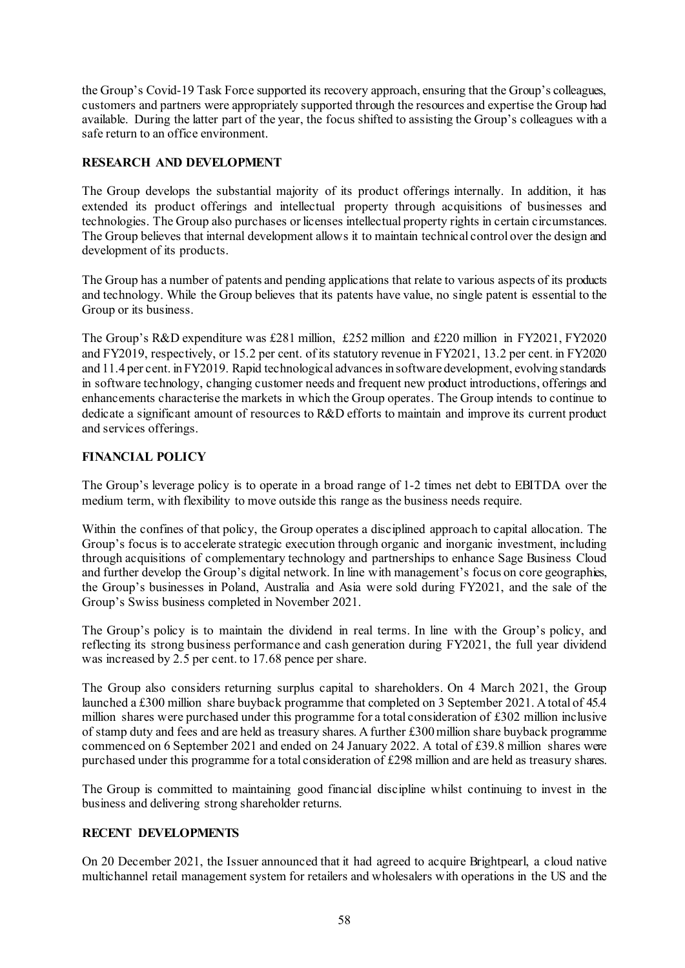the Group's Covid-19 Task Force supported its recovery approach, ensuring that the Group's colleagues, customers and partners were appropriately supported through the resources and expertise the Group had available. During the latter part of the year, the focus shifted to assisting the Group's colleagues with a safe return to an office environment.

# **RESEARCH AND DEVELOPMENT**

The Group develops the substantial majority of its product offerings internally. In addition, it has extended its product offerings and intellectual property through acquisitions of businesses and technologies. The Group also purchases or licenses intellectual property rights in certain circumstances. The Group believes that internal development allows it to maintain technical control over the design and development of its products.

The Group has a number of patents and pending applications that relate to various aspects of its products and technology. While the Group believes that its patents have value, no single patent is essential to the Group or its business.

The Group's R&D expenditure was £281 million, £252 million and £220 million in FY2021, FY2020 and FY2019, respectively, or 15.2 per cent. of its statutory revenue in FY2021, 13.2 per cent. in FY2020 and 11.4 per cent. in FY2019. Rapid technological advances in software development, evolving standards in software technology, changing customer needs and frequent new product introductions, offerings and enhancements characterise the markets in which the Group operates. The Group intends to continue to dedicate a significant amount of resources to R&D efforts to maintain and improve its current product and services offerings.

# **FINANCIAL POLICY**

The Group's leverage policy is to operate in a broad range of 1-2 times net debt to EBITDA over the medium term, with flexibility to move outside this range as the business needs require.

Within the confines of that policy, the Group operates a disciplined approach to capital allocation. The Group's focus is to accelerate strategic execution through organic and inorganic investment, including through acquisitions of complementary technology and partnerships to enhance Sage Business Cloud and further develop the Group's digital network. In line with management's focus on core geographies, the Group's businesses in Poland, Australia and Asia were sold during FY2021, and the sale of the Group's Swiss business completed in November 2021.

The Group's policy is to maintain the dividend in real terms. In line with the Group's policy, and reflecting its strong business performance and cash generation during FY2021, the full year dividend was increased by 2.5 per cent. to 17.68 pence per share.

The Group also considers returning surplus capital to shareholders. On 4 March 2021, the Group launched a £300 million share buyback programme that completed on 3 September 2021. A total of 45.4 million shares were purchased under this programme for a total consideration of £302 million inclusive of stamp duty and fees and are held as treasury shares. A further £300million share buyback programme commenced on 6 September 2021 and ended on 24 January 2022. A total of £39.8 million shares were purchased under this programme for a total consideration of £298 million and are held as treasury shares.

The Group is committed to maintaining good financial discipline whilst continuing to invest in the business and delivering strong shareholder returns.

## **RECENT DEVELOPMENTS**

On 20 December 2021, the Issuer announced that it had agreed to acquire Brightpearl, a cloud native multichannel retail management system for retailers and wholesalers with operations in the US and the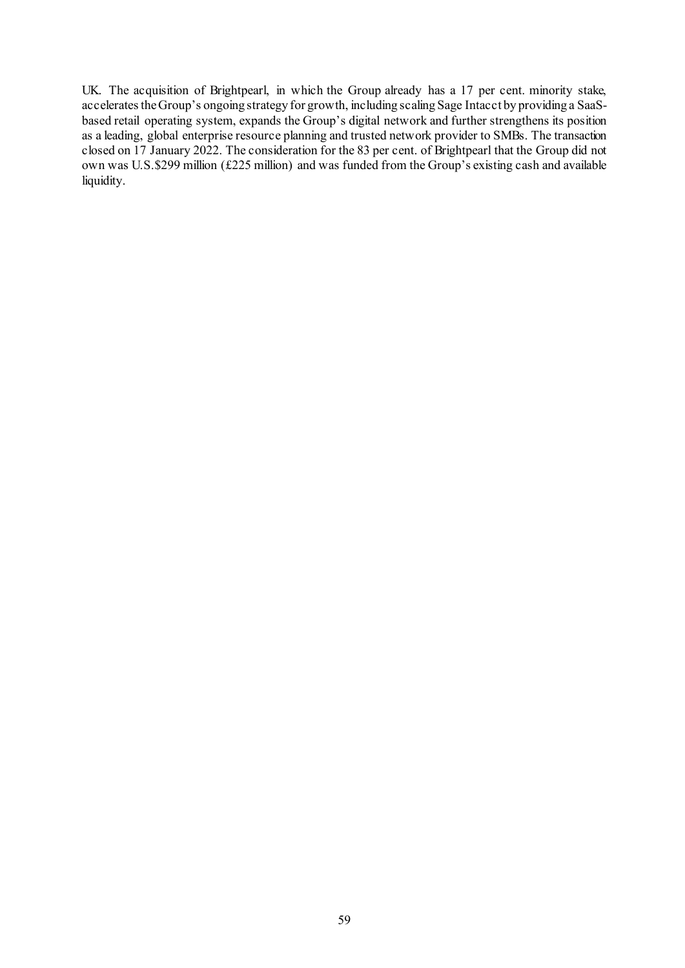UK. The acquisition of Brightpearl, in which the Group already has a 17 per cent. minority stake, accelerates the Group's ongoing strategy for growth, including scaling Sage Intacct by providing a SaaSbased retail operating system, expands the Group's digital network and further strengthens its position as a leading, global enterprise resource planning and trusted network provider to SMBs. The transaction closed on 17 January 2022. The consideration for the 83 per cent. of Brightpearl that the Group did not own was U.S.\$299 million (£225 million) and was funded from the Group's existing cash and available liquidity.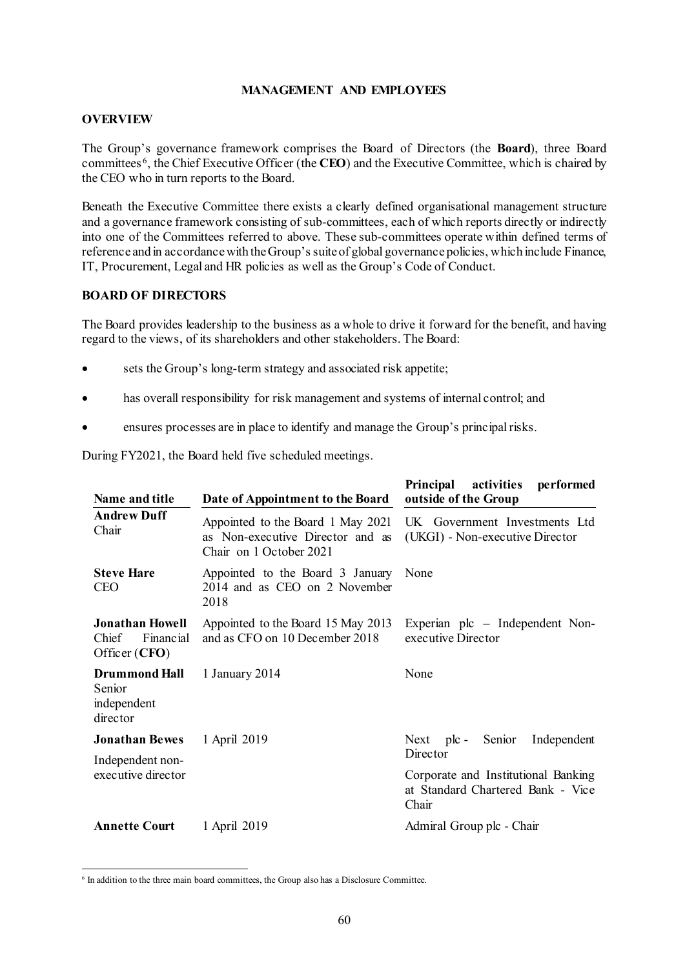### **MANAGEMENT AND EMPLOYEES**

## **OVERVIEW**

The Group's governance framework comprises the Board of Directors (the **Board**), three Board committees [6](#page-70-0), the Chief Executive Officer (the **CEO**) and the Executive Committee, which is chaired by the CEO who in turn reports to the Board.

Beneath the Executive Committee there exists a clearly defined organisational management structure and a governance framework consisting of sub-committees, each of which reports directly or indirectly into one of the Committees referred to above. These sub-committees operate within defined terms of reference and in accordance with the Group's suite of global governance policies, which include Finance, IT, Procurement, Legal and HR policies as well as the Group's Code of Conduct.

### **BOARD OF DIRECTORS**

The Board provides leadership to the business as a whole to drive it forward for the benefit, and having regard to the views, of its shareholders and other stakeholders. The Board:

- sets the Group's long-term strategy and associated risk appetite;
- has overall responsibility for risk management and systems of internal control; and
- ensures processes are in place to identify and manage the Group's principal risks.

During FY2021, the Board held five scheduled meetings.

| Name and title                                                  | Date of Appointment to the Board                                                                 | Principal activities<br>performed<br>outside of the Group                         |
|-----------------------------------------------------------------|--------------------------------------------------------------------------------------------------|-----------------------------------------------------------------------------------|
| <b>Andrew Duff</b><br>Chair                                     | Appointed to the Board 1 May 2021<br>as Non-executive Director and as<br>Chair on 1 October 2021 | UK Government Investments Ltd<br>(UKGI) - Non-executive Director                  |
| <b>Steve Hare</b><br><b>CEO</b>                                 | Appointed to the Board 3 January<br>2014 and as CEO on 2 November<br>2018                        | None                                                                              |
| <b>Jonathan Howell</b><br>Chief<br>Financial<br>Officer (CFO)   | Appointed to the Board 15 May 2013<br>and as CFO on 10 December 2018                             | Experian plc – Independent Non-<br>executive Director                             |
| <b>Drummond Hall</b><br>Senior<br>independent<br>director       | 1 January 2014                                                                                   | None                                                                              |
| <b>Jonathan Bewes</b><br>Independent non-<br>executive director | 1 April 2019                                                                                     | Next plc - Senior<br>Independent<br>Director                                      |
|                                                                 |                                                                                                  | Corporate and Institutional Banking<br>at Standard Chartered Bank - Vice<br>Chair |
| <b>Annette Court</b>                                            | 1 April 2019                                                                                     | Admiral Group plc - Chair                                                         |

<span id="page-70-0"></span> $6$  In addition to the three main board committees, the Group also has a Disclosure Committee.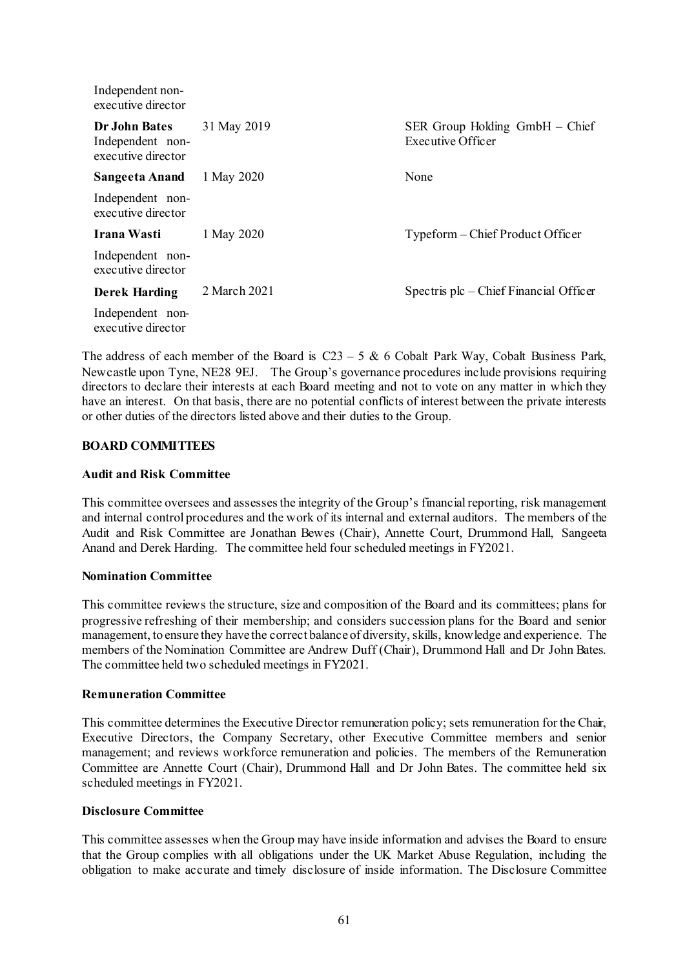| muependent non-<br>executive director                   |              |                                                         |
|---------------------------------------------------------|--------------|---------------------------------------------------------|
| Dr John Bates<br>Independent non-<br>executive director | 31 May 2019  | $SER$ Group Holding GmbH $-$ Chief<br>Executive Officer |
| Sangeeta Anand                                          | 1 May 2020   | None                                                    |
| Independent non-<br>executive director                  |              |                                                         |
| Irana Wasti                                             | 1 May 2020   | Typeform – Chief Product Officer                        |
| Independent non-<br>executive director                  |              |                                                         |
| <b>Derek Harding</b>                                    | 2 March 2021 | Spectris $plc$ – Chief Financial Officer                |
| Independent non-<br>executive director                  |              |                                                         |
|                                                         |              |                                                         |

The address of each member of the Board is  $C23 - 5$  & 6 Cobalt Park Way, Cobalt Business Park, Newcastle upon Tyne, NE28 9EJ. The Group's governance procedures include provisions requiring directors to declare their interests at each Board meeting and not to vote on any matter in which they have an interest. On that basis, there are no potential conflicts of interest between the private interests or other duties of the directors listed above and their duties to the Group.

#### **BOARD COMMITTEES**

Independent non-

### **Audit and Risk Committee**

This committee oversees and assesses the integrity of the Group's financial reporting, risk management and internal control procedures and the work of its internal and external auditors. The members of the Audit and Risk Committee are Jonathan Bewes (Chair), Annette Court, Drummond Hall, Sangeeta Anand and Derek Harding. The committee held four scheduled meetings in FY2021.

#### **Nomination Committee**

This committee reviews the structure, size and composition of the Board and its committees; plans for progressive refreshing of their membership; and considers succession plans for the Board and senior management, to ensure they have the correct balance of diversity,skills, knowledge and experience. The members of the Nomination Committee are Andrew Duff (Chair), Drummond Hall and Dr John Bates. The committee held two scheduled meetings in FY2021.

#### **Remuneration Committee**

This committee determines the Executive Director remuneration policy; sets remuneration for the Chair, Executive Directors, the Company Secretary, other Executive Committee members and senior management; and reviews workforce remuneration and policies. The members of the Remuneration Committee are Annette Court (Chair), Drummond Hall and Dr John Bates. The committee held six scheduled meetings in FY2021.

### **Disclosure Committee**

This committee assesses when the Group may have inside information and advises the Board to ensure that the Group complies with all obligations under the UK Market Abuse Regulation, including the obligation to make accurate and timely disclosure of inside information. The Disclosure Committee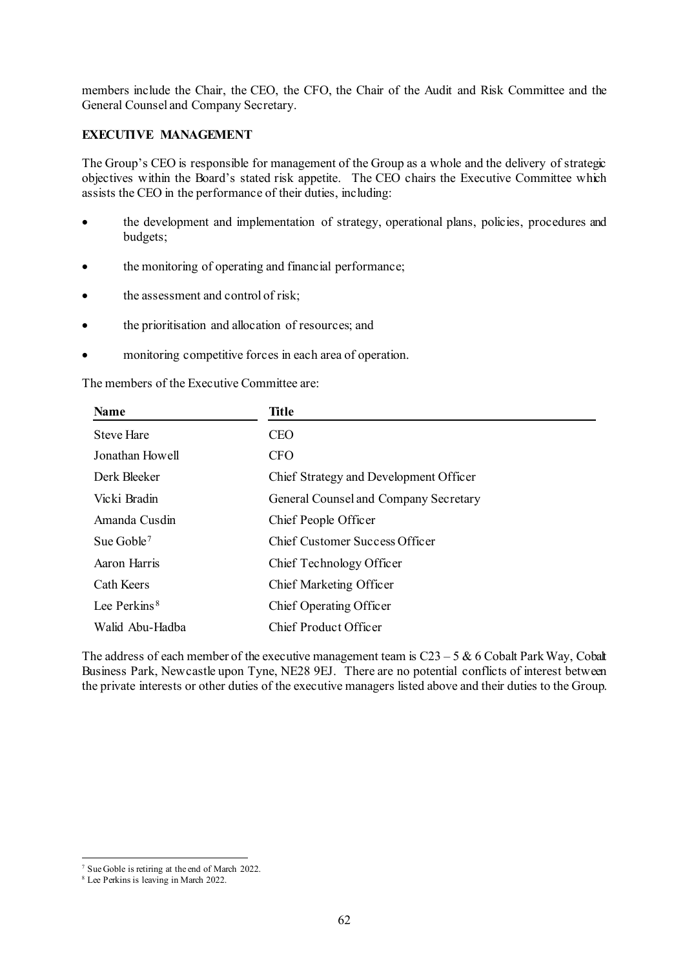members include the Chair, the CEO, the CFO, the Chair of the Audit and Risk Committee and the General Counsel and Company Secretary.

# **EXECUTIVE MANAGEMENT**

The Group's CEO is responsible for management of the Group as a whole and the delivery of strategic objectives within the Board's stated risk appetite. The CEO chairs the Executive Committee which assists the CEO in the performance of their duties, including:

- the development and implementation of strategy, operational plans, policies, procedures and budgets;
- the monitoring of operating and financial performance;
- the assessment and control of risk;
- the prioritisation and allocation of resources; and
- monitoring competitive forces in each area of operation.

The members of the Executive Committee are:

| <b>Name</b>              | Title                                  |  |
|--------------------------|----------------------------------------|--|
| <b>Steve Hare</b>        | <b>CEO</b>                             |  |
| Jonathan Howell          | <b>CFO</b>                             |  |
| Derk Bleeker             | Chief Strategy and Development Officer |  |
| Vicki Bradin             | General Counsel and Company Secretary  |  |
| Amanda Cusdin            | Chief People Officer                   |  |
| Sue Goble <sup>7</sup>   | Chief Customer Success Officer         |  |
| Aaron Harris             | Chief Technology Officer               |  |
| Cath Keers               | Chief Marketing Officer                |  |
| Lee Perkins <sup>8</sup> | Chief Operating Officer                |  |
| Walid Abu-Hadba          | Chief Product Officer                  |  |

The address of each member of the executive management team is  $C23 - 5$  & 6 Cobalt Park Way, Cobalt Business Park, Newcastle upon Tyne, NE28 9EJ. There are no potential conflicts of interest between the private interests or other duties of the executive managers listed above and their duties to the Group.

 <sup>7</sup> Sue Goble is retiring at the end of March 2022.

<span id="page-72-1"></span><span id="page-72-0"></span><sup>8</sup> Lee Perkins is leaving in March 2022.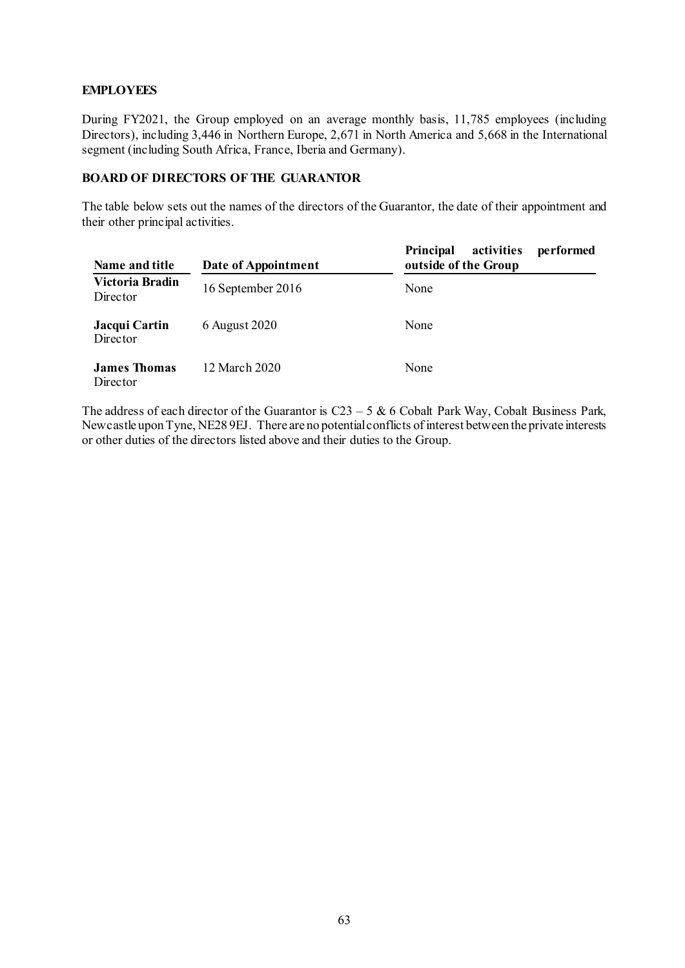# **EMPLOYEES**

During FY2021, the Group employed on an average monthly basis, 11,785 employees (including Directors), including 3,446 in Northern Europe, 2,671 in North America and 5,668 in the International segment (including South Africa, France, Iberia and Germany).

# **BOARD OF DIRECTORS OF THE GUARANTOR**

The table below sets out the names of the directors of the Guarantor, the date of their appointment and their other principal activities.

| Name and title                  | Date of Appointment | activities<br><b>Principal</b><br>performed<br>outside of the Group |
|---------------------------------|---------------------|---------------------------------------------------------------------|
| Victoria Bradin<br>Director     | 16 September 2016   | None                                                                |
| Jacqui Cartin<br>Director       | 6 August 2020       | None                                                                |
| <b>James Thomas</b><br>Director | 12 March 2020       | None                                                                |

The address of each director of the Guarantor is  $C23 - 5$  & 6 Cobalt Park Way, Cobalt Business Park, Newcastle upon Tyne, NE28 9EJ. There are no potential conflicts of interest between the private interests or other duties of the directors listed above and their duties to the Group.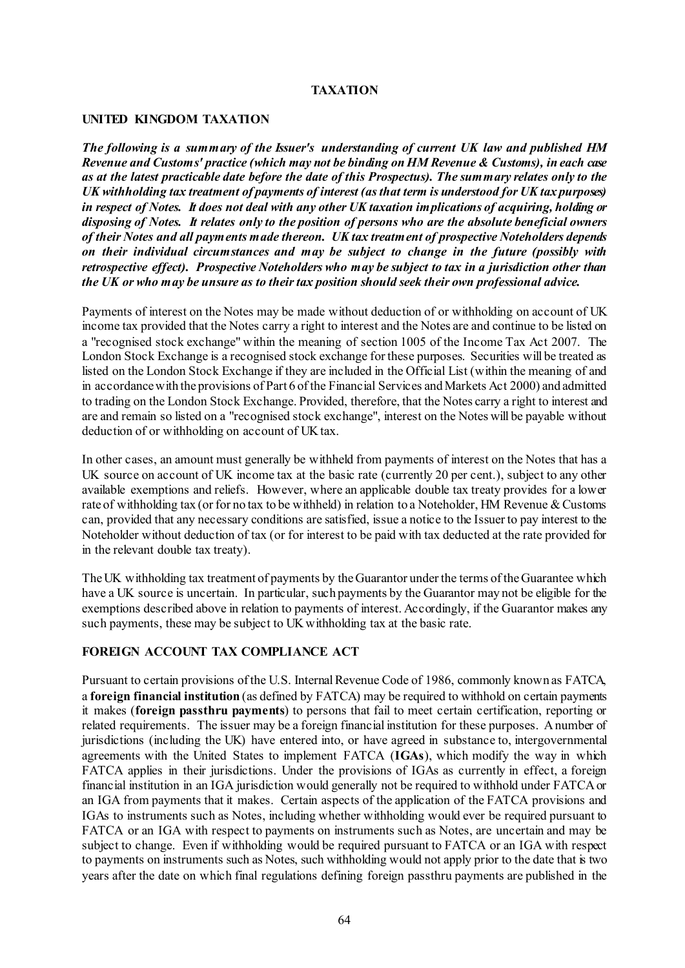## **TAXATION**

#### **UNITED KINGDOM TAXATION**

*The following is a summary of the Issuer's understanding of current UK law and published HM Revenue and Customs' practice (which may not be binding on HM Revenue & Customs), in each case as at the latest practicable date before the date of this Prospectus). The summary relates only to the UK withholding tax treatment of payments of interest (as that term is understood for UK tax purposes) in respect of Notes. It does not deal with any other UK taxation implications of acquiring, holding or disposing of Notes. It relates only to the position of persons who are the absolute beneficial owners of their Notes and all payments made thereon. UK tax treatment of prospective Noteholders depends on their individual circumstances and may be subject to change in the future (possibly with retrospective effect). Prospective Noteholders who may be subject to tax in a jurisdiction other than the UK or who may be unsure as to their tax position should seek their own professional advice.* 

Payments of interest on the Notes may be made without deduction of or withholding on account of UK income tax provided that the Notes carry a right to interest and the Notes are and continue to be listed on a "recognised stock exchange" within the meaning of section 1005 of the Income Tax Act 2007. The London Stock Exchange is a recognised stock exchange for these purposes. Securities will be treated as listed on the London Stock Exchange if they are included in the Official List (within the meaning of and in accordance with the provisions of Part 6 of the Financial Services and Markets Act 2000) and admitted to trading on the London Stock Exchange. Provided, therefore, that the Notes carry a right to interest and are and remain so listed on a "recognised stock exchange", interest on the Notes will be payable without deduction of or withholding on account of UK tax.

In other cases, an amount must generally be withheld from payments of interest on the Notes that has a UK source on account of UK income tax at the basic rate (currently 20 per cent.), subject to any other available exemptions and reliefs. However, where an applicable double tax treaty provides for a lower rate of withholding tax (or for no tax to be withheld) in relation to a Noteholder, HM Revenue & Customs can, provided that any necessary conditions are satisfied, issue a notice to the Issuer to pay interest to the Noteholder without deduction of tax (or for interest to be paid with tax deducted at the rate provided for in the relevant double tax treaty).

The UK withholding tax treatment of payments by the Guarantor under the terms of the Guarantee which have a UK source is uncertain. In particular, such payments by the Guarantor may not be eligible for the exemptions described above in relation to payments of interest. Accordingly, if the Guarantor makes any such payments, these may be subject to UKwithholding tax at the basic rate.

## **FOREIGN ACCOUNT TAX COMPLIANCE ACT**

Pursuant to certain provisions of the U.S. Internal Revenue Code of 1986, commonly known as FATCA, a **foreign financial institution** (as defined by FATCA) may be required to withhold on certain payments it makes (**foreign passthru payments**) to persons that fail to meet certain certification, reporting or related requirements. The issuer may be a foreign financial institution for these purposes. A number of jurisdictions (including the UK) have entered into, or have agreed in substance to, intergovernmental agreements with the United States to implement FATCA (**IGAs**), which modify the way in which FATCA applies in their jurisdictions. Under the provisions of IGAs as currently in effect, a foreign financial institution in an IGA jurisdiction would generally not be required to withhold under FATCA or an IGA from payments that it makes. Certain aspects of the application of the FATCA provisions and IGAs to instruments such as Notes, including whether withholding would ever be required pursuant to FATCA or an IGA with respect to payments on instruments such as Notes, are uncertain and may be subject to change. Even if withholding would be required pursuant to FATCA or an IGA with respect to payments on instruments such as Notes, such withholding would not apply prior to the date that is two years after the date on which final regulations defining foreign passthru payments are published in the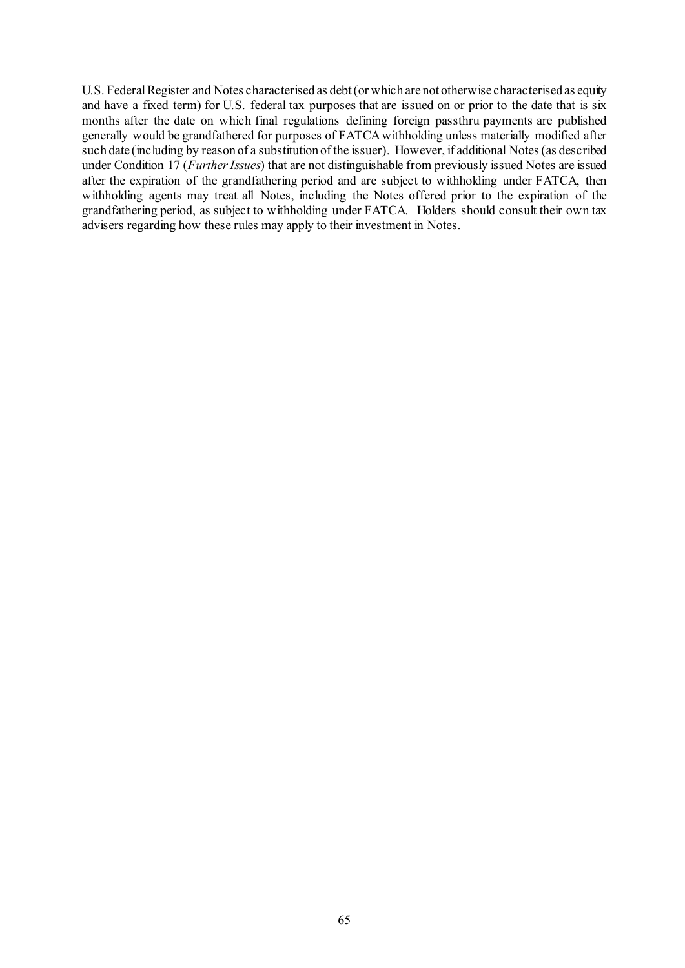U.S. Federal Register and Notes characterised as debt (or which are not otherwise characterised as equity and have a fixed term) for U.S. federal tax purposes that are issued on or prior to the date that is six months after the date on which final regulations defining foreign passthru payments are published generally would be grandfathered for purposes of FATCA withholding unless materially modified after such date (including by reason of a substitution of the issuer). However, if additional Notes (as described under Condition [17](#page-50-0) (*[Further Issues](#page-50-0)*) that are not distinguishable from previously issued Notes are issued after the expiration of the grandfathering period and are subject to withholding under FATCA, then withholding agents may treat all Notes, including the Notes offered prior to the expiration of the grandfathering period, as subject to withholding under FATCA. Holders should consult their own tax advisers regarding how these rules may apply to their investment in Notes.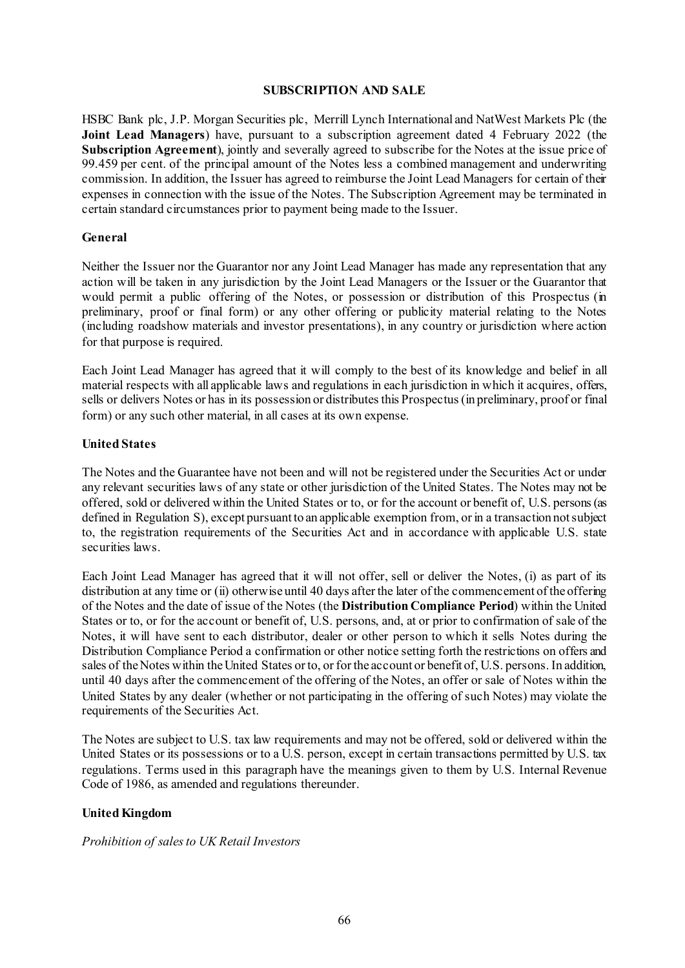#### **SUBSCRIPTION AND SALE**

HSBC Bank plc, J.P. Morgan Securities plc, Merrill Lynch International and NatWest Markets Plc (the **Joint Lead Managers**) have, pursuant to a subscription agreement dated 4 February 2022 (the **Subscription Agreement**), jointly and severally agreed to subscribe for the Notes at the issue price of 99.459 per cent. of the principal amount of the Notes less a combined management and underwriting commission. In addition, the Issuer has agreed to reimburse the Joint Lead Managers for certain of their expenses in connection with the issue of the Notes. The Subscription Agreement may be terminated in certain standard circumstances prior to payment being made to the Issuer.

## **General**

Neither the Issuer nor the Guarantor nor any Joint Lead Manager has made any representation that any action will be taken in any jurisdiction by the Joint Lead Managers or the Issuer or the Guarantor that would permit a public offering of the Notes, or possession or distribution of this Prospectus (in preliminary, proof or final form) or any other offering or publicity material relating to the Notes (including roadshow materials and investor presentations), in any country or jurisdiction where action for that purpose is required.

Each Joint Lead Manager has agreed that it will comply to the best of its knowledge and belief in all material respects with all applicable laws and regulations in each jurisdiction in which it acquires, offers, sells or delivers Notes or has in its possession or distributes this Prospectus (in preliminary, proof or final form) or any such other material, in all cases at its own expense.

# **United States**

The Notes and the Guarantee have not been and will not be registered under the Securities Act or under any relevant securities laws of any state or other jurisdiction of the United States. The Notes may not be offered, sold or delivered within the United States or to, or for the account or benefit of, U.S. persons (as defined in Regulation S), except pursuant to an applicable exemption from, or in a transaction not subject to, the registration requirements of the Securities Act and in accordance with applicable U.S. state securities laws.

Each Joint Lead Manager has agreed that it will not offer, sell or deliver the Notes, (i) as part of its distribution at any time or (ii) otherwise until 40 days after the later of the commencement of the offering of the Notes and the date of issue of the Notes (the **Distribution Compliance Period**) within the United States or to, or for the account or benefit of, U.S. persons, and, at or prior to confirmation of sale of the Notes, it will have sent to each distributor, dealer or other person to which it sells Notes during the Distribution Compliance Period a confirmation or other notice setting forth the restrictions on offers and sales of the Notes within the United States or to, or for the account or benefit of, U.S. persons. In addition, until 40 days after the commencement of the offering of the Notes, an offer or sale of Notes within the United States by any dealer (whether or not participating in the offering of such Notes) may violate the requirements of the Securities Act.

The Notes are subject to U.S. tax law requirements and may not be offered, sold or delivered within the United States or its possessions or to a U.S. person, except in certain transactions permitted by U.S. tax regulations. Terms used in this paragraph have the meanings given to them by U.S. Internal Revenue Code of 1986, as amended and regulations thereunder.

# **United Kingdom**

## *Prohibition of sales to UK Retail Investors*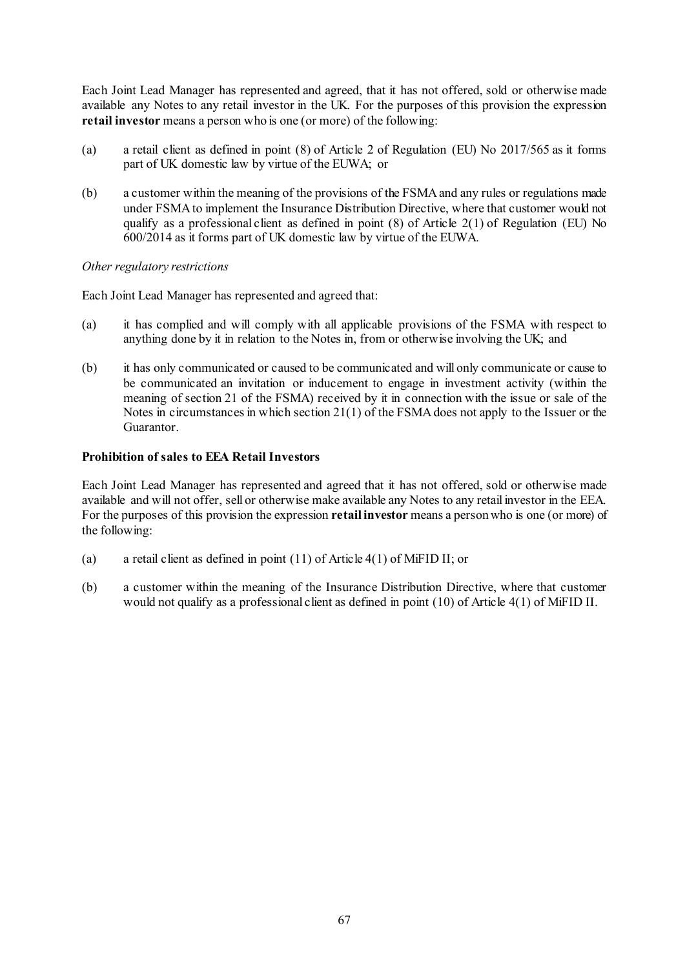Each Joint Lead Manager has represented and agreed, that it has not offered, sold or otherwise made available any Notes to any retail investor in the UK. For the purposes of this provision the expression **retail investor** means a person who is one (or more) of the following:

- (a) a retail client as defined in point (8) of Article 2 of Regulation (EU) No 2017/565 as it forms part of UK domestic law by virtue of the EUWA; or
- (b) a customer within the meaning of the provisions of the FSMA and any rules or regulations made under FSMA to implement the Insurance Distribution Directive, where that customer would not qualify as a professional client as defined in point  $(8)$  of Article 2(1) of Regulation (EU) No 600/2014 as it forms part of UK domestic law by virtue of the EUWA.

*Other regulatory restrictions*

Each Joint Lead Manager has represented and agreed that:

- (a) it has complied and will comply with all applicable provisions of the FSMA with respect to anything done by it in relation to the Notes in, from or otherwise involving the UK; and
- (b) it has only communicated or caused to be communicated and will only communicate or cause to be communicated an invitation or inducement to engage in investment activity (within the meaning of section 21 of the FSMA) received by it in connection with the issue or sale of the Notes in circumstances in which section 21(1) of the FSMAdoes not apply to the Issuer or the Guarantor.

# **Prohibition of sales to EEA Retail Investors**

Each Joint Lead Manager has represented and agreed that it has not offered, sold or otherwise made available and will not offer, sell or otherwise make available any Notes to any retail investor in the EEA. For the purposes of this provision the expression **retail investor** means a person who is one (or more) of the following:

- (a) a retail client as defined in point (11) of Article 4(1) of MiFID II; or
- (b) a customer within the meaning of the Insurance Distribution Directive, where that customer would not qualify as a professional client as defined in point (10) of Article 4(1) of MiFID II.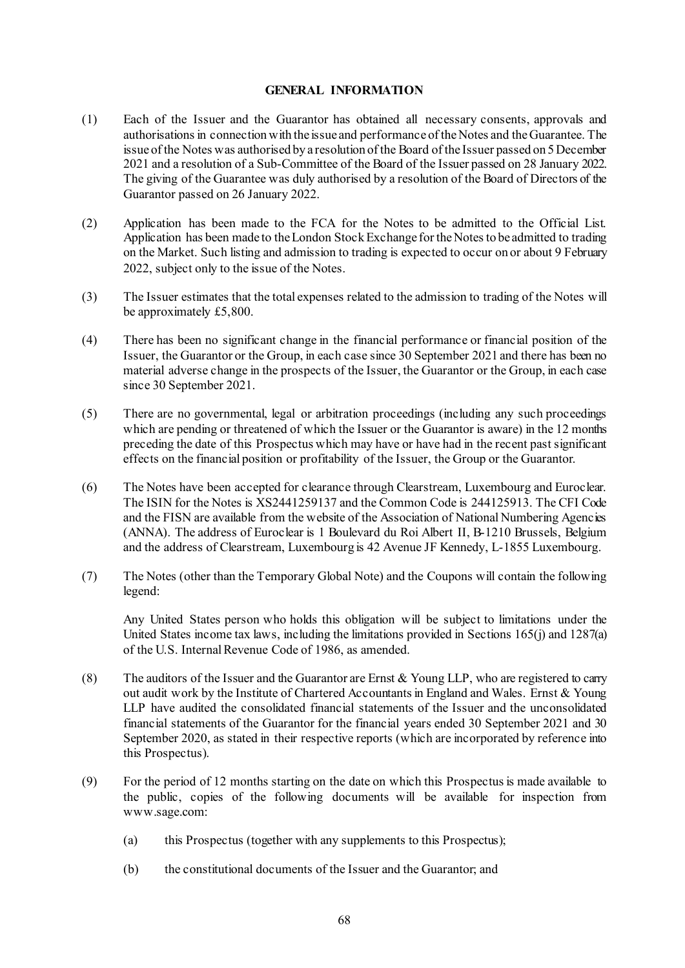### **GENERAL INFORMATION**

- (1) Each of the Issuer and the Guarantor has obtained all necessary consents, approvals and authorisations in connection with the issue and performance of the Notes and the Guarantee. The issue of the Notes was authorised by a resolution of the Board of the Issuer passed on 5 December 2021 and a resolution of a Sub-Committee of the Board of the Issuer passed on 28 January 2022. The giving of the Guarantee was duly authorised by a resolution of the Board of Directors of the Guarantor passed on 26 January 2022.
- (2) Application has been made to the FCA for the Notes to be admitted to the Official List. Application has been made to the London Stock Exchange for the Notes to be admitted to trading on the Market. Such listing and admission to trading is expected to occur on or about 9 February 2022, subject only to the issue of the Notes.
- (3) The Issuer estimates that the total expenses related to the admission to trading of the Notes will be approximately £5,800.
- (4) There has been no significant change in the financial performance or financial position of the Issuer, the Guarantor or the Group, in each case since 30 September 2021 and there has been no material adverse change in the prospects of the Issuer, the Guarantor or the Group, in each case since 30 September 2021.
- (5) There are no governmental, legal or arbitration proceedings (including any such proceedings which are pending or threatened of which the Issuer or the Guarantor is aware) in the 12 months preceding the date of this Prospectus which may have or have had in the recent past significant effects on the financial position or profitability of the Issuer, the Group or the Guarantor.
- (6) The Notes have been accepted for clearance through Clearstream, Luxembourg and Euroclear. The ISIN for the Notes is XS2441259137 and the Common Code is 244125913. The CFI Code and the FISN are available from the website of the Association of National Numbering Agencies (ANNA). The address of Euroclear is 1 Boulevard du Roi Albert II, B-1210 Brussels, Belgium and the address of Clearstream, Luxembourg is 42 Avenue JF Kennedy, L-1855 Luxembourg.
- (7) The Notes (other than the Temporary Global Note) and the Coupons will contain the following legend:

Any United States person who holds this obligation will be subject to limitations under the United States income tax laws, including the limitations provided in Sections 165(j) and 1287(a) of the U.S. Internal Revenue Code of 1986, as amended.

- (8) The auditors of the Issuer and the Guarantor are Ernst & Young LLP, who are registered to carry out audit work by the Institute of Chartered Accountants in England and Wales. Ernst & Young LLP have audited the consolidated financial statements of the Issuer and the unconsolidated financial statements of the Guarantor for the financial years ended 30 September 2021 and 30 September 2020, as stated in their respective reports (which are incorporated by reference into this Prospectus).
- (9) For the period of 12 months starting on the date on which this Prospectus is made available to the public, copies of the following documents will be available for inspection from www.sage.com:
	- (a) this Prospectus (together with any supplements to this Prospectus);
	- (b) the constitutional documents of the Issuer and the Guarantor; and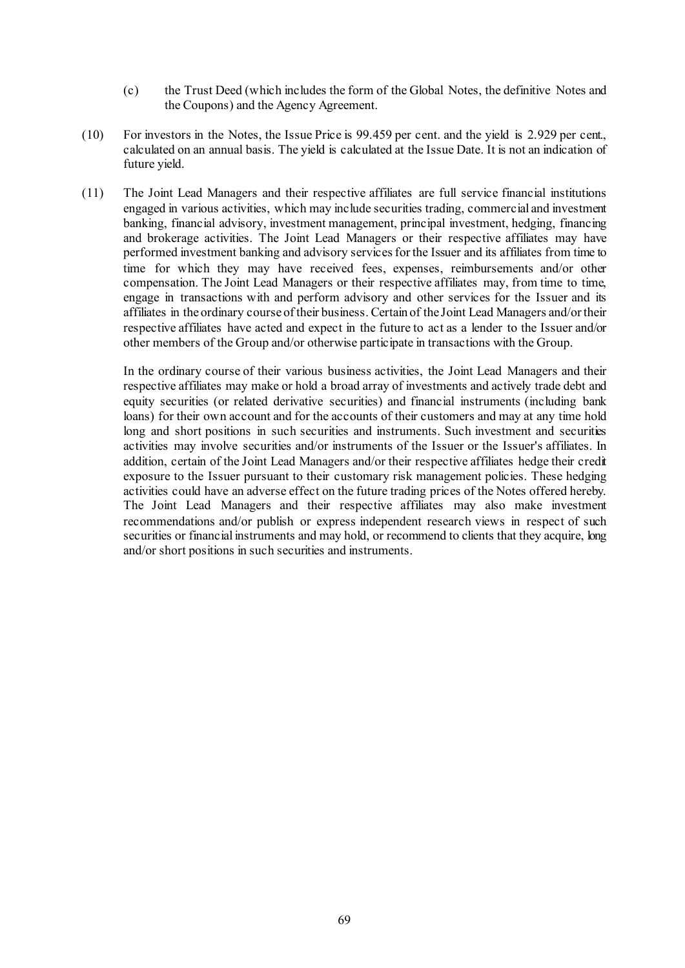- (c) the Trust Deed (which includes the form of the Global Notes, the definitive Notes and the Coupons) and the Agency Agreement.
- (10) For investors in the Notes, the Issue Price is 99.459 per cent. and the yield is 2.929 per cent., calculated on an annual basis. The yield is calculated at the Issue Date. It is not an indication of future yield.
- (11) The Joint Lead Managers and their respective affiliates are full service financial institutions engaged in various activities, which may include securities trading, commercial and investment banking, financial advisory, investment management, principal investment, hedging, financing and brokerage activities. The Joint Lead Managers or their respective affiliates may have performed investment banking and advisory services for the Issuer and its affiliates from time to time for which they may have received fees, expenses, reimbursements and/or other compensation. The Joint Lead Managers or their respective affiliates may, from time to time, engage in transactions with and perform advisory and other services for the Issuer and its affiliates in the ordinary course of their business. Certain of the Joint Lead Managers and/or their respective affiliates have acted and expect in the future to act as a lender to the Issuer and/or other members of the Group and/or otherwise participate in transactions with the Group.

In the ordinary course of their various business activities, the Joint Lead Managers and their respective affiliates may make or hold a broad array of investments and actively trade debt and equity securities (or related derivative securities) and financial instruments (including bank loans) for their own account and for the accounts of their customers and may at any time hold long and short positions in such securities and instruments. Such investment and securities activities may involve securities and/or instruments of the Issuer or the Issuer's affiliates. In addition, certain of the Joint Lead Managers and/or their respective affiliates hedge their credit exposure to the Issuer pursuant to their customary risk management policies. These hedging activities could have an adverse effect on the future trading prices of the Notes offered hereby. The Joint Lead Managers and their respective affiliates may also make investment recommendations and/or publish or express independent research views in respect of such securities or financial instruments and may hold, or recommend to clients that they acquire, long and/or short positions in such securities and instruments.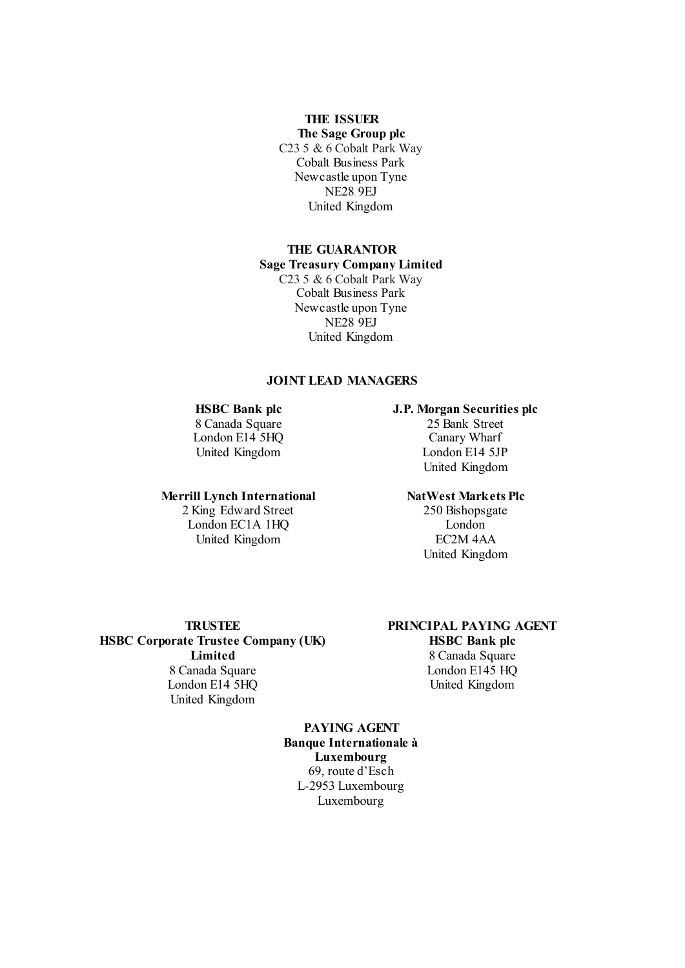# **THE ISSUER**

**The Sage Group plc** C23 5 & 6 Cobalt Park Way Cobalt Business Park Newcastle upon Tyne NE28 9EJ United Kingdom

# **THE GUARANTOR**

#### **Sage Treasury Company Limited**

C23 5 & 6 Cobalt Park Way Cobalt Business Park Newcastle upon Tyne NE28 9EJ United Kingdom

#### **JOINT LEAD MANAGERS**

#### **HSBC Bank plc**

8 Canada Square London E14<sup>5</sup>HQ United Kingdom

#### **Merrill Lynch International**

2 King Edward Street London EC1A 1HQ United Kingdom

# **J.P. Morgan Securities plc**

25 Bank Street Canary Wharf London E14 5JP United Kingdom

#### **NatWest Markets Plc**

250 Bishopsgate London EC2M 4AA United Kingdom

**HSBC Corporate Trustee Company (UK) Limited** 8 Canada Square London E14 5HQ United Kingdom

# **TRUSTEE PRINCIPAL PAYING AGENT**

**HSBC Bank plc** 8 Canada Square London E145 HQ United Kingdom

**PAYING AGENT Banque Internationale à Luxembourg** 69, route d'Esch L-2953 Luxembourg Luxembourg